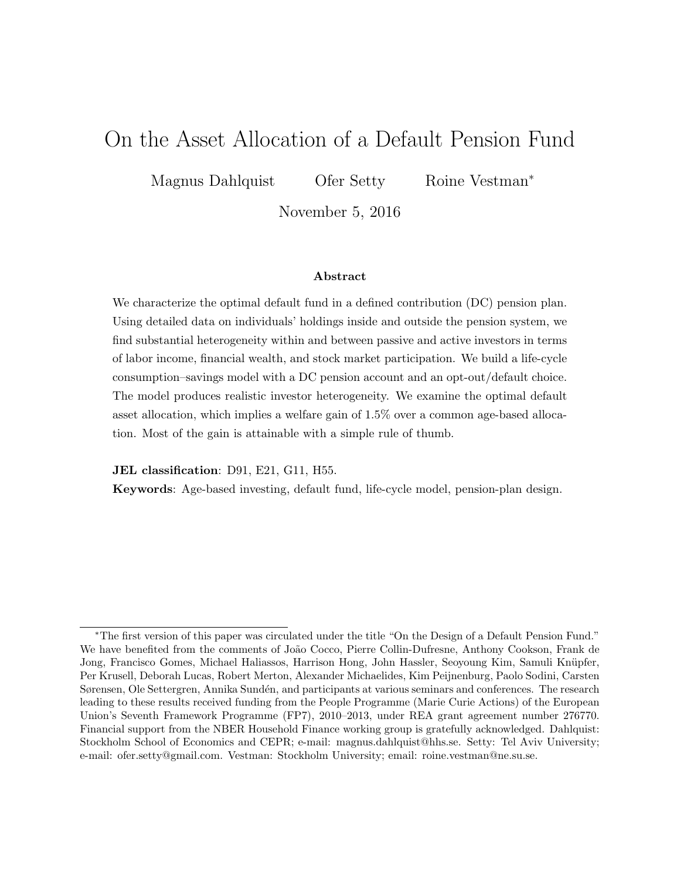# On the Asset Allocation of a Default Pension Fund

Magnus Dahlquist Ofer Setty Roine Vestman<sup>\*</sup>

November 5, 2016

#### Abstract

We characterize the optimal default fund in a defined contribution (DC) pension plan. Using detailed data on individuals' holdings inside and outside the pension system, we find substantial heterogeneity within and between passive and active investors in terms of labor income, financial wealth, and stock market participation. We build a life-cycle consumption–savings model with a DC pension account and an opt-out/default choice. The model produces realistic investor heterogeneity. We examine the optimal default asset allocation, which implies a welfare gain of 1.5% over a common age-based allocation. Most of the gain is attainable with a simple rule of thumb.

JEL classification: D91, E21, G11, H55.

Keywords: Age-based investing, default fund, life-cycle model, pension-plan design.

<sup>∗</sup>The first version of this paper was circulated under the title "On the Design of a Default Pension Fund." We have benefited from the comments of João Cocco, Pierre Collin-Dufresne, Anthony Cookson, Frank de Jong, Francisco Gomes, Michael Haliassos, Harrison Hong, John Hassler, Seoyoung Kim, Samuli Knüpfer, Per Krusell, Deborah Lucas, Robert Merton, Alexander Michaelides, Kim Peijnenburg, Paolo Sodini, Carsten Sørensen, Ole Settergren, Annika Sundén, and participants at various seminars and conferences. The research leading to these results received funding from the People Programme (Marie Curie Actions) of the European Union's Seventh Framework Programme (FP7), 2010–2013, under REA grant agreement number 276770. Financial support from the NBER Household Finance working group is gratefully acknowledged. Dahlquist: Stockholm School of Economics and CEPR; e-mail: magnus.dahlquist@hhs.se. Setty: Tel Aviv University; e-mail: ofer.setty@gmail.com. Vestman: Stockholm University; email: roine.vestman@ne.su.se.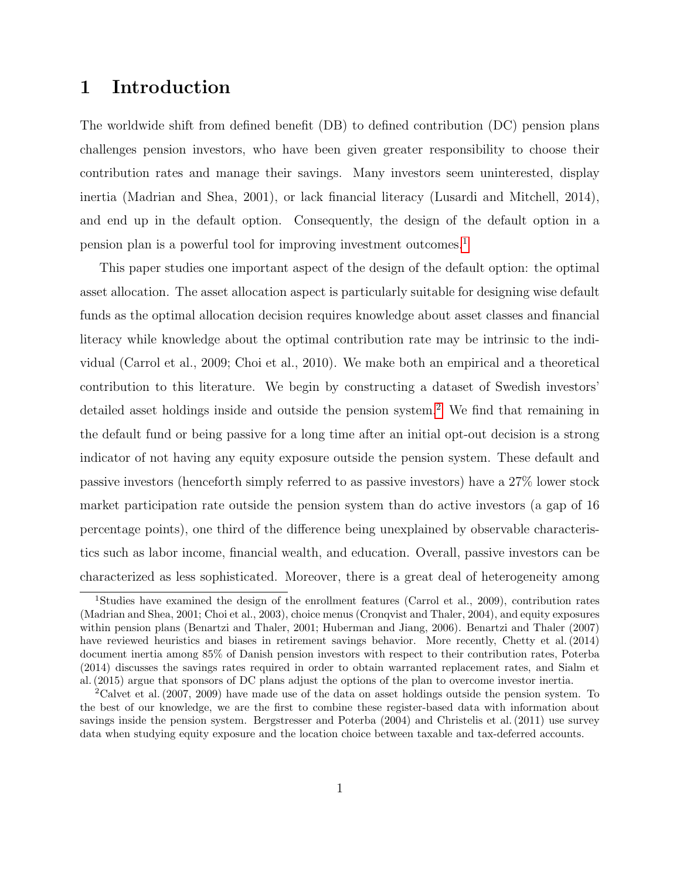# 1 Introduction

The worldwide shift from defined benefit (DB) to defined contribution (DC) pension plans challenges pension investors, who have been given greater responsibility to choose their contribution rates and manage their savings. Many investors seem uninterested, display inertia (Madrian and Shea, 2001), or lack financial literacy (Lusardi and Mitchell, 2014), and end up in the default option. Consequently, the design of the default option in a pension plan is a powerful tool for improving investment outcomes.[1](#page-1-0)

This paper studies one important aspect of the design of the default option: the optimal asset allocation. The asset allocation aspect is particularly suitable for designing wise default funds as the optimal allocation decision requires knowledge about asset classes and financial literacy while knowledge about the optimal contribution rate may be intrinsic to the individual (Carrol et al., 2009; Choi et al., 2010). We make both an empirical and a theoretical contribution to this literature. We begin by constructing a dataset of Swedish investors' detailed asset holdings inside and outside the pension system.<sup>[2](#page-1-1)</sup> We find that remaining in the default fund or being passive for a long time after an initial opt-out decision is a strong indicator of not having any equity exposure outside the pension system. These default and passive investors (henceforth simply referred to as passive investors) have a 27% lower stock market participation rate outside the pension system than do active investors (a gap of 16 percentage points), one third of the difference being unexplained by observable characteristics such as labor income, financial wealth, and education. Overall, passive investors can be characterized as less sophisticated. Moreover, there is a great deal of heterogeneity among

<span id="page-1-0"></span><sup>1</sup>Studies have examined the design of the enrollment features (Carrol et al., 2009), contribution rates (Madrian and Shea, 2001; Choi et al., 2003), choice menus (Cronqvist and Thaler, 2004), and equity exposures within pension plans (Benartzi and Thaler, 2001; Huberman and Jiang, 2006). Benartzi and Thaler (2007) have reviewed heuristics and biases in retirement savings behavior. More recently, Chetty et al. (2014) document inertia among 85% of Danish pension investors with respect to their contribution rates, Poterba (2014) discusses the savings rates required in order to obtain warranted replacement rates, and Sialm et al. (2015) argue that sponsors of DC plans adjust the options of the plan to overcome investor inertia.

<span id="page-1-1"></span><sup>&</sup>lt;sup>2</sup>Calvet et al. (2007, 2009) have made use of the data on asset holdings outside the pension system. To the best of our knowledge, we are the first to combine these register-based data with information about savings inside the pension system. Bergstresser and Poterba (2004) and Christelis et al. (2011) use survey data when studying equity exposure and the location choice between taxable and tax-deferred accounts.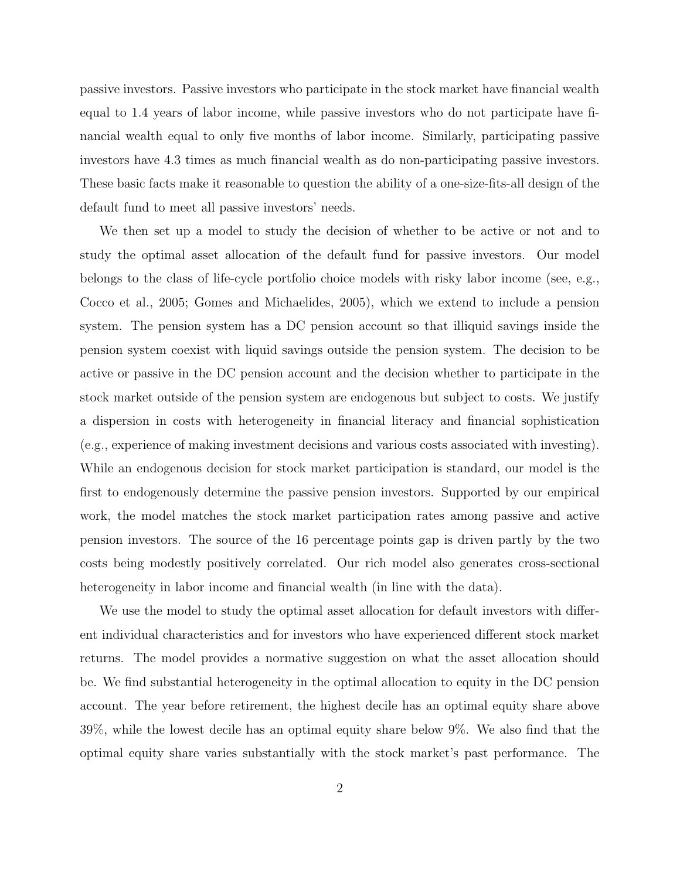passive investors. Passive investors who participate in the stock market have financial wealth equal to 1.4 years of labor income, while passive investors who do not participate have financial wealth equal to only five months of labor income. Similarly, participating passive investors have 4.3 times as much financial wealth as do non-participating passive investors. These basic facts make it reasonable to question the ability of a one-size-fits-all design of the default fund to meet all passive investors' needs.

We then set up a model to study the decision of whether to be active or not and to study the optimal asset allocation of the default fund for passive investors. Our model belongs to the class of life-cycle portfolio choice models with risky labor income (see, e.g., Cocco et al., 2005; Gomes and Michaelides, 2005), which we extend to include a pension system. The pension system has a DC pension account so that illiquid savings inside the pension system coexist with liquid savings outside the pension system. The decision to be active or passive in the DC pension account and the decision whether to participate in the stock market outside of the pension system are endogenous but subject to costs. We justify a dispersion in costs with heterogeneity in financial literacy and financial sophistication (e.g., experience of making investment decisions and various costs associated with investing). While an endogenous decision for stock market participation is standard, our model is the first to endogenously determine the passive pension investors. Supported by our empirical work, the model matches the stock market participation rates among passive and active pension investors. The source of the 16 percentage points gap is driven partly by the two costs being modestly positively correlated. Our rich model also generates cross-sectional heterogeneity in labor income and financial wealth (in line with the data).

We use the model to study the optimal asset allocation for default investors with different individual characteristics and for investors who have experienced different stock market returns. The model provides a normative suggestion on what the asset allocation should be. We find substantial heterogeneity in the optimal allocation to equity in the DC pension account. The year before retirement, the highest decile has an optimal equity share above 39%, while the lowest decile has an optimal equity share below 9%. We also find that the optimal equity share varies substantially with the stock market's past performance. The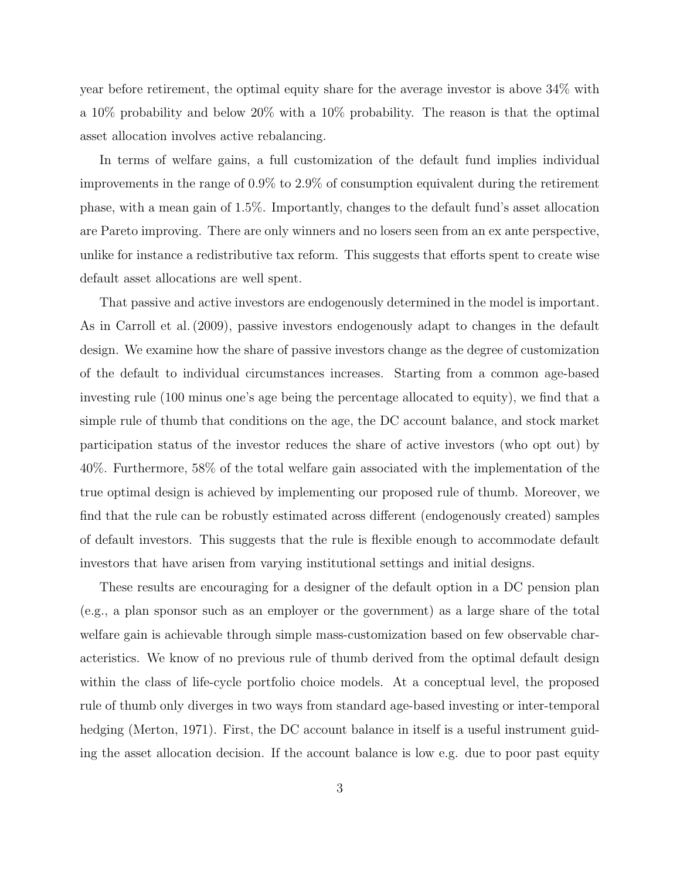year before retirement, the optimal equity share for the average investor is above 34% with a 10% probability and below 20% with a 10% probability. The reason is that the optimal asset allocation involves active rebalancing.

In terms of welfare gains, a full customization of the default fund implies individual improvements in the range of 0.9% to 2.9% of consumption equivalent during the retirement phase, with a mean gain of 1.5%. Importantly, changes to the default fund's asset allocation are Pareto improving. There are only winners and no losers seen from an ex ante perspective, unlike for instance a redistributive tax reform. This suggests that efforts spent to create wise default asset allocations are well spent.

That passive and active investors are endogenously determined in the model is important. As in Carroll et al. (2009), passive investors endogenously adapt to changes in the default design. We examine how the share of passive investors change as the degree of customization of the default to individual circumstances increases. Starting from a common age-based investing rule (100 minus one's age being the percentage allocated to equity), we find that a simple rule of thumb that conditions on the age, the DC account balance, and stock market participation status of the investor reduces the share of active investors (who opt out) by 40%. Furthermore, 58% of the total welfare gain associated with the implementation of the true optimal design is achieved by implementing our proposed rule of thumb. Moreover, we find that the rule can be robustly estimated across different (endogenously created) samples of default investors. This suggests that the rule is flexible enough to accommodate default investors that have arisen from varying institutional settings and initial designs.

These results are encouraging for a designer of the default option in a DC pension plan (e.g., a plan sponsor such as an employer or the government) as a large share of the total welfare gain is achievable through simple mass-customization based on few observable characteristics. We know of no previous rule of thumb derived from the optimal default design within the class of life-cycle portfolio choice models. At a conceptual level, the proposed rule of thumb only diverges in two ways from standard age-based investing or inter-temporal hedging (Merton, 1971). First, the DC account balance in itself is a useful instrument guiding the asset allocation decision. If the account balance is low e.g. due to poor past equity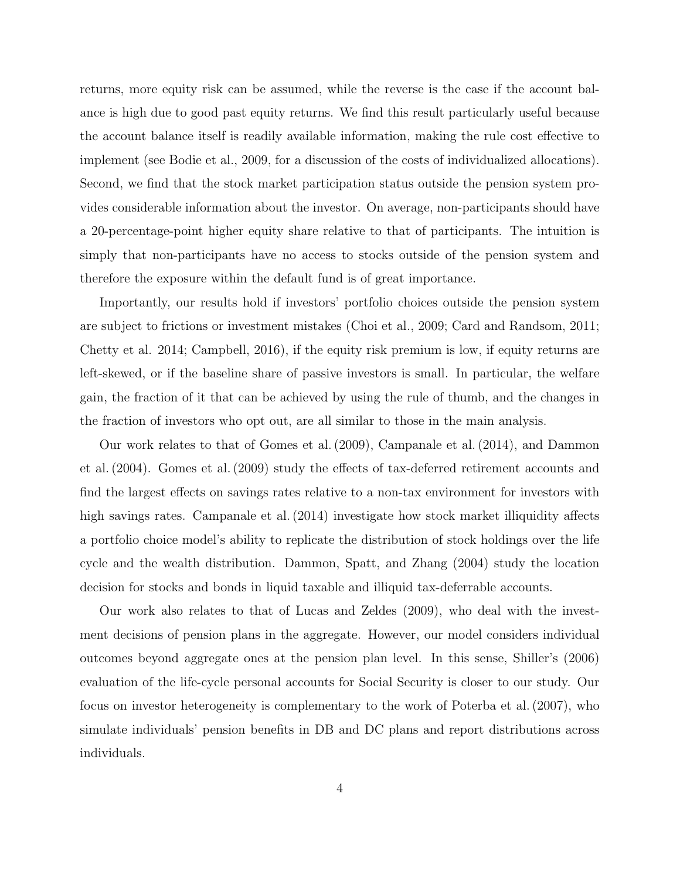returns, more equity risk can be assumed, while the reverse is the case if the account balance is high due to good past equity returns. We find this result particularly useful because the account balance itself is readily available information, making the rule cost effective to implement (see Bodie et al., 2009, for a discussion of the costs of individualized allocations). Second, we find that the stock market participation status outside the pension system provides considerable information about the investor. On average, non-participants should have a 20-percentage-point higher equity share relative to that of participants. The intuition is simply that non-participants have no access to stocks outside of the pension system and therefore the exposure within the default fund is of great importance.

Importantly, our results hold if investors' portfolio choices outside the pension system are subject to frictions or investment mistakes (Choi et al., 2009; Card and Randsom, 2011; Chetty et al. 2014; Campbell, 2016), if the equity risk premium is low, if equity returns are left-skewed, or if the baseline share of passive investors is small. In particular, the welfare gain, the fraction of it that can be achieved by using the rule of thumb, and the changes in the fraction of investors who opt out, are all similar to those in the main analysis.

Our work relates to that of Gomes et al. (2009), Campanale et al. (2014), and Dammon et al. (2004). Gomes et al. (2009) study the effects of tax-deferred retirement accounts and find the largest effects on savings rates relative to a non-tax environment for investors with high savings rates. Campanale et al. (2014) investigate how stock market illiquidity affects a portfolio choice model's ability to replicate the distribution of stock holdings over the life cycle and the wealth distribution. Dammon, Spatt, and Zhang (2004) study the location decision for stocks and bonds in liquid taxable and illiquid tax-deferrable accounts.

Our work also relates to that of Lucas and Zeldes (2009), who deal with the investment decisions of pension plans in the aggregate. However, our model considers individual outcomes beyond aggregate ones at the pension plan level. In this sense, Shiller's (2006) evaluation of the life-cycle personal accounts for Social Security is closer to our study. Our focus on investor heterogeneity is complementary to the work of Poterba et al. (2007), who simulate individuals' pension benefits in DB and DC plans and report distributions across individuals.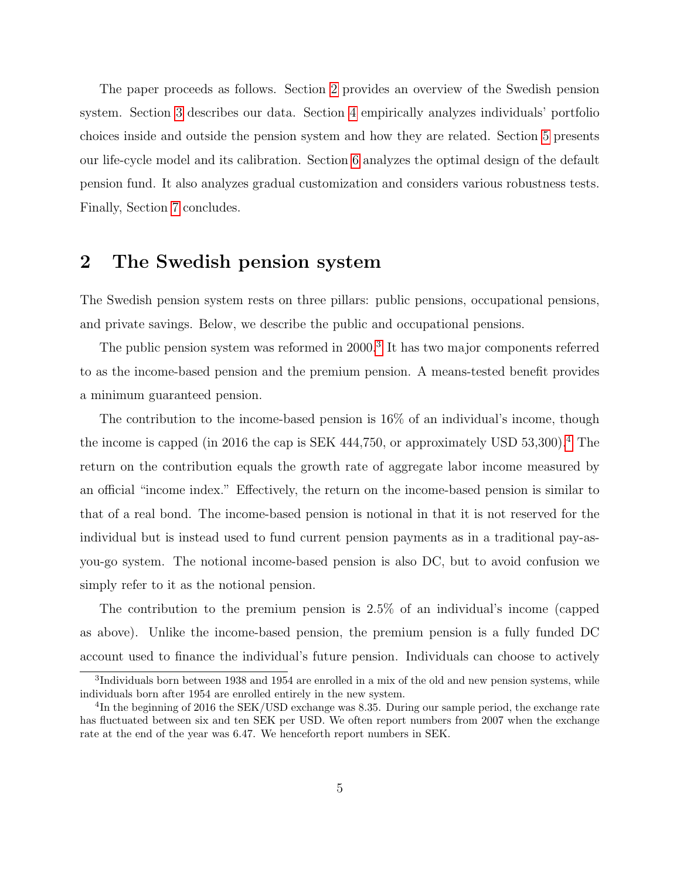The paper proceeds as follows. Section [2](#page-5-0) provides an overview of the Swedish pension system. Section [3](#page-6-0) describes our data. Section [4](#page-8-0) empirically analyzes individuals' portfolio choices inside and outside the pension system and how they are related. Section [5](#page-14-0) presents our life-cycle model and its calibration. Section [6](#page-29-0) analyzes the optimal design of the default pension fund. It also analyzes gradual customization and considers various robustness tests. Finally, Section [7](#page-43-0) concludes.

# <span id="page-5-0"></span>2 The Swedish pension system

The Swedish pension system rests on three pillars: public pensions, occupational pensions, and private savings. Below, we describe the public and occupational pensions.

The public pension system was reformed in 2000.<sup>[3](#page-5-1)</sup> It has two major components referred to as the income-based pension and the premium pension. A means-tested benefit provides a minimum guaranteed pension.

The contribution to the income-based pension is 16% of an individual's income, though the income is capped (in 2016 the cap is SEK [4](#page-5-2)44,750, or approximately USD  $53,300$ ).<sup>4</sup> The return on the contribution equals the growth rate of aggregate labor income measured by an official "income index." Effectively, the return on the income-based pension is similar to that of a real bond. The income-based pension is notional in that it is not reserved for the individual but is instead used to fund current pension payments as in a traditional pay-asyou-go system. The notional income-based pension is also DC, but to avoid confusion we simply refer to it as the notional pension.

The contribution to the premium pension is 2.5% of an individual's income (capped as above). Unlike the income-based pension, the premium pension is a fully funded DC account used to finance the individual's future pension. Individuals can choose to actively

<span id="page-5-1"></span><sup>&</sup>lt;sup>3</sup>Individuals born between 1938 and 1954 are enrolled in a mix of the old and new pension systems, while individuals born after 1954 are enrolled entirely in the new system.

<span id="page-5-2"></span><sup>&</sup>lt;sup>4</sup>In the beginning of 2016 the SEK/USD exchange was 8.35. During our sample period, the exchange rate has fluctuated between six and ten SEK per USD. We often report numbers from 2007 when the exchange rate at the end of the year was 6.47. We henceforth report numbers in SEK.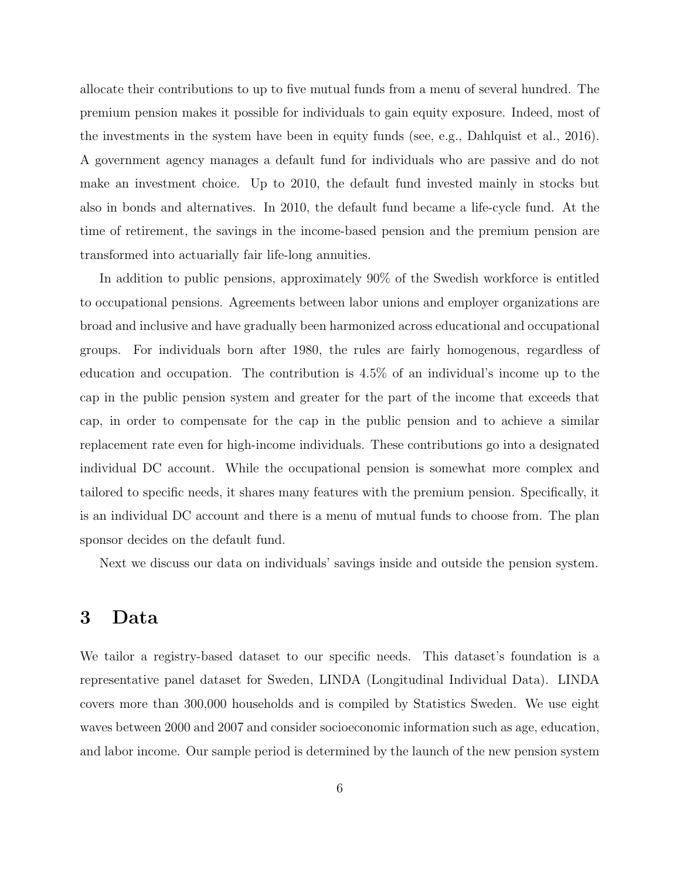allocate their contributions to up to five mutual funds from a menu of several hundred. The premium pension makes it possible for individuals to gain equity exposure. Indeed, most of the investments in the system have been in equity funds (see, e.g., Dahlquist et al., 2016). A government agency manages a default fund for individuals who are passive and do not make an investment choice. Up to 2010, the default fund invested mainly in stocks but also in bonds and alternatives. In 2010, the default fund became a life-cycle fund. At the time of retirement, the savings in the income-based pension and the premium pension are transformed into actuarially fair life-long annuities.

In addition to public pensions, approximately 90% of the Swedish workforce is entitled to occupational pensions. Agreements between labor unions and employer organizations are broad and inclusive and have gradually been harmonized across educational and occupational groups. For individuals born after 1980, the rules are fairly homogenous, regardless of education and occupation. The contribution is 4.5% of an individual's income up to the cap in the public pension system and greater for the part of the income that exceeds that cap, in order to compensate for the cap in the public pension and to achieve a similar replacement rate even for high-income individuals. These contributions go into a designated individual DC account. While the occupational pension is somewhat more complex and tailored to specific needs, it shares many features with the premium pension. Specifically, it is an individual DC account and there is a menu of mutual funds to choose from. The plan sponsor decides on the default fund.

Next we discuss our data on individuals' savings inside and outside the pension system.

# <span id="page-6-0"></span>3 Data

We tailor a registry-based dataset to our specific needs. This dataset's foundation is a representative panel dataset for Sweden, LINDA (Longitudinal Individual Data). LINDA covers more than 300,000 households and is compiled by Statistics Sweden. We use eight waves between 2000 and 2007 and consider socioeconomic information such as age, education, and labor income. Our sample period is determined by the launch of the new pension system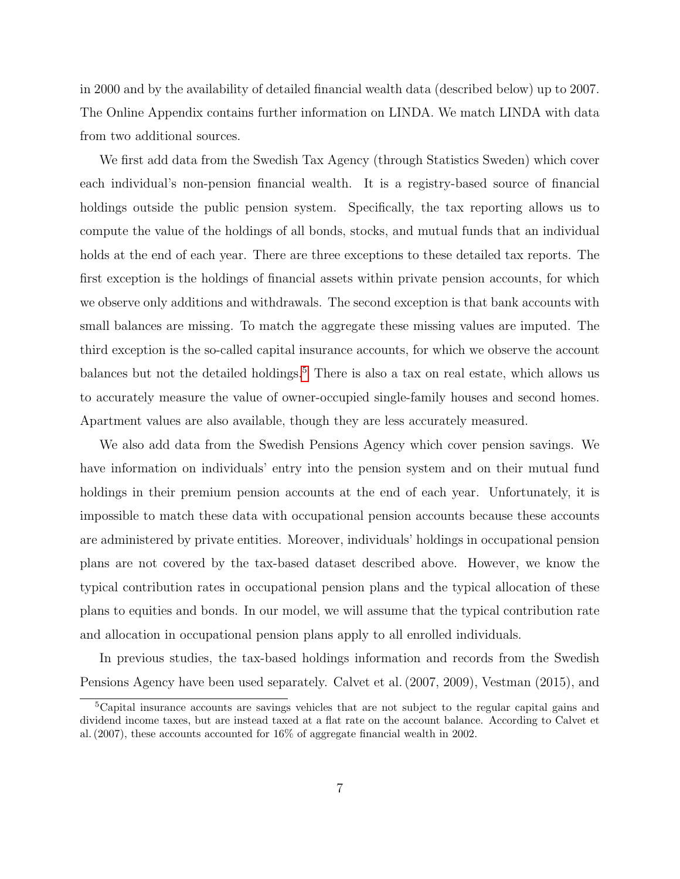in 2000 and by the availability of detailed financial wealth data (described below) up to 2007. The Online Appendix contains further information on LINDA. We match LINDA with data from two additional sources.

We first add data from the Swedish Tax Agency (through Statistics Sweden) which cover each individual's non-pension financial wealth. It is a registry-based source of financial holdings outside the public pension system. Specifically, the tax reporting allows us to compute the value of the holdings of all bonds, stocks, and mutual funds that an individual holds at the end of each year. There are three exceptions to these detailed tax reports. The first exception is the holdings of financial assets within private pension accounts, for which we observe only additions and withdrawals. The second exception is that bank accounts with small balances are missing. To match the aggregate these missing values are imputed. The third exception is the so-called capital insurance accounts, for which we observe the account balances but not the detailed holdings.<sup>[5](#page-7-0)</sup> There is also a tax on real estate, which allows us to accurately measure the value of owner-occupied single-family houses and second homes. Apartment values are also available, though they are less accurately measured.

We also add data from the Swedish Pensions Agency which cover pension savings. We have information on individuals' entry into the pension system and on their mutual fund holdings in their premium pension accounts at the end of each year. Unfortunately, it is impossible to match these data with occupational pension accounts because these accounts are administered by private entities. Moreover, individuals' holdings in occupational pension plans are not covered by the tax-based dataset described above. However, we know the typical contribution rates in occupational pension plans and the typical allocation of these plans to equities and bonds. In our model, we will assume that the typical contribution rate and allocation in occupational pension plans apply to all enrolled individuals.

In previous studies, the tax-based holdings information and records from the Swedish Pensions Agency have been used separately. Calvet et al. (2007, 2009), Vestman (2015), and

<span id="page-7-0"></span><sup>5</sup>Capital insurance accounts are savings vehicles that are not subject to the regular capital gains and dividend income taxes, but are instead taxed at a flat rate on the account balance. According to Calvet et al. (2007), these accounts accounted for 16% of aggregate financial wealth in 2002.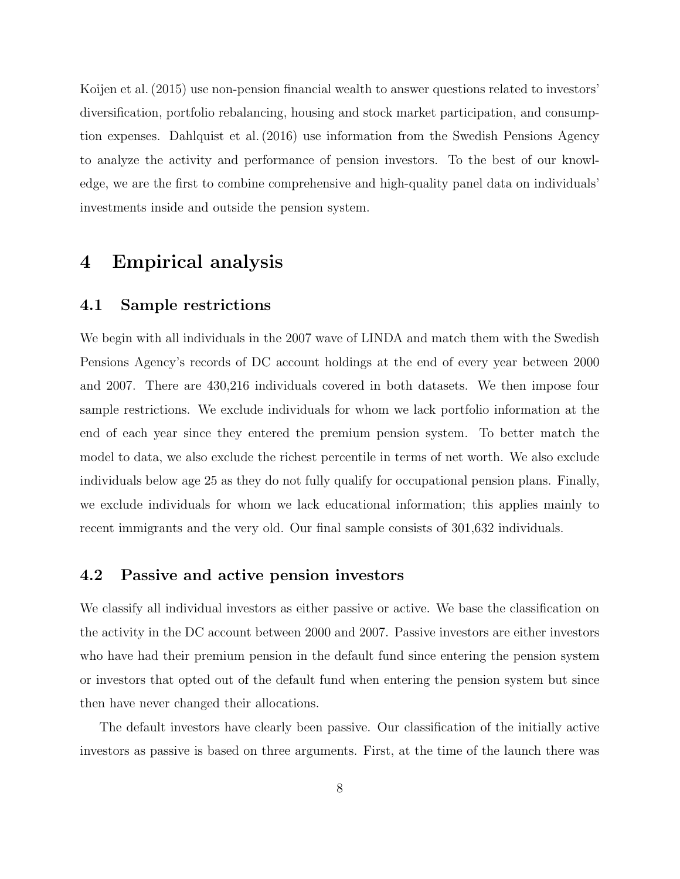Koijen et al. (2015) use non-pension financial wealth to answer questions related to investors' diversification, portfolio rebalancing, housing and stock market participation, and consumption expenses. Dahlquist et al. (2016) use information from the Swedish Pensions Agency to analyze the activity and performance of pension investors. To the best of our knowledge, we are the first to combine comprehensive and high-quality panel data on individuals' investments inside and outside the pension system.

# <span id="page-8-0"></span>4 Empirical analysis

## 4.1 Sample restrictions

We begin with all individuals in the 2007 wave of LINDA and match them with the Swedish Pensions Agency's records of DC account holdings at the end of every year between 2000 and 2007. There are 430,216 individuals covered in both datasets. We then impose four sample restrictions. We exclude individuals for whom we lack portfolio information at the end of each year since they entered the premium pension system. To better match the model to data, we also exclude the richest percentile in terms of net worth. We also exclude individuals below age 25 as they do not fully qualify for occupational pension plans. Finally, we exclude individuals for whom we lack educational information; this applies mainly to recent immigrants and the very old. Our final sample consists of 301,632 individuals.

## 4.2 Passive and active pension investors

We classify all individual investors as either passive or active. We base the classification on the activity in the DC account between 2000 and 2007. Passive investors are either investors who have had their premium pension in the default fund since entering the pension system or investors that opted out of the default fund when entering the pension system but since then have never changed their allocations.

The default investors have clearly been passive. Our classification of the initially active investors as passive is based on three arguments. First, at the time of the launch there was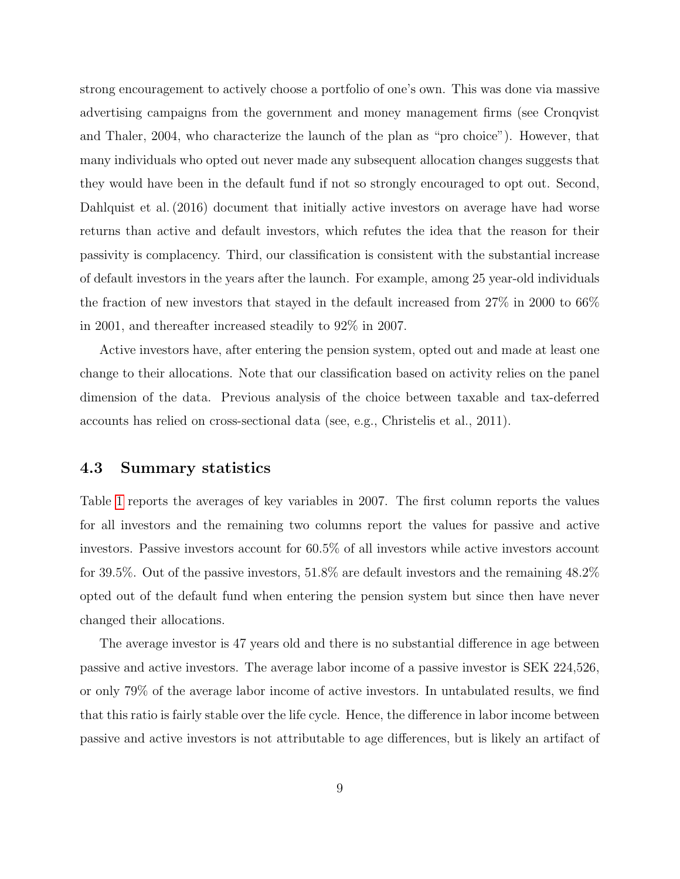strong encouragement to actively choose a portfolio of one's own. This was done via massive advertising campaigns from the government and money management firms (see Cronqvist and Thaler, 2004, who characterize the launch of the plan as "pro choice"). However, that many individuals who opted out never made any subsequent allocation changes suggests that they would have been in the default fund if not so strongly encouraged to opt out. Second, Dahlquist et al. (2016) document that initially active investors on average have had worse returns than active and default investors, which refutes the idea that the reason for their passivity is complacency. Third, our classification is consistent with the substantial increase of default investors in the years after the launch. For example, among 25 year-old individuals the fraction of new investors that stayed in the default increased from 27% in 2000 to 66% in 2001, and thereafter increased steadily to 92% in 2007.

Active investors have, after entering the pension system, opted out and made at least one change to their allocations. Note that our classification based on activity relies on the panel dimension of the data. Previous analysis of the choice between taxable and tax-deferred accounts has relied on cross-sectional data (see, e.g., Christelis et al., 2011).

### 4.3 Summary statistics

Table [1](#page-49-0) reports the averages of key variables in 2007. The first column reports the values for all investors and the remaining two columns report the values for passive and active investors. Passive investors account for 60.5% of all investors while active investors account for 39.5%. Out of the passive investors, 51.8% are default investors and the remaining 48.2% opted out of the default fund when entering the pension system but since then have never changed their allocations.

The average investor is 47 years old and there is no substantial difference in age between passive and active investors. The average labor income of a passive investor is SEK 224,526, or only 79% of the average labor income of active investors. In untabulated results, we find that this ratio is fairly stable over the life cycle. Hence, the difference in labor income between passive and active investors is not attributable to age differences, but is likely an artifact of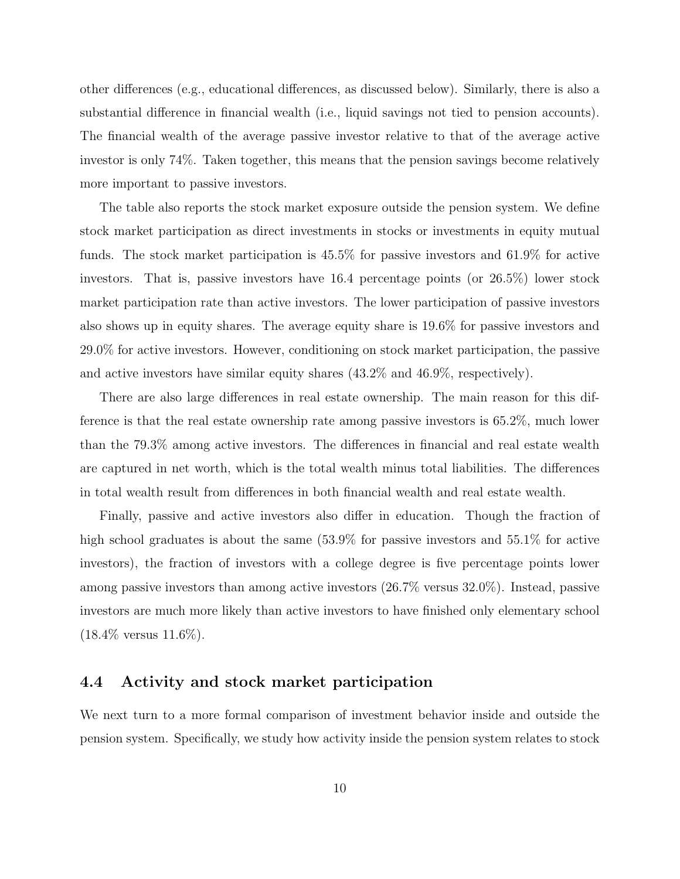other differences (e.g., educational differences, as discussed below). Similarly, there is also a substantial difference in financial wealth (i.e., liquid savings not tied to pension accounts). The financial wealth of the average passive investor relative to that of the average active investor is only 74%. Taken together, this means that the pension savings become relatively more important to passive investors.

The table also reports the stock market exposure outside the pension system. We define stock market participation as direct investments in stocks or investments in equity mutual funds. The stock market participation is 45.5% for passive investors and 61.9% for active investors. That is, passive investors have 16.4 percentage points (or 26.5%) lower stock market participation rate than active investors. The lower participation of passive investors also shows up in equity shares. The average equity share is 19.6% for passive investors and 29.0% for active investors. However, conditioning on stock market participation, the passive and active investors have similar equity shares (43.2% and 46.9%, respectively).

There are also large differences in real estate ownership. The main reason for this difference is that the real estate ownership rate among passive investors is 65.2%, much lower than the 79.3% among active investors. The differences in financial and real estate wealth are captured in net worth, which is the total wealth minus total liabilities. The differences in total wealth result from differences in both financial wealth and real estate wealth.

Finally, passive and active investors also differ in education. Though the fraction of high school graduates is about the same  $(53.9\%$  for passive investors and  $55.1\%$  for active investors), the fraction of investors with a college degree is five percentage points lower among passive investors than among active investors (26.7% versus 32.0%). Instead, passive investors are much more likely than active investors to have finished only elementary school  $(18.4\%$  versus  $11.6\%).$ 

### 4.4 Activity and stock market participation

We next turn to a more formal comparison of investment behavior inside and outside the pension system. Specifically, we study how activity inside the pension system relates to stock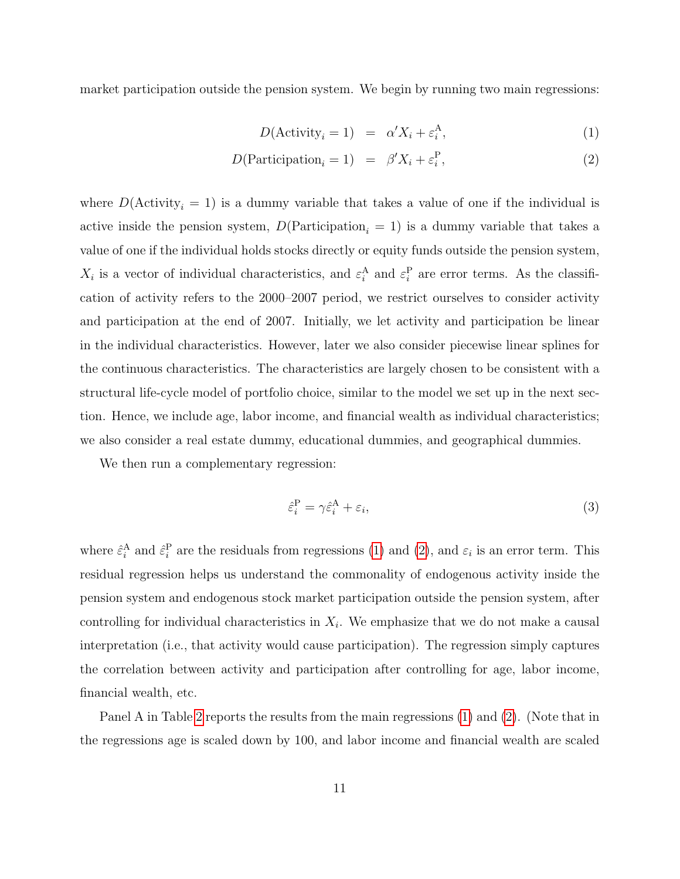market participation outside the pension system. We begin by running two main regressions:

<span id="page-11-0"></span>
$$
D(\text{Activity}_{i} = 1) = \alpha' X_{i} + \varepsilon_{i}^{A}, \tag{1}
$$

$$
D(\text{Participation}_i = 1) = \beta' X_i + \varepsilon_i^{\text{P}},\tag{2}
$$

where  $D(\text{Activity}_i = 1)$  is a dummy variable that takes a value of one if the individual is active inside the pension system,  $D(\text{Participation}_i = 1)$  is a dummy variable that takes a value of one if the individual holds stocks directly or equity funds outside the pension system,  $X_i$  is a vector of individual characteristics, and  $\varepsilon_i^{\text{A}}$  and  $\varepsilon_i^{\text{P}}$  are error terms. As the classification of activity refers to the 2000–2007 period, we restrict ourselves to consider activity and participation at the end of 2007. Initially, we let activity and participation be linear in the individual characteristics. However, later we also consider piecewise linear splines for the continuous characteristics. The characteristics are largely chosen to be consistent with a structural life-cycle model of portfolio choice, similar to the model we set up in the next section. Hence, we include age, labor income, and financial wealth as individual characteristics; we also consider a real estate dummy, educational dummies, and geographical dummies.

We then run a complementary regression:

<span id="page-11-1"></span>
$$
\hat{\varepsilon}_i^{\mathcal{P}} = \gamma \hat{\varepsilon}_i^{\mathcal{A}} + \varepsilon_i,\tag{3}
$$

where  $\hat{\varepsilon}_i^{\text{A}}$  and  $\hat{\varepsilon}_i^{\text{P}}$  are the residuals from regressions [\(1\)](#page-11-0) and [\(2\)](#page-11-0), and  $\varepsilon_i$  is an error term. This residual regression helps us understand the commonality of endogenous activity inside the pension system and endogenous stock market participation outside the pension system, after controlling for individual characteristics in  $X_i$ . We emphasize that we do not make a causal interpretation (i.e., that activity would cause participation). The regression simply captures the correlation between activity and participation after controlling for age, labor income, financial wealth, etc.

Panel A in Table [2](#page-50-0) reports the results from the main regressions [\(1\)](#page-11-0) and [\(2\)](#page-11-0). (Note that in the regressions age is scaled down by 100, and labor income and financial wealth are scaled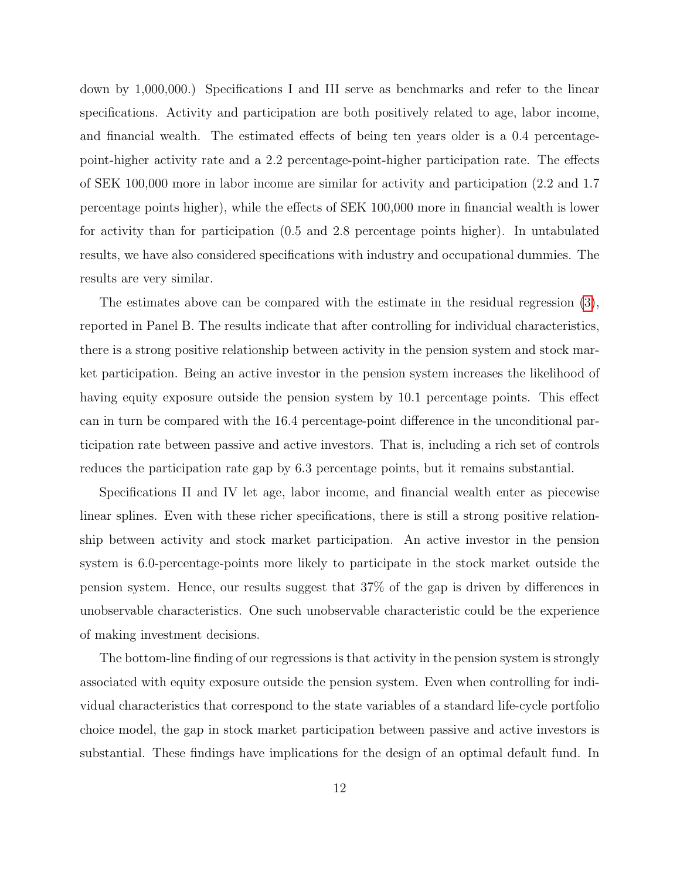down by 1,000,000.) Specifications I and III serve as benchmarks and refer to the linear specifications. Activity and participation are both positively related to age, labor income, and financial wealth. The estimated effects of being ten years older is a 0.4 percentagepoint-higher activity rate and a 2.2 percentage-point-higher participation rate. The effects of SEK 100,000 more in labor income are similar for activity and participation (2.2 and 1.7 percentage points higher), while the effects of SEK 100,000 more in financial wealth is lower for activity than for participation (0.5 and 2.8 percentage points higher). In untabulated results, we have also considered specifications with industry and occupational dummies. The results are very similar.

The estimates above can be compared with the estimate in the residual regression [\(3\)](#page-11-1), reported in Panel B. The results indicate that after controlling for individual characteristics, there is a strong positive relationship between activity in the pension system and stock market participation. Being an active investor in the pension system increases the likelihood of having equity exposure outside the pension system by 10.1 percentage points. This effect can in turn be compared with the 16.4 percentage-point difference in the unconditional participation rate between passive and active investors. That is, including a rich set of controls reduces the participation rate gap by 6.3 percentage points, but it remains substantial.

Specifications II and IV let age, labor income, and financial wealth enter as piecewise linear splines. Even with these richer specifications, there is still a strong positive relationship between activity and stock market participation. An active investor in the pension system is 6.0-percentage-points more likely to participate in the stock market outside the pension system. Hence, our results suggest that 37% of the gap is driven by differences in unobservable characteristics. One such unobservable characteristic could be the experience of making investment decisions.

The bottom-line finding of our regressions is that activity in the pension system is strongly associated with equity exposure outside the pension system. Even when controlling for individual characteristics that correspond to the state variables of a standard life-cycle portfolio choice model, the gap in stock market participation between passive and active investors is substantial. These findings have implications for the design of an optimal default fund. In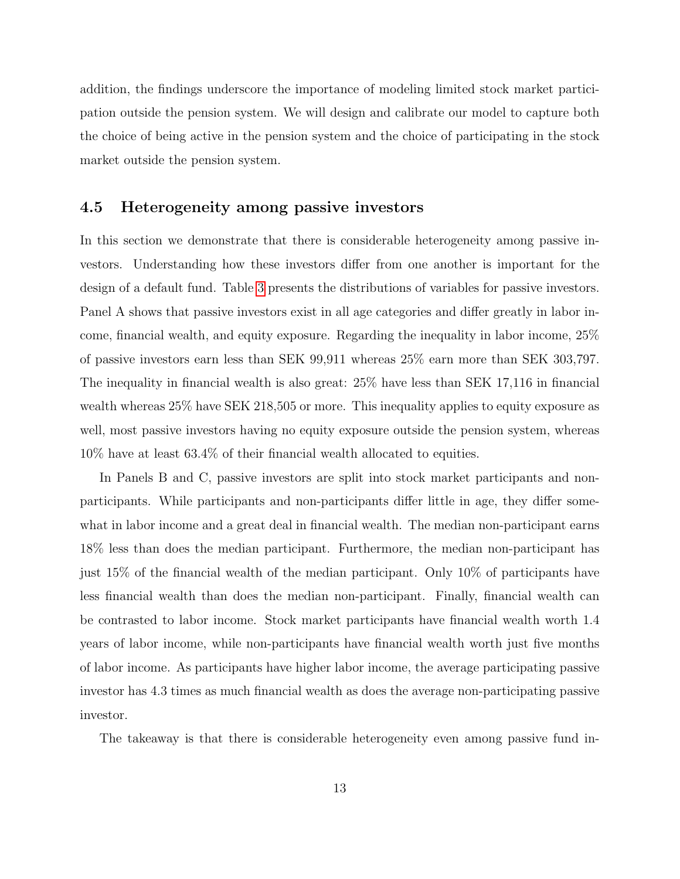addition, the findings underscore the importance of modeling limited stock market participation outside the pension system. We will design and calibrate our model to capture both the choice of being active in the pension system and the choice of participating in the stock market outside the pension system.

## 4.5 Heterogeneity among passive investors

In this section we demonstrate that there is considerable heterogeneity among passive investors. Understanding how these investors differ from one another is important for the design of a default fund. Table [3](#page-51-0) presents the distributions of variables for passive investors. Panel A shows that passive investors exist in all age categories and differ greatly in labor income, financial wealth, and equity exposure. Regarding the inequality in labor income, 25% of passive investors earn less than SEK 99,911 whereas 25% earn more than SEK 303,797. The inequality in financial wealth is also great: 25% have less than SEK 17,116 in financial wealth whereas 25% have SEK 218,505 or more. This inequality applies to equity exposure as well, most passive investors having no equity exposure outside the pension system, whereas 10% have at least 63.4% of their financial wealth allocated to equities.

In Panels B and C, passive investors are split into stock market participants and nonparticipants. While participants and non-participants differ little in age, they differ somewhat in labor income and a great deal in financial wealth. The median non-participant earns 18% less than does the median participant. Furthermore, the median non-participant has just 15% of the financial wealth of the median participant. Only 10% of participants have less financial wealth than does the median non-participant. Finally, financial wealth can be contrasted to labor income. Stock market participants have financial wealth worth 1.4 years of labor income, while non-participants have financial wealth worth just five months of labor income. As participants have higher labor income, the average participating passive investor has 4.3 times as much financial wealth as does the average non-participating passive investor.

The takeaway is that there is considerable heterogeneity even among passive fund in-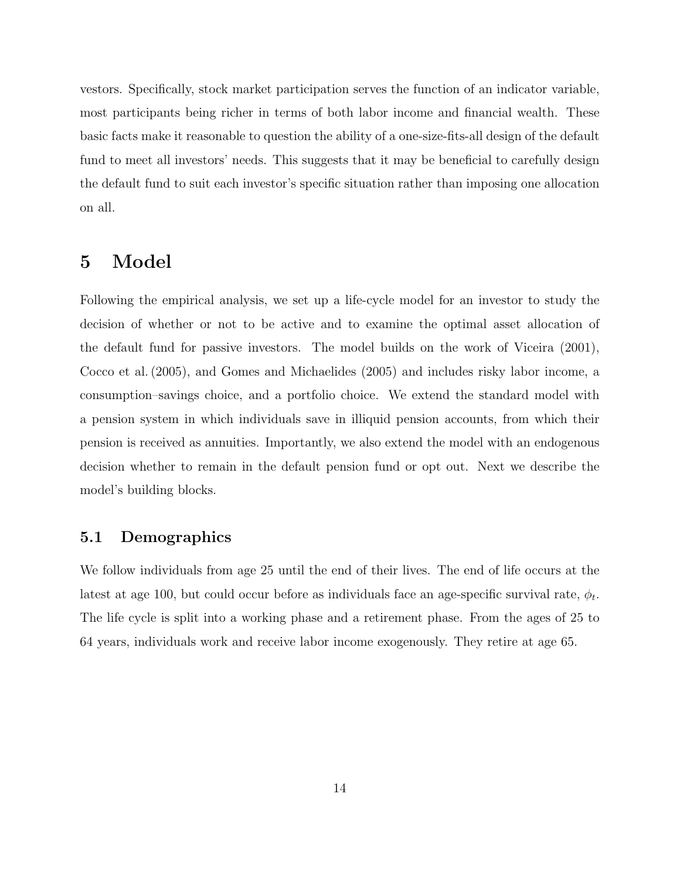vestors. Specifically, stock market participation serves the function of an indicator variable, most participants being richer in terms of both labor income and financial wealth. These basic facts make it reasonable to question the ability of a one-size-fits-all design of the default fund to meet all investors' needs. This suggests that it may be beneficial to carefully design the default fund to suit each investor's specific situation rather than imposing one allocation on all.

# <span id="page-14-0"></span>5 Model

Following the empirical analysis, we set up a life-cycle model for an investor to study the decision of whether or not to be active and to examine the optimal asset allocation of the default fund for passive investors. The model builds on the work of Viceira (2001), Cocco et al. (2005), and Gomes and Michaelides (2005) and includes risky labor income, a consumption–savings choice, and a portfolio choice. We extend the standard model with a pension system in which individuals save in illiquid pension accounts, from which their pension is received as annuities. Importantly, we also extend the model with an endogenous decision whether to remain in the default pension fund or opt out. Next we describe the model's building blocks.

## 5.1 Demographics

We follow individuals from age 25 until the end of their lives. The end of life occurs at the latest at age 100, but could occur before as individuals face an age-specific survival rate,  $\phi_t$ . The life cycle is split into a working phase and a retirement phase. From the ages of 25 to 64 years, individuals work and receive labor income exogenously. They retire at age 65.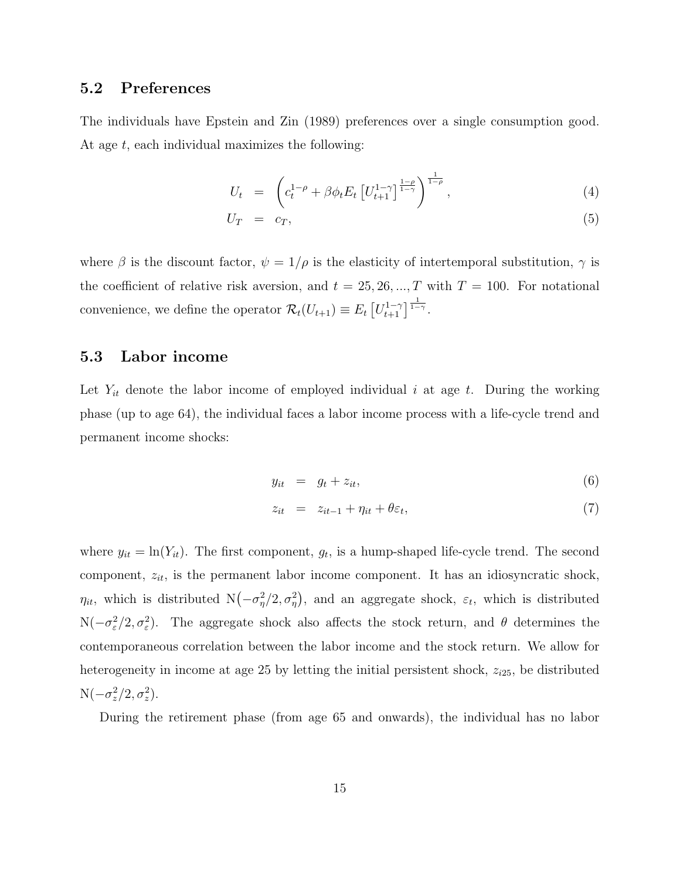## 5.2 Preferences

The individuals have Epstein and Zin (1989) preferences over a single consumption good. At age  $t$ , each individual maximizes the following:

$$
U_t = \left( c_t^{1-\rho} + \beta \phi_t E_t \left[ U_{t+1}^{1-\gamma} \right]^{\frac{1-\rho}{1-\gamma}}, \right) \tag{4}
$$

$$
U_T = c_T, \t\t(5)
$$

where  $\beta$  is the discount factor,  $\psi = 1/\rho$  is the elasticity of intertemporal substitution,  $\gamma$  is the coefficient of relative risk aversion, and  $t = 25, 26, ..., T$  with  $T = 100$ . For notational convenience, we define the operator  $\mathcal{R}_t(U_{t+1}) \equiv E_t \left[ U_{t+1}^{1-\gamma} \right]^{1-\gamma}$ .

#### 5.3 Labor income

Let  $Y_{it}$  denote the labor income of employed individual i at age t. During the working phase (up to age 64), the individual faces a labor income process with a life-cycle trend and permanent income shocks:

<span id="page-15-0"></span>
$$
y_{it} = g_t + z_{it}, \tag{6}
$$

$$
z_{it} = z_{it-1} + \eta_{it} + \theta \varepsilon_t, \tag{7}
$$

where  $y_{it} = \ln(Y_{it})$ . The first component,  $g_t$ , is a hump-shaped life-cycle trend. The second component,  $z_{it}$ , is the permanent labor income component. It has an idiosyncratic shock,  $\eta_{it}$ , which is distributed  $N(-\sigma_{\eta}^2/2, \sigma_{\eta}^2)$ , and an aggregate shock,  $\varepsilon_t$ , which is distributed N( $-\sigma_{\varepsilon}^2/2, \sigma_{\varepsilon}^2$ ). The aggregate shock also affects the stock return, and  $\theta$  determines the contemporaneous correlation between the labor income and the stock return. We allow for heterogeneity in income at age 25 by letting the initial persistent shock,  $z_{i25}$ , be distributed  $N(-\sigma_z^2/2, \sigma_z^2)$ .

During the retirement phase (from age 65 and onwards), the individual has no labor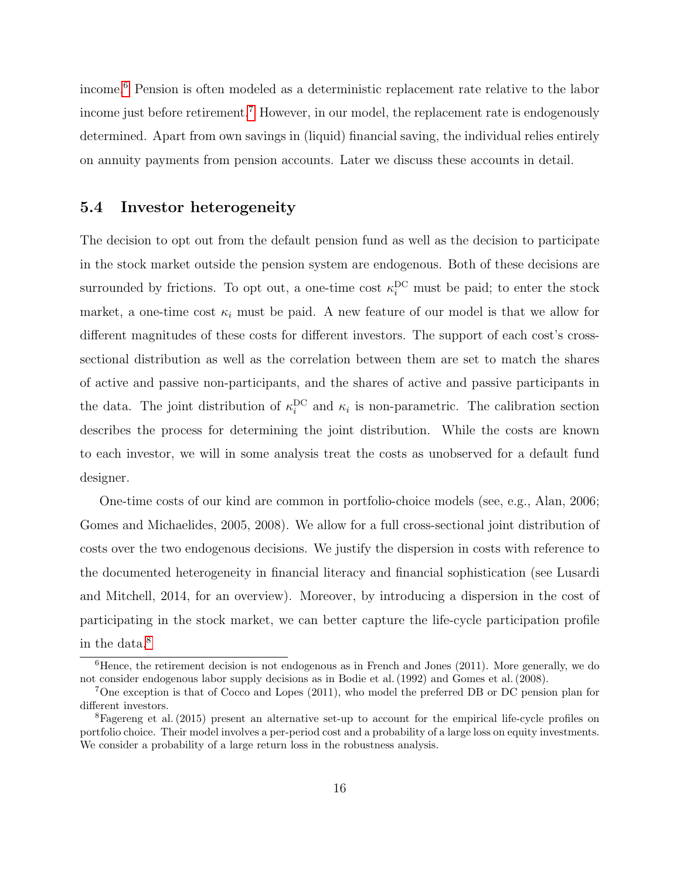income.[6](#page-16-0) Pension is often modeled as a deterministic replacement rate relative to the labor income just before retirement.<sup>[7](#page-16-1)</sup> However, in our model, the replacement rate is endogenously determined. Apart from own savings in (liquid) financial saving, the individual relies entirely on annuity payments from pension accounts. Later we discuss these accounts in detail.

## 5.4 Investor heterogeneity

The decision to opt out from the default pension fund as well as the decision to participate in the stock market outside the pension system are endogenous. Both of these decisions are surrounded by frictions. To opt out, a one-time cost  $\kappa_i^{\mathrm{DC}}$  must be paid; to enter the stock market, a one-time cost  $\kappa_i$  must be paid. A new feature of our model is that we allow for different magnitudes of these costs for different investors. The support of each cost's crosssectional distribution as well as the correlation between them are set to match the shares of active and passive non-participants, and the shares of active and passive participants in the data. The joint distribution of  $\kappa_i^{\rm DC}$  and  $\kappa_i$  is non-parametric. The calibration section describes the process for determining the joint distribution. While the costs are known to each investor, we will in some analysis treat the costs as unobserved for a default fund designer.

One-time costs of our kind are common in portfolio-choice models (see, e.g., Alan, 2006; Gomes and Michaelides, 2005, 2008). We allow for a full cross-sectional joint distribution of costs over the two endogenous decisions. We justify the dispersion in costs with reference to the documented heterogeneity in financial literacy and financial sophistication (see Lusardi and Mitchell, 2014, for an overview). Moreover, by introducing a dispersion in the cost of participating in the stock market, we can better capture the life-cycle participation profile in the data.[8](#page-16-2)

<span id="page-16-0"></span> ${}^{6}$ Hence, the retirement decision is not endogenous as in French and Jones (2011). More generally, we do not consider endogenous labor supply decisions as in Bodie et al. (1992) and Gomes et al. (2008).

<span id="page-16-1"></span><sup>7</sup>One exception is that of Cocco and Lopes (2011), who model the preferred DB or DC pension plan for different investors.

<span id="page-16-2"></span><sup>&</sup>lt;sup>8</sup>Fagereng et al. (2015) present an alternative set-up to account for the empirical life-cycle profiles on portfolio choice. Their model involves a per-period cost and a probability of a large loss on equity investments. We consider a probability of a large return loss in the robustness analysis.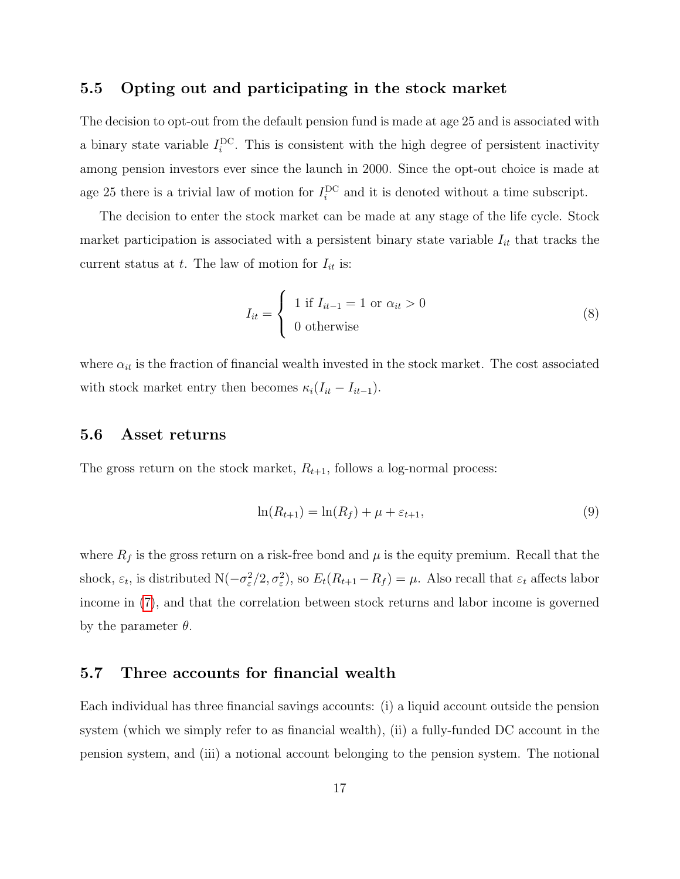### 5.5 Opting out and participating in the stock market

The decision to opt-out from the default pension fund is made at age 25 and is associated with a binary state variable  $I_i^{DC}$ . This is consistent with the high degree of persistent inactivity among pension investors ever since the launch in 2000. Since the opt-out choice is made at age 25 there is a trivial law of motion for  $I_i^{DC}$  and it is denoted without a time subscript.

The decision to enter the stock market can be made at any stage of the life cycle. Stock market participation is associated with a persistent binary state variable  $I_{it}$  that tracks the current status at t. The law of motion for  $I_{it}$  is:

$$
I_{it} = \begin{cases} 1 \text{ if } I_{it-1} = 1 \text{ or } \alpha_{it} > 0 \\ 0 \text{ otherwise} \end{cases}
$$
 (8)

where  $\alpha_{it}$  is the fraction of financial wealth invested in the stock market. The cost associated with stock market entry then becomes  $\kappa_i(I_{it} - I_{it-1})$ .

## 5.6 Asset returns

The gross return on the stock market,  $R_{t+1}$ , follows a log-normal process:

<span id="page-17-0"></span>
$$
\ln(R_{t+1}) = \ln(R_f) + \mu + \varepsilon_{t+1},\tag{9}
$$

where  $R_f$  is the gross return on a risk-free bond and  $\mu$  is the equity premium. Recall that the shock,  $\varepsilon_t$ , is distributed  $N(-\sigma_{\varepsilon}^2/2, \sigma_{\varepsilon}^2)$ , so  $E_t(R_{t+1} - R_f) = \mu$ . Also recall that  $\varepsilon_t$  affects labor income in [\(7\)](#page-15-0), and that the correlation between stock returns and labor income is governed by the parameter  $\theta$ .

## 5.7 Three accounts for financial wealth

Each individual has three financial savings accounts: (i) a liquid account outside the pension system (which we simply refer to as financial wealth), (ii) a fully-funded DC account in the pension system, and (iii) a notional account belonging to the pension system. The notional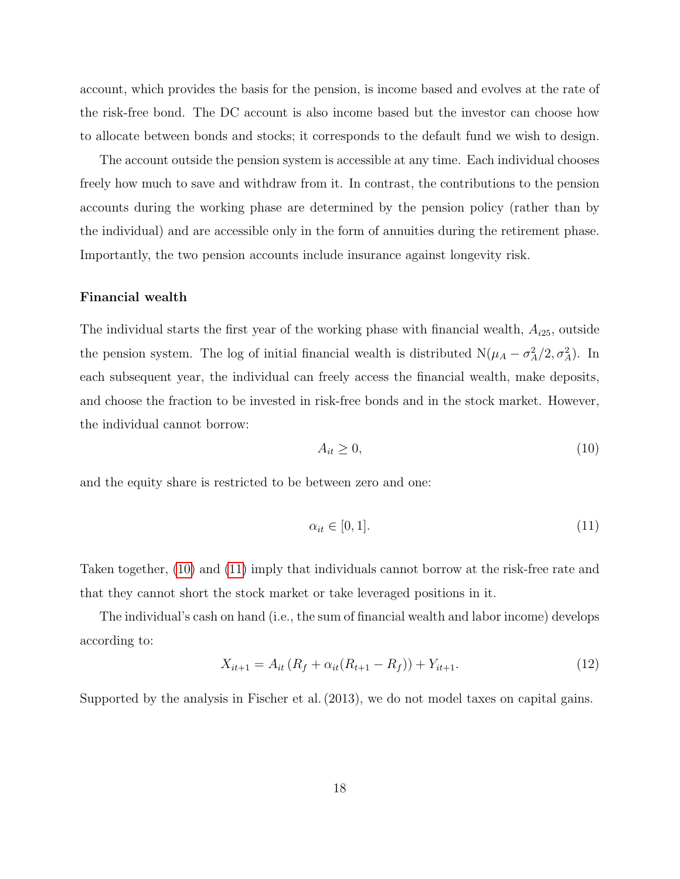account, which provides the basis for the pension, is income based and evolves at the rate of the risk-free bond. The DC account is also income based but the investor can choose how to allocate between bonds and stocks; it corresponds to the default fund we wish to design.

The account outside the pension system is accessible at any time. Each individual chooses freely how much to save and withdraw from it. In contrast, the contributions to the pension accounts during the working phase are determined by the pension policy (rather than by the individual) and are accessible only in the form of annuities during the retirement phase. Importantly, the two pension accounts include insurance against longevity risk.

#### Financial wealth

The individual starts the first year of the working phase with financial wealth,  $A_{i25}$ , outside the pension system. The log of initial financial wealth is distributed  $N(\mu_A - \sigma_A^2/2, \sigma_A^2)$ . In each subsequent year, the individual can freely access the financial wealth, make deposits, and choose the fraction to be invested in risk-free bonds and in the stock market. However, the individual cannot borrow:

<span id="page-18-0"></span>
$$
A_{it} \ge 0,\tag{10}
$$

and the equity share is restricted to be between zero and one:

<span id="page-18-1"></span>
$$
\alpha_{it} \in [0, 1]. \tag{11}
$$

Taken together, [\(10\)](#page-18-0) and [\(11\)](#page-18-1) imply that individuals cannot borrow at the risk-free rate and that they cannot short the stock market or take leveraged positions in it.

The individual's cash on hand (i.e., the sum of financial wealth and labor income) develops according to:

$$
X_{it+1} = A_{it} (R_f + \alpha_{it} (R_{t+1} - R_f)) + Y_{it+1}.
$$
\n(12)

Supported by the analysis in Fischer et al. (2013), we do not model taxes on capital gains.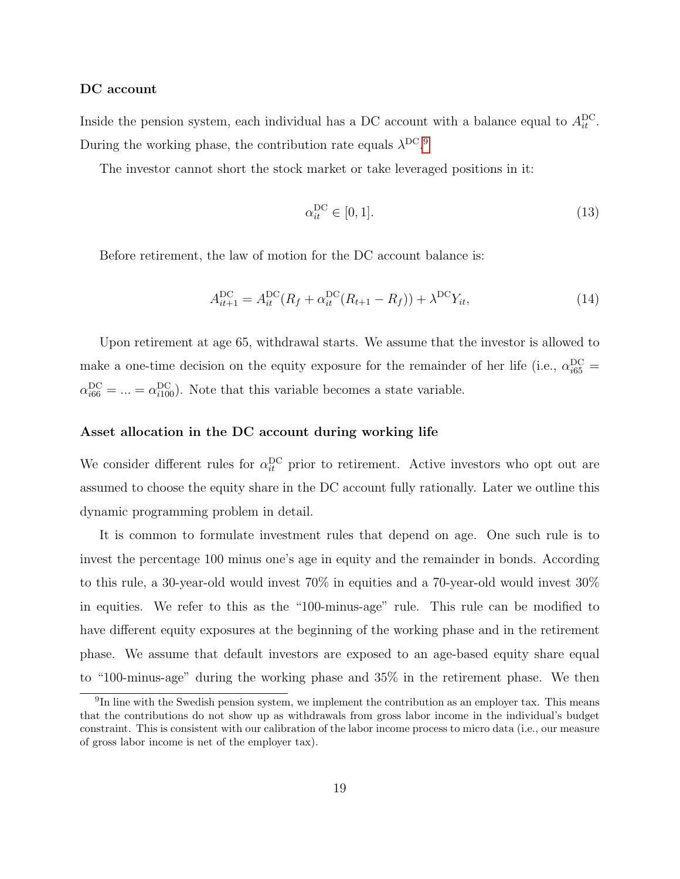#### DC account

Inside the pension system, each individual has a DC account with a balance equal to  $A_{it}^{\text{DC}}$ . During the working phase, the contribution rate equals  $\lambda^{DC}$ .<sup>[9](#page-19-0)</sup>

The investor cannot short the stock market or take leveraged positions in it:

$$
\alpha_{it}^{\mathrm{DC}} \in [0, 1]. \tag{13}
$$

Before retirement, the law of motion for the DC account balance is:

<span id="page-19-1"></span>
$$
A_{it+1}^{DC} = A_{it}^{DC}(R_f + \alpha_{it}^{DC}(R_{t+1} - R_f)) + \lambda^{DC} Y_{it},
$$
\n(14)

Upon retirement at age 65, withdrawal starts. We assume that the investor is allowed to make a one-time decision on the equity exposure for the remainder of her life (i.e.,  $\alpha_{i65}^{\rm DC}$  =  $\alpha_{i66}^{\rm DC} = ... = \alpha_{i100}^{\rm DC}$ . Note that this variable becomes a state variable.

#### Asset allocation in the DC account during working life

We consider different rules for  $\alpha_{it}^{DC}$  prior to retirement. Active investors who opt out are assumed to choose the equity share in the DC account fully rationally. Later we outline this dynamic programming problem in detail.

It is common to formulate investment rules that depend on age. One such rule is to invest the percentage 100 minus one's age in equity and the remainder in bonds. According to this rule, a 30-year-old would invest 70% in equities and a 70-year-old would invest 30% in equities. We refer to this as the "100-minus-age" rule. This rule can be modified to have different equity exposures at the beginning of the working phase and in the retirement phase. We assume that default investors are exposed to an age-based equity share equal to "100-minus-age" during the working phase and 35% in the retirement phase. We then

<span id="page-19-0"></span><sup>&</sup>lt;sup>9</sup>In line with the Swedish pension system, we implement the contribution as an employer tax. This means that the contributions do not show up as withdrawals from gross labor income in the individual's budget constraint. This is consistent with our calibration of the labor income process to micro data (i.e., our measure of gross labor income is net of the employer tax).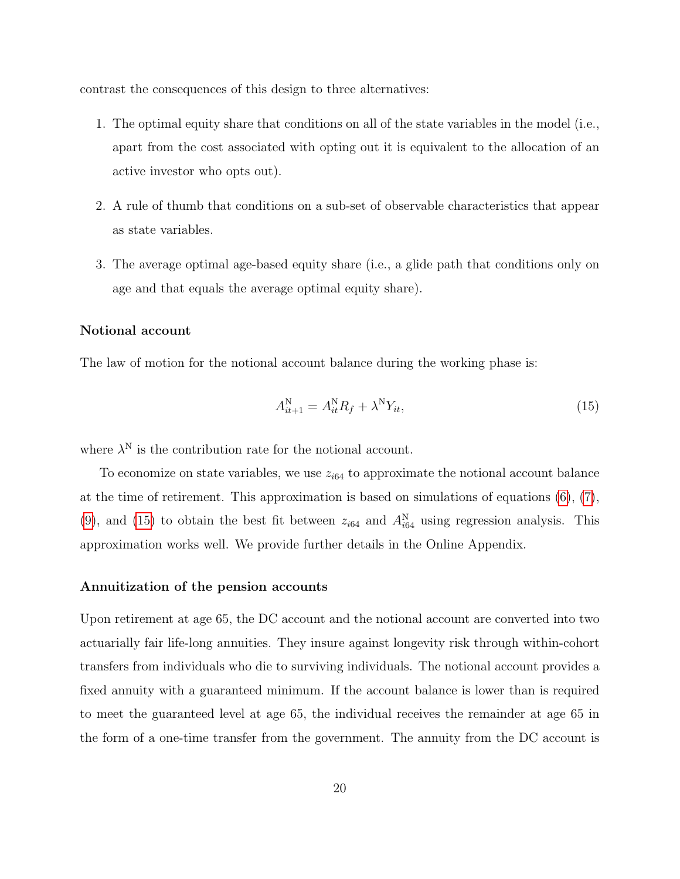contrast the consequences of this design to three alternatives:

- 1. The optimal equity share that conditions on all of the state variables in the model (i.e., apart from the cost associated with opting out it is equivalent to the allocation of an active investor who opts out).
- 2. A rule of thumb that conditions on a sub-set of observable characteristics that appear as state variables.
- 3. The average optimal age-based equity share (i.e., a glide path that conditions only on age and that equals the average optimal equity share).

#### Notional account

The law of motion for the notional account balance during the working phase is:

<span id="page-20-0"></span>
$$
A_{it+1}^N = A_{it}^N R_f + \lambda^N Y_{it},\tag{15}
$$

where  $\lambda^N$  is the contribution rate for the notional account.

To economize on state variables, we use  $z_{i64}$  to approximate the notional account balance at the time of retirement. This approximation is based on simulations of equations  $(6)$ ,  $(7)$ , [\(9\)](#page-17-0), and [\(15\)](#page-20-0) to obtain the best fit between  $z_{i64}$  and  $A_{i64}^N$  using regression analysis. This approximation works well. We provide further details in the Online Appendix.

#### Annuitization of the pension accounts

Upon retirement at age 65, the DC account and the notional account are converted into two actuarially fair life-long annuities. They insure against longevity risk through within-cohort transfers from individuals who die to surviving individuals. The notional account provides a fixed annuity with a guaranteed minimum. If the account balance is lower than is required to meet the guaranteed level at age 65, the individual receives the remainder at age 65 in the form of a one-time transfer from the government. The annuity from the DC account is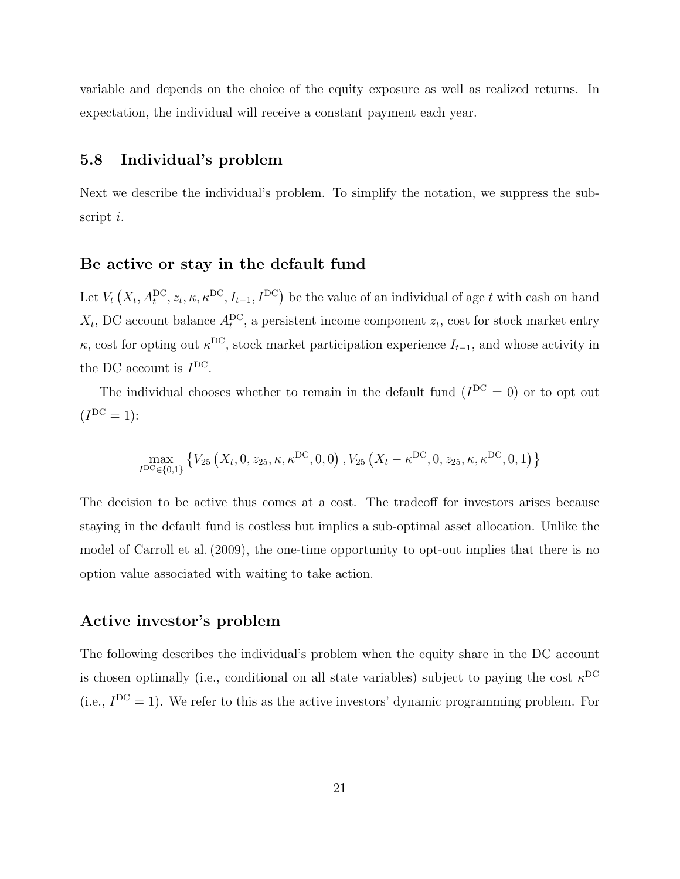variable and depends on the choice of the equity exposure as well as realized returns. In expectation, the individual will receive a constant payment each year.

## 5.8 Individual's problem

Next we describe the individual's problem. To simplify the notation, we suppress the subscript i.

## Be active or stay in the default fund

Let  $V_t(X_t, A_t^{DC}, z_t, \kappa, \kappa^{DC}, I_{t-1}, I^{DC})$  be the value of an individual of age t with cash on hand  $X_t$ , DC account balance  $A_t^{DC}$ , a persistent income component  $z_t$ , cost for stock market entry  $\kappa$ , cost for opting out  $\kappa$ <sup>DC</sup>, stock market participation experience  $I_{t-1}$ , and whose activity in the DC account is  $I^{DC}$ .

The individual chooses whether to remain in the default fund  $(I^{DC} = 0)$  or to opt out  $(I^{DC} = 1)$ :

$$
\max_{I^{DC} \in \{0,1\}} \left\{ V_{25} \left( X_t, 0, z_{25}, \kappa, \kappa^{DC}, 0, 0 \right), V_{25} \left( X_t - \kappa^{DC}, 0, z_{25}, \kappa, \kappa^{DC}, 0, 1 \right) \right\}
$$

The decision to be active thus comes at a cost. The tradeoff for investors arises because staying in the default fund is costless but implies a sub-optimal asset allocation. Unlike the model of Carroll et al. (2009), the one-time opportunity to opt-out implies that there is no option value associated with waiting to take action.

## Active investor's problem

The following describes the individual's problem when the equity share in the DC account is chosen optimally (i.e., conditional on all state variables) subject to paying the cost  $\kappa^{DC}$ (i.e.,  $I^{DC} = 1$ ). We refer to this as the active investors' dynamic programming problem. For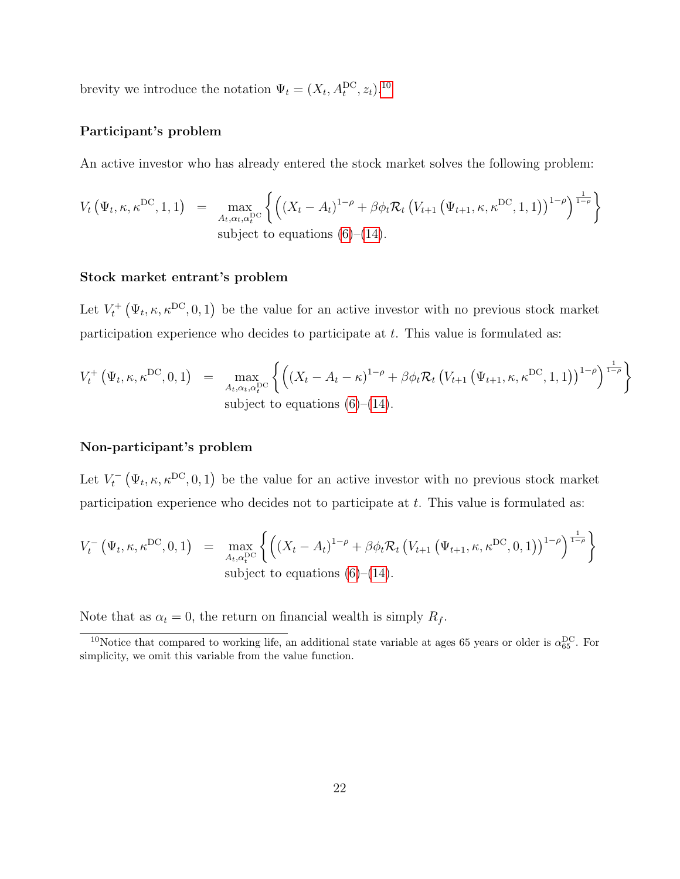brevity we introduce the notation  $\Psi_t = (X_t, A_t^{DC}, z_t)$ .<sup>[10](#page-22-0)</sup>

#### Participant's problem

An active investor who has already entered the stock market solves the following problem:

$$
V_t(\Psi_t, \kappa, \kappa^{\text{DC}}, 1, 1) = \max_{A_t, \alpha_t, \alpha_t^{\text{DC}}} \left\{ \left( (X_t - A_t)^{1-\rho} + \beta \phi_t \mathcal{R}_t \left( V_{t+1} \left( \Psi_{t+1}, \kappa, \kappa^{\text{DC}}, 1, 1 \right) \right)^{1-\rho} \right)^{\frac{1}{1-\rho}} \right\}
$$
\nsubject to equations (6)–(14).

#### Stock market entrant's problem

Let  $V_t^+\left(\Psi_t,\kappa,\kappa^{DC},0,1\right)$  be the value for an active investor with no previous stock market participation experience who decides to participate at t. This value is formulated as:

$$
V_t^+\left(\Psi_t, \kappa, \kappa^{\text{DC}}, 0, 1\right) = \max_{A_t, \alpha_t, \alpha_t^{\text{DC}}} \left\{ \left( \left(X_t - A_t - \kappa\right)^{1-\rho} + \beta \phi_t \mathcal{R}_t \left(V_{t+1}\left(\Psi_{t+1}, \kappa, \kappa^{\text{DC}}, 1, 1\right)\right)^{1-\rho} \right)^{\frac{1}{1-\rho}} \right\}
$$
\nsubject to equations (6)–(14).

#### Non-participant's problem

Let  $V_t^-(\Psi_t, \kappa, \kappa^{DC}, 0, 1)$  be the value for an active investor with no previous stock market participation experience who decides not to participate at t. This value is formulated as:

$$
V_t^-\left(\Psi_t, \kappa, \kappa^{\text{DC}}, 0, 1\right) = \max_{A_t, \alpha_t^{\text{DC}}} \left\{ \left( (X_t - A_t)^{1-\rho} + \beta \phi_t \mathcal{R}_t \left( V_{t+1} \left( \Psi_{t+1}, \kappa, \kappa^{\text{DC}}, 0, 1 \right) \right)^{1-\rho} \right)^{\frac{1}{1-\rho}} \right\}
$$
\nsubject to equations (6)–(14).

Note that as  $\alpha_t = 0$ , the return on financial wealth is simply  $R_f$ .

<span id="page-22-0"></span><sup>&</sup>lt;sup>10</sup>Notice that compared to working life, an additional state variable at ages 65 years or older is  $\alpha_{65}^{DC}$ . For simplicity, we omit this variable from the value function.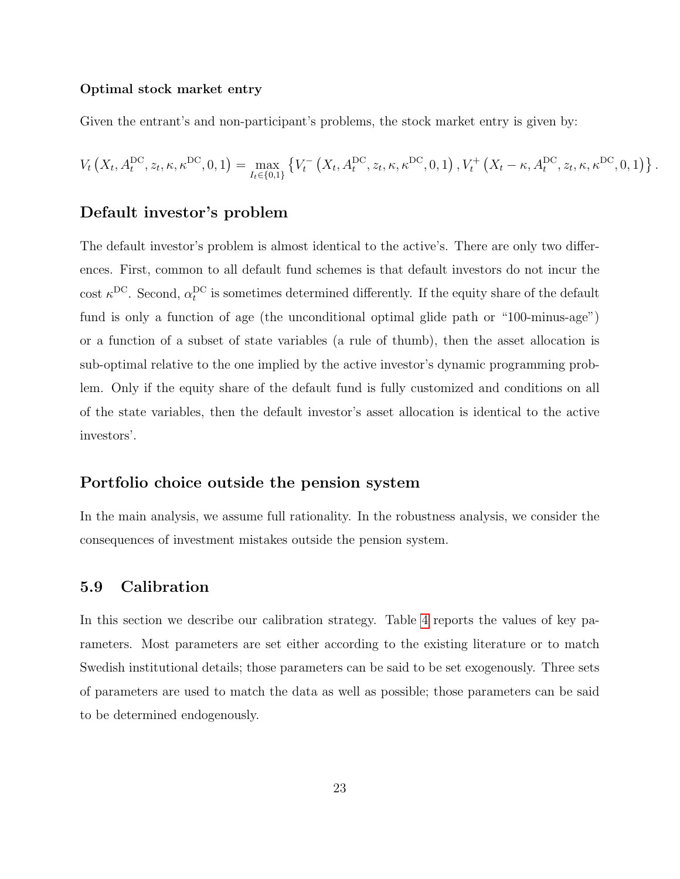#### Optimal stock market entry

Given the entrant's and non-participant's problems, the stock market entry is given by:

$$
V_t\left(X_t, A_t^{\text{DC}}, z_t, \kappa, \kappa^{\text{DC}}, 0, 1\right) = \max_{I_t \in \{0, 1\}} \left\{ V_t^-\left(X_t, A_t^{\text{DC}}, z_t, \kappa, \kappa^{\text{DC}}, 0, 1\right), V_t^+\left(X_t - \kappa, A_t^{\text{DC}}, z_t, \kappa, \kappa^{\text{DC}}, 0, 1\right) \right\}.
$$

## Default investor's problem

The default investor's problem is almost identical to the active's. There are only two differences. First, common to all default fund schemes is that default investors do not incur the cost  $\kappa^{\rm DC}$ . Second,  $\alpha_t^{\rm DC}$  is sometimes determined differently. If the equity share of the default fund is only a function of age (the unconditional optimal glide path or "100-minus-age") or a function of a subset of state variables (a rule of thumb), then the asset allocation is sub-optimal relative to the one implied by the active investor's dynamic programming problem. Only if the equity share of the default fund is fully customized and conditions on all of the state variables, then the default investor's asset allocation is identical to the active investors'.

### Portfolio choice outside the pension system

In the main analysis, we assume full rationality. In the robustness analysis, we consider the consequences of investment mistakes outside the pension system.

## 5.9 Calibration

In this section we describe our calibration strategy. Table [4](#page-52-0) reports the values of key parameters. Most parameters are set either according to the existing literature or to match Swedish institutional details; those parameters can be said to be set exogenously. Three sets of parameters are used to match the data as well as possible; those parameters can be said to be determined endogenously.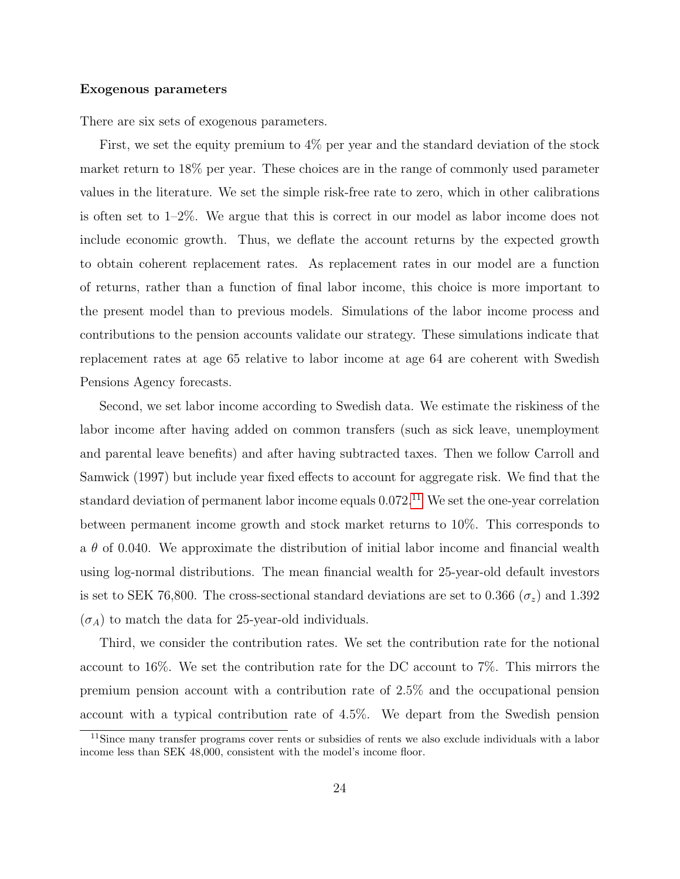#### Exogenous parameters

There are six sets of exogenous parameters.

First, we set the equity premium to 4% per year and the standard deviation of the stock market return to 18% per year. These choices are in the range of commonly used parameter values in the literature. We set the simple risk-free rate to zero, which in other calibrations is often set to 1–2%. We argue that this is correct in our model as labor income does not include economic growth. Thus, we deflate the account returns by the expected growth to obtain coherent replacement rates. As replacement rates in our model are a function of returns, rather than a function of final labor income, this choice is more important to the present model than to previous models. Simulations of the labor income process and contributions to the pension accounts validate our strategy. These simulations indicate that replacement rates at age 65 relative to labor income at age 64 are coherent with Swedish Pensions Agency forecasts.

Second, we set labor income according to Swedish data. We estimate the riskiness of the labor income after having added on common transfers (such as sick leave, unemployment and parental leave benefits) and after having subtracted taxes. Then we follow Carroll and Samwick (1997) but include year fixed effects to account for aggregate risk. We find that the standard deviation of permanent labor income equals  $0.072$ .<sup>[11](#page-24-0)</sup> We set the one-year correlation between permanent income growth and stock market returns to 10%. This corresponds to a  $\theta$  of 0.040. We approximate the distribution of initial labor income and financial wealth using log-normal distributions. The mean financial wealth for 25-year-old default investors is set to SEK 76,800. The cross-sectional standard deviations are set to 0.366 ( $\sigma_z$ ) and 1.392  $(\sigma_A)$  to match the data for 25-year-old individuals.

Third, we consider the contribution rates. We set the contribution rate for the notional account to 16%. We set the contribution rate for the DC account to 7%. This mirrors the premium pension account with a contribution rate of 2.5% and the occupational pension account with a typical contribution rate of 4.5%. We depart from the Swedish pension

<span id="page-24-0"></span><sup>11</sup>Since many transfer programs cover rents or subsidies of rents we also exclude individuals with a labor income less than SEK 48,000, consistent with the model's income floor.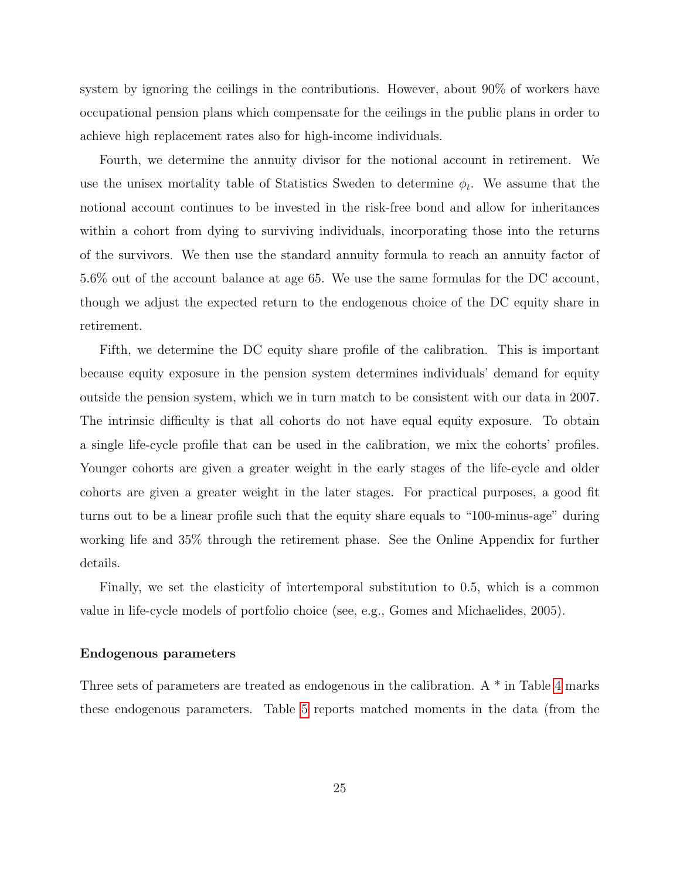system by ignoring the ceilings in the contributions. However, about 90% of workers have occupational pension plans which compensate for the ceilings in the public plans in order to achieve high replacement rates also for high-income individuals.

Fourth, we determine the annuity divisor for the notional account in retirement. We use the unisex mortality table of Statistics Sweden to determine  $\phi_t$ . We assume that the notional account continues to be invested in the risk-free bond and allow for inheritances within a cohort from dying to surviving individuals, incorporating those into the returns of the survivors. We then use the standard annuity formula to reach an annuity factor of 5.6% out of the account balance at age 65. We use the same formulas for the DC account, though we adjust the expected return to the endogenous choice of the DC equity share in retirement.

Fifth, we determine the DC equity share profile of the calibration. This is important because equity exposure in the pension system determines individuals' demand for equity outside the pension system, which we in turn match to be consistent with our data in 2007. The intrinsic difficulty is that all cohorts do not have equal equity exposure. To obtain a single life-cycle profile that can be used in the calibration, we mix the cohorts' profiles. Younger cohorts are given a greater weight in the early stages of the life-cycle and older cohorts are given a greater weight in the later stages. For practical purposes, a good fit turns out to be a linear profile such that the equity share equals to "100-minus-age" during working life and 35% through the retirement phase. See the Online Appendix for further details.

Finally, we set the elasticity of intertemporal substitution to 0.5, which is a common value in life-cycle models of portfolio choice (see, e.g., Gomes and Michaelides, 2005).

#### Endogenous parameters

Three sets of parameters are treated as endogenous in the calibration. A \* in Table [4](#page-52-0) marks these endogenous parameters. Table [5](#page-53-0) reports matched moments in the data (from the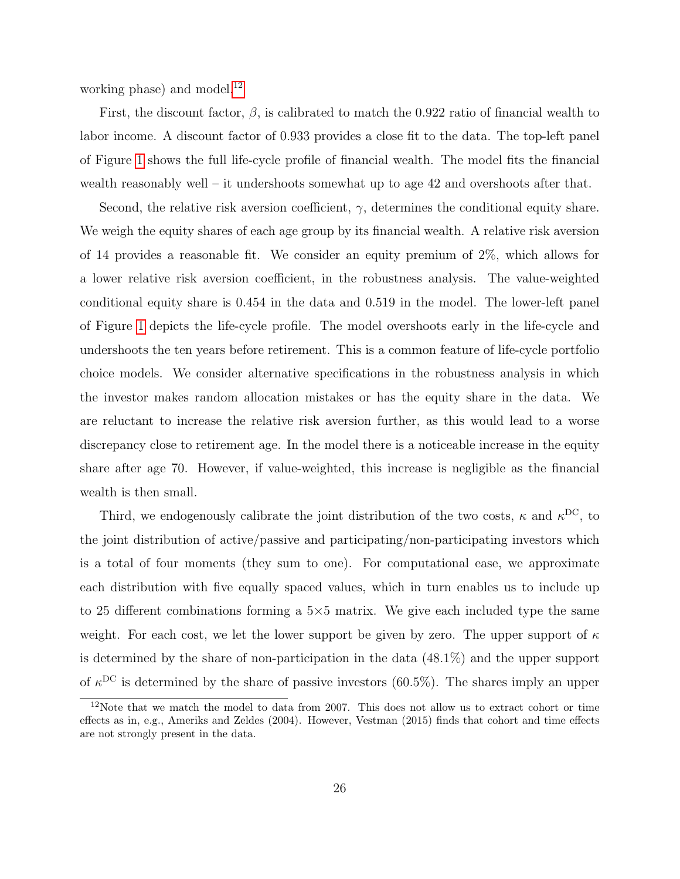working phase) and model. $^{12}$  $^{12}$  $^{12}$ 

First, the discount factor,  $\beta$ , is calibrated to match the 0.922 ratio of financial wealth to labor income. A discount factor of 0.933 provides a close fit to the data. The top-left panel of Figure [1](#page-56-0) shows the full life-cycle profile of financial wealth. The model fits the financial wealth reasonably well – it undershoots somewhat up to age 42 and overshoots after that.

Second, the relative risk aversion coefficient,  $\gamma$ , determines the conditional equity share. We weigh the equity shares of each age group by its financial wealth. A relative risk aversion of 14 provides a reasonable fit. We consider an equity premium of 2%, which allows for a lower relative risk aversion coefficient, in the robustness analysis. The value-weighted conditional equity share is 0.454 in the data and 0.519 in the model. The lower-left panel of Figure [1](#page-56-0) depicts the life-cycle profile. The model overshoots early in the life-cycle and undershoots the ten years before retirement. This is a common feature of life-cycle portfolio choice models. We consider alternative specifications in the robustness analysis in which the investor makes random allocation mistakes or has the equity share in the data. We are reluctant to increase the relative risk aversion further, as this would lead to a worse discrepancy close to retirement age. In the model there is a noticeable increase in the equity share after age 70. However, if value-weighted, this increase is negligible as the financial wealth is then small.

Third, we endogenously calibrate the joint distribution of the two costs,  $\kappa$  and  $\kappa^{DC}$ , to the joint distribution of active/passive and participating/non-participating investors which is a total of four moments (they sum to one). For computational ease, we approximate each distribution with five equally spaced values, which in turn enables us to include up to 25 different combinations forming a 5×5 matrix. We give each included type the same weight. For each cost, we let the lower support be given by zero. The upper support of  $\kappa$ is determined by the share of non-participation in the data (48.1%) and the upper support of  $\kappa^{DC}$  is determined by the share of passive investors (60.5%). The shares imply an upper

<span id="page-26-0"></span><sup>&</sup>lt;sup>12</sup>Note that we match the model to data from 2007. This does not allow us to extract cohort or time effects as in, e.g., Ameriks and Zeldes (2004). However, Vestman (2015) finds that cohort and time effects are not strongly present in the data.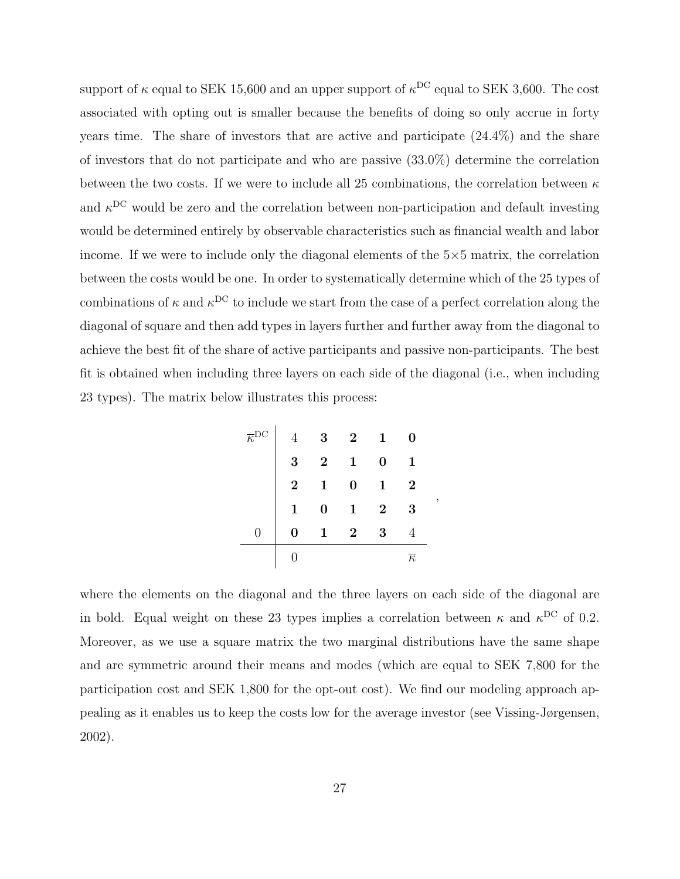support of  $\kappa$  equal to SEK 15,600 and an upper support of  $\kappa^{\rm DC}$  equal to SEK 3,600. The cost associated with opting out is smaller because the benefits of doing so only accrue in forty years time. The share of investors that are active and participate (24.4%) and the share of investors that do not participate and who are passive (33.0%) determine the correlation between the two costs. If we were to include all 25 combinations, the correlation between  $\kappa$ and  $\kappa$ <sup>DC</sup> would be zero and the correlation between non-participation and default investing would be determined entirely by observable characteristics such as financial wealth and labor income. If we were to include only the diagonal elements of the  $5\times 5$  matrix, the correlation between the costs would be one. In order to systematically determine which of the 25 types of combinations of  $\kappa$  and  $\kappa$ <sup>DC</sup> to include we start from the case of a perfect correlation along the diagonal of square and then add types in layers further and further away from the diagonal to achieve the best fit of the share of active participants and passive non-participants. The best fit is obtained when including three layers on each side of the diagonal (i.e., when including 23 types). The matrix below illustrates this process:

|                         | $\bf{3}$                                       | $\overline{\mathbf{2}}$ | 1              |                     |
|-------------------------|------------------------------------------------|-------------------------|----------------|---------------------|
| $\boldsymbol{3}$        | $\overline{\textbf{2}}$                        | $\mathbf{1}$            | 0              | $\mathbf{1}$        |
| $\overline{\mathbf{2}}$ | $\begin{array}{ccc} 1 & 0 \ 0 & 1 \end{array}$ |                         |                | $\overline{2}$      |
| $\overline{1}$          |                                                |                         | $\overline{2}$ | 3                   |
|                         |                                                | $1\quad 2$              | 3              |                     |
|                         |                                                |                         |                | $\overline{\kappa}$ |

,

where the elements on the diagonal and the three layers on each side of the diagonal are in bold. Equal weight on these 23 types implies a correlation between  $\kappa$  and  $\kappa^{DC}$  of 0.2. Moreover, as we use a square matrix the two marginal distributions have the same shape and are symmetric around their means and modes (which are equal to SEK 7,800 for the participation cost and SEK 1,800 for the opt-out cost). We find our modeling approach appealing as it enables us to keep the costs low for the average investor (see Vissing-Jørgensen, 2002).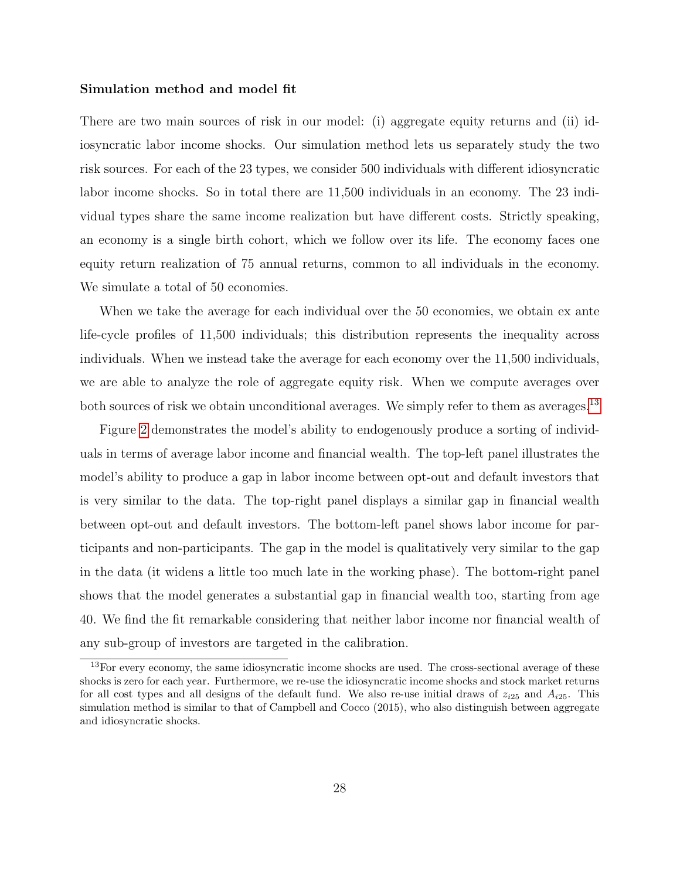#### Simulation method and model fit

There are two main sources of risk in our model: (i) aggregate equity returns and (ii) idiosyncratic labor income shocks. Our simulation method lets us separately study the two risk sources. For each of the 23 types, we consider 500 individuals with different idiosyncratic labor income shocks. So in total there are 11,500 individuals in an economy. The 23 individual types share the same income realization but have different costs. Strictly speaking, an economy is a single birth cohort, which we follow over its life. The economy faces one equity return realization of 75 annual returns, common to all individuals in the economy. We simulate a total of 50 economies.

When we take the average for each individual over the 50 economies, we obtain ex ante life-cycle profiles of 11,500 individuals; this distribution represents the inequality across individuals. When we instead take the average for each economy over the 11,500 individuals, we are able to analyze the role of aggregate equity risk. When we compute averages over both sources of risk we obtain unconditional averages. We simply refer to them as averages.<sup>[13](#page-28-0)</sup>

Figure [2](#page-57-0) demonstrates the model's ability to endogenously produce a sorting of individuals in terms of average labor income and financial wealth. The top-left panel illustrates the model's ability to produce a gap in labor income between opt-out and default investors that is very similar to the data. The top-right panel displays a similar gap in financial wealth between opt-out and default investors. The bottom-left panel shows labor income for participants and non-participants. The gap in the model is qualitatively very similar to the gap in the data (it widens a little too much late in the working phase). The bottom-right panel shows that the model generates a substantial gap in financial wealth too, starting from age 40. We find the fit remarkable considering that neither labor income nor financial wealth of any sub-group of investors are targeted in the calibration.

<span id="page-28-0"></span><sup>&</sup>lt;sup>13</sup>For every economy, the same idiosyncratic income shocks are used. The cross-sectional average of these shocks is zero for each year. Furthermore, we re-use the idiosyncratic income shocks and stock market returns for all cost types and all designs of the default fund. We also re-use initial draws of  $z_{i25}$  and  $A_{i25}$ . This simulation method is similar to that of Campbell and Cocco (2015), who also distinguish between aggregate and idiosyncratic shocks.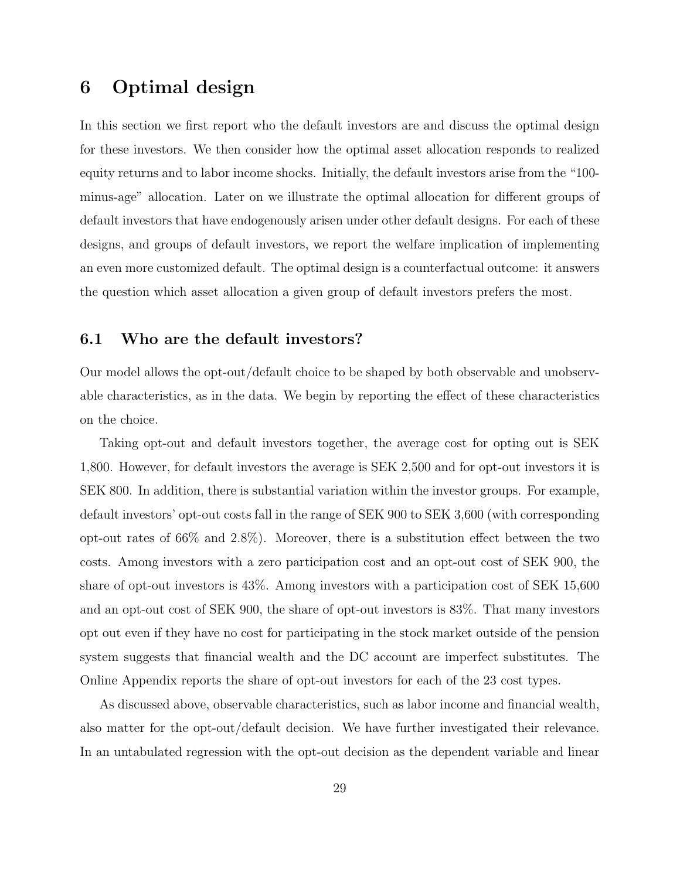# <span id="page-29-0"></span>6 Optimal design

In this section we first report who the default investors are and discuss the optimal design for these investors. We then consider how the optimal asset allocation responds to realized equity returns and to labor income shocks. Initially, the default investors arise from the "100 minus-age" allocation. Later on we illustrate the optimal allocation for different groups of default investors that have endogenously arisen under other default designs. For each of these designs, and groups of default investors, we report the welfare implication of implementing an even more customized default. The optimal design is a counterfactual outcome: it answers the question which asset allocation a given group of default investors prefers the most.

## 6.1 Who are the default investors?

Our model allows the opt-out/default choice to be shaped by both observable and unobservable characteristics, as in the data. We begin by reporting the effect of these characteristics on the choice.

Taking opt-out and default investors together, the average cost for opting out is SEK 1,800. However, for default investors the average is SEK 2,500 and for opt-out investors it is SEK 800. In addition, there is substantial variation within the investor groups. For example, default investors' opt-out costs fall in the range of SEK 900 to SEK 3,600 (with corresponding opt-out rates of 66% and 2.8%). Moreover, there is a substitution effect between the two costs. Among investors with a zero participation cost and an opt-out cost of SEK 900, the share of opt-out investors is 43%. Among investors with a participation cost of SEK 15,600 and an opt-out cost of SEK 900, the share of opt-out investors is 83%. That many investors opt out even if they have no cost for participating in the stock market outside of the pension system suggests that financial wealth and the DC account are imperfect substitutes. The Online Appendix reports the share of opt-out investors for each of the 23 cost types.

As discussed above, observable characteristics, such as labor income and financial wealth, also matter for the opt-out/default decision. We have further investigated their relevance. In an untabulated regression with the opt-out decision as the dependent variable and linear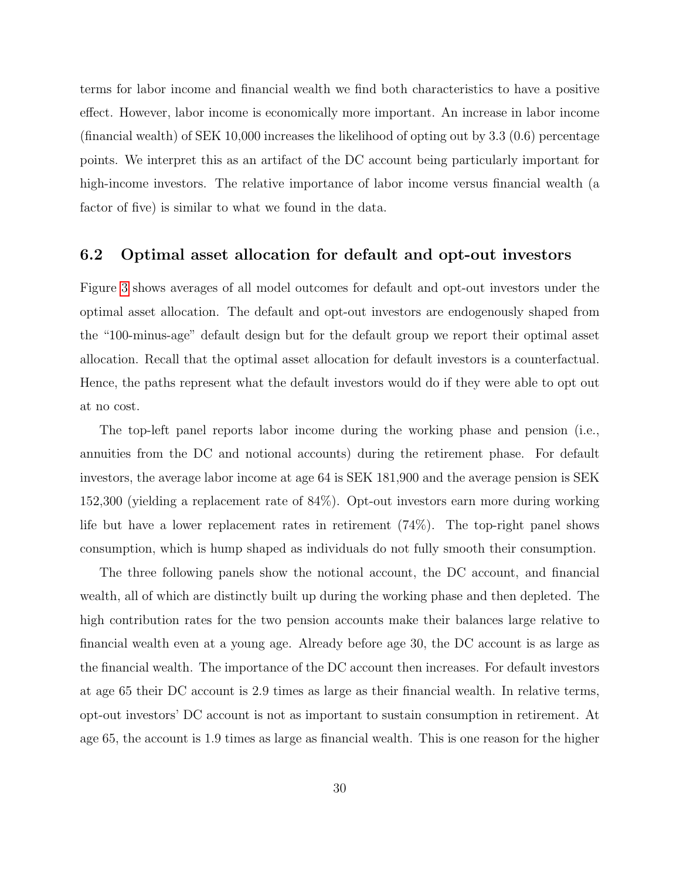terms for labor income and financial wealth we find both characteristics to have a positive effect. However, labor income is economically more important. An increase in labor income (financial wealth) of SEK 10,000 increases the likelihood of opting out by 3.3 (0.6) percentage points. We interpret this as an artifact of the DC account being particularly important for high-income investors. The relative importance of labor income versus financial wealth (a factor of five) is similar to what we found in the data.

## 6.2 Optimal asset allocation for default and opt-out investors

Figure [3](#page-58-0) shows averages of all model outcomes for default and opt-out investors under the optimal asset allocation. The default and opt-out investors are endogenously shaped from the "100-minus-age" default design but for the default group we report their optimal asset allocation. Recall that the optimal asset allocation for default investors is a counterfactual. Hence, the paths represent what the default investors would do if they were able to opt out at no cost.

The top-left panel reports labor income during the working phase and pension (i.e., annuities from the DC and notional accounts) during the retirement phase. For default investors, the average labor income at age 64 is SEK 181,900 and the average pension is SEK 152,300 (yielding a replacement rate of 84%). Opt-out investors earn more during working life but have a lower replacement rates in retirement (74%). The top-right panel shows consumption, which is hump shaped as individuals do not fully smooth their consumption.

The three following panels show the notional account, the DC account, and financial wealth, all of which are distinctly built up during the working phase and then depleted. The high contribution rates for the two pension accounts make their balances large relative to financial wealth even at a young age. Already before age 30, the DC account is as large as the financial wealth. The importance of the DC account then increases. For default investors at age 65 their DC account is 2.9 times as large as their financial wealth. In relative terms, opt-out investors' DC account is not as important to sustain consumption in retirement. At age 65, the account is 1.9 times as large as financial wealth. This is one reason for the higher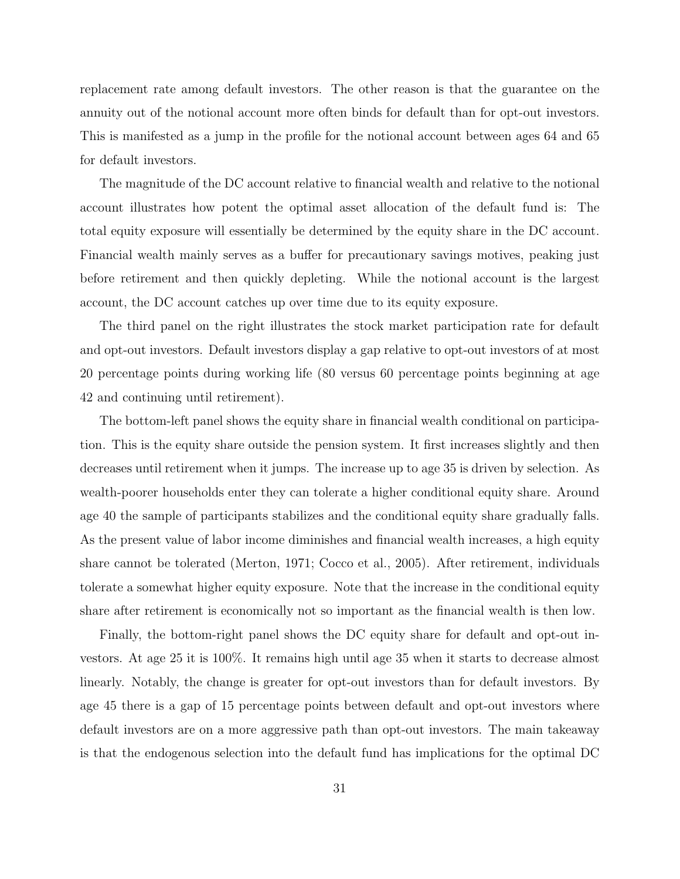replacement rate among default investors. The other reason is that the guarantee on the annuity out of the notional account more often binds for default than for opt-out investors. This is manifested as a jump in the profile for the notional account between ages 64 and 65 for default investors.

The magnitude of the DC account relative to financial wealth and relative to the notional account illustrates how potent the optimal asset allocation of the default fund is: The total equity exposure will essentially be determined by the equity share in the DC account. Financial wealth mainly serves as a buffer for precautionary savings motives, peaking just before retirement and then quickly depleting. While the notional account is the largest account, the DC account catches up over time due to its equity exposure.

The third panel on the right illustrates the stock market participation rate for default and opt-out investors. Default investors display a gap relative to opt-out investors of at most 20 percentage points during working life (80 versus 60 percentage points beginning at age 42 and continuing until retirement).

The bottom-left panel shows the equity share in financial wealth conditional on participation. This is the equity share outside the pension system. It first increases slightly and then decreases until retirement when it jumps. The increase up to age 35 is driven by selection. As wealth-poorer households enter they can tolerate a higher conditional equity share. Around age 40 the sample of participants stabilizes and the conditional equity share gradually falls. As the present value of labor income diminishes and financial wealth increases, a high equity share cannot be tolerated (Merton, 1971; Cocco et al., 2005). After retirement, individuals tolerate a somewhat higher equity exposure. Note that the increase in the conditional equity share after retirement is economically not so important as the financial wealth is then low.

Finally, the bottom-right panel shows the DC equity share for default and opt-out investors. At age 25 it is 100%. It remains high until age 35 when it starts to decrease almost linearly. Notably, the change is greater for opt-out investors than for default investors. By age 45 there is a gap of 15 percentage points between default and opt-out investors where default investors are on a more aggressive path than opt-out investors. The main takeaway is that the endogenous selection into the default fund has implications for the optimal DC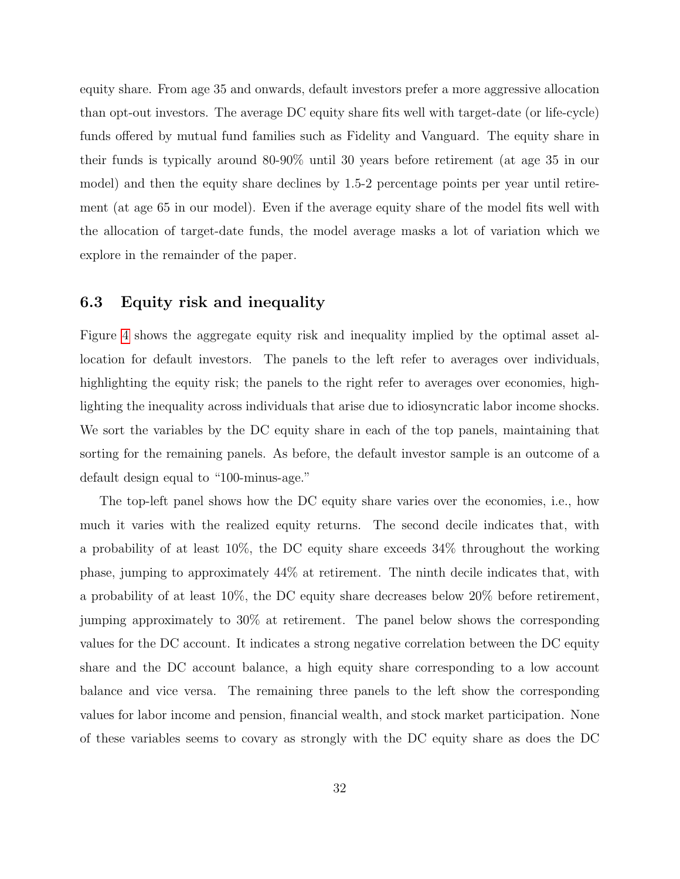equity share. From age 35 and onwards, default investors prefer a more aggressive allocation than opt-out investors. The average DC equity share fits well with target-date (or life-cycle) funds offered by mutual fund families such as Fidelity and Vanguard. The equity share in their funds is typically around 80-90% until 30 years before retirement (at age 35 in our model) and then the equity share declines by 1.5-2 percentage points per year until retirement (at age 65 in our model). Even if the average equity share of the model fits well with the allocation of target-date funds, the model average masks a lot of variation which we explore in the remainder of the paper.

## 6.3 Equity risk and inequality

Figure [4](#page-59-0) shows the aggregate equity risk and inequality implied by the optimal asset allocation for default investors. The panels to the left refer to averages over individuals, highlighting the equity risk; the panels to the right refer to averages over economies, highlighting the inequality across individuals that arise due to idiosyncratic labor income shocks. We sort the variables by the DC equity share in each of the top panels, maintaining that sorting for the remaining panels. As before, the default investor sample is an outcome of a default design equal to "100-minus-age."

The top-left panel shows how the DC equity share varies over the economies, i.e., how much it varies with the realized equity returns. The second decile indicates that, with a probability of at least 10%, the DC equity share exceeds 34% throughout the working phase, jumping to approximately 44% at retirement. The ninth decile indicates that, with a probability of at least 10%, the DC equity share decreases below 20% before retirement, jumping approximately to 30% at retirement. The panel below shows the corresponding values for the DC account. It indicates a strong negative correlation between the DC equity share and the DC account balance, a high equity share corresponding to a low account balance and vice versa. The remaining three panels to the left show the corresponding values for labor income and pension, financial wealth, and stock market participation. None of these variables seems to covary as strongly with the DC equity share as does the DC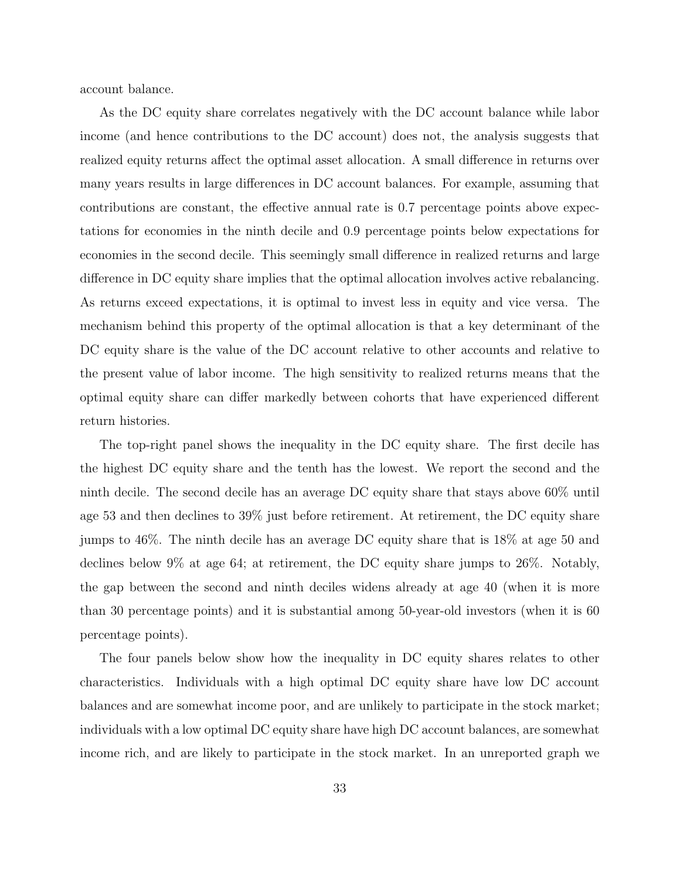account balance.

As the DC equity share correlates negatively with the DC account balance while labor income (and hence contributions to the DC account) does not, the analysis suggests that realized equity returns affect the optimal asset allocation. A small difference in returns over many years results in large differences in DC account balances. For example, assuming that contributions are constant, the effective annual rate is 0.7 percentage points above expectations for economies in the ninth decile and 0.9 percentage points below expectations for economies in the second decile. This seemingly small difference in realized returns and large difference in DC equity share implies that the optimal allocation involves active rebalancing. As returns exceed expectations, it is optimal to invest less in equity and vice versa. The mechanism behind this property of the optimal allocation is that a key determinant of the DC equity share is the value of the DC account relative to other accounts and relative to the present value of labor income. The high sensitivity to realized returns means that the optimal equity share can differ markedly between cohorts that have experienced different return histories.

The top-right panel shows the inequality in the DC equity share. The first decile has the highest DC equity share and the tenth has the lowest. We report the second and the ninth decile. The second decile has an average DC equity share that stays above 60% until age 53 and then declines to 39% just before retirement. At retirement, the DC equity share jumps to 46%. The ninth decile has an average DC equity share that is 18% at age 50 and declines below 9% at age 64; at retirement, the DC equity share jumps to 26%. Notably, the gap between the second and ninth deciles widens already at age 40 (when it is more than 30 percentage points) and it is substantial among 50-year-old investors (when it is 60 percentage points).

The four panels below show how the inequality in DC equity shares relates to other characteristics. Individuals with a high optimal DC equity share have low DC account balances and are somewhat income poor, and are unlikely to participate in the stock market; individuals with a low optimal DC equity share have high DC account balances, are somewhat income rich, and are likely to participate in the stock market. In an unreported graph we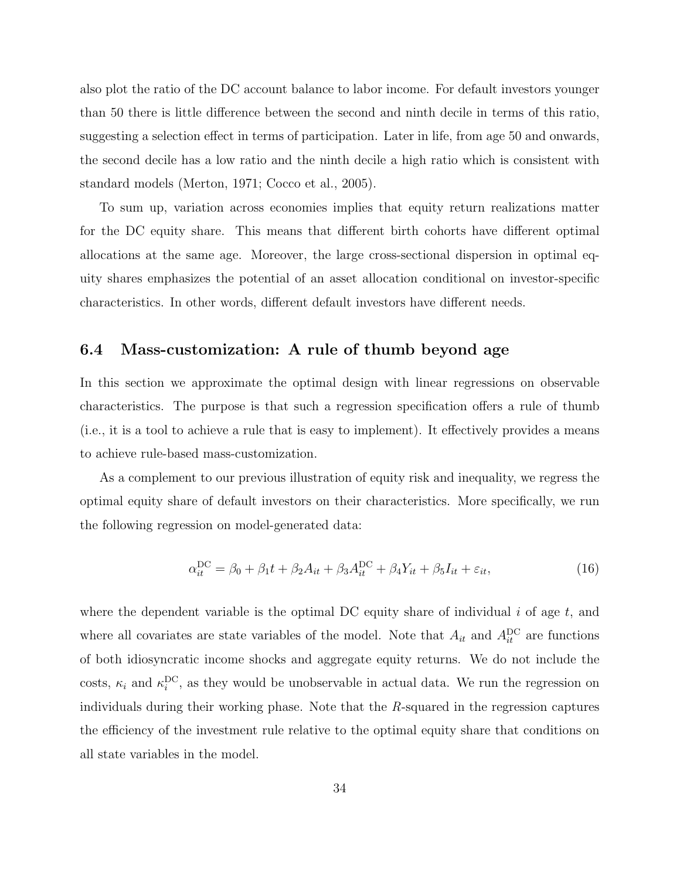also plot the ratio of the DC account balance to labor income. For default investors younger than 50 there is little difference between the second and ninth decile in terms of this ratio, suggesting a selection effect in terms of participation. Later in life, from age 50 and onwards, the second decile has a low ratio and the ninth decile a high ratio which is consistent with standard models (Merton, 1971; Cocco et al., 2005).

To sum up, variation across economies implies that equity return realizations matter for the DC equity share. This means that different birth cohorts have different optimal allocations at the same age. Moreover, the large cross-sectional dispersion in optimal equity shares emphasizes the potential of an asset allocation conditional on investor-specific characteristics. In other words, different default investors have different needs.

## 6.4 Mass-customization: A rule of thumb beyond age

In this section we approximate the optimal design with linear regressions on observable characteristics. The purpose is that such a regression specification offers a rule of thumb (i.e., it is a tool to achieve a rule that is easy to implement). It effectively provides a means to achieve rule-based mass-customization.

As a complement to our previous illustration of equity risk and inequality, we regress the optimal equity share of default investors on their characteristics. More specifically, we run the following regression on model-generated data:

$$
\alpha_{it}^{DC} = \beta_0 + \beta_1 t + \beta_2 A_{it} + \beta_3 A_{it}^{DC} + \beta_4 Y_{it} + \beta_5 I_{it} + \varepsilon_{it},\tag{16}
$$

where the dependent variable is the optimal DC equity share of individual i of age  $t$ , and where all covariates are state variables of the model. Note that  $A_{it}$  and  $A_{it}^{DC}$  are functions of both idiosyncratic income shocks and aggregate equity returns. We do not include the costs,  $\kappa_i$  and  $\kappa_i^{\text{DC}}$ , as they would be unobservable in actual data. We run the regression on individuals during their working phase. Note that the R-squared in the regression captures the efficiency of the investment rule relative to the optimal equity share that conditions on all state variables in the model.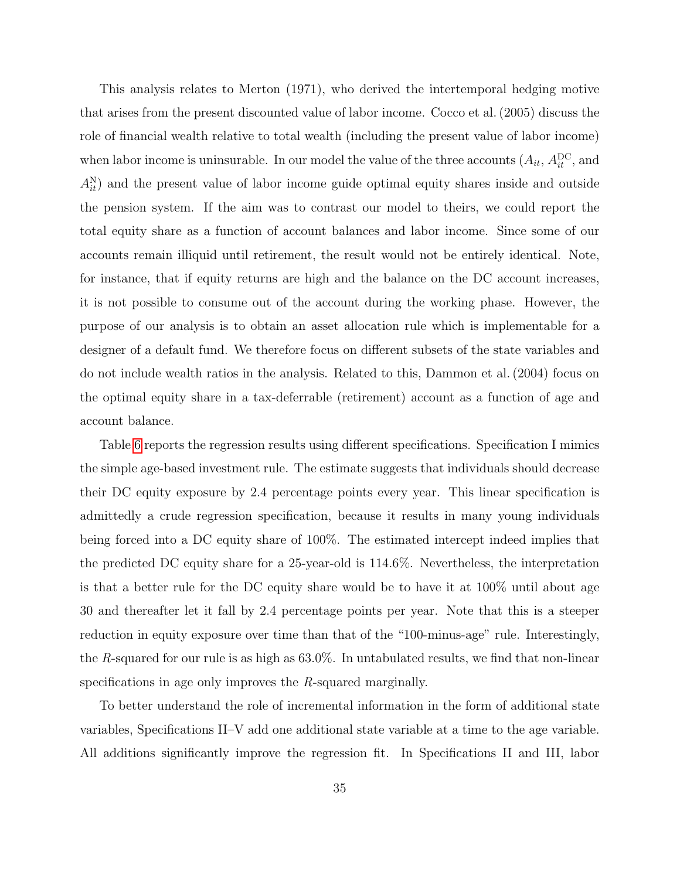This analysis relates to Merton (1971), who derived the intertemporal hedging motive that arises from the present discounted value of labor income. Cocco et al. (2005) discuss the role of financial wealth relative to total wealth (including the present value of labor income) when labor income is uninsurable. In our model the value of the three accounts  $(A_{it}, A_{it}^{\text{DC}}, A_{it})$  $A_{it}^{N}$  and the present value of labor income guide optimal equity shares inside and outside the pension system. If the aim was to contrast our model to theirs, we could report the total equity share as a function of account balances and labor income. Since some of our accounts remain illiquid until retirement, the result would not be entirely identical. Note, for instance, that if equity returns are high and the balance on the DC account increases, it is not possible to consume out of the account during the working phase. However, the purpose of our analysis is to obtain an asset allocation rule which is implementable for a designer of a default fund. We therefore focus on different subsets of the state variables and do not include wealth ratios in the analysis. Related to this, Dammon et al. (2004) focus on the optimal equity share in a tax-deferrable (retirement) account as a function of age and account balance.

Table [6](#page-54-0) reports the regression results using different specifications. Specification I mimics the simple age-based investment rule. The estimate suggests that individuals should decrease their DC equity exposure by 2.4 percentage points every year. This linear specification is admittedly a crude regression specification, because it results in many young individuals being forced into a DC equity share of 100%. The estimated intercept indeed implies that the predicted DC equity share for a 25-year-old is 114.6%. Nevertheless, the interpretation is that a better rule for the DC equity share would be to have it at 100% until about age 30 and thereafter let it fall by 2.4 percentage points per year. Note that this is a steeper reduction in equity exposure over time than that of the "100-minus-age" rule. Interestingly, the R-squared for our rule is as high as  $63.0\%$ . In untabulated results, we find that non-linear specifications in age only improves the R-squared marginally.

To better understand the role of incremental information in the form of additional state variables, Specifications II–V add one additional state variable at a time to the age variable. All additions significantly improve the regression fit. In Specifications II and III, labor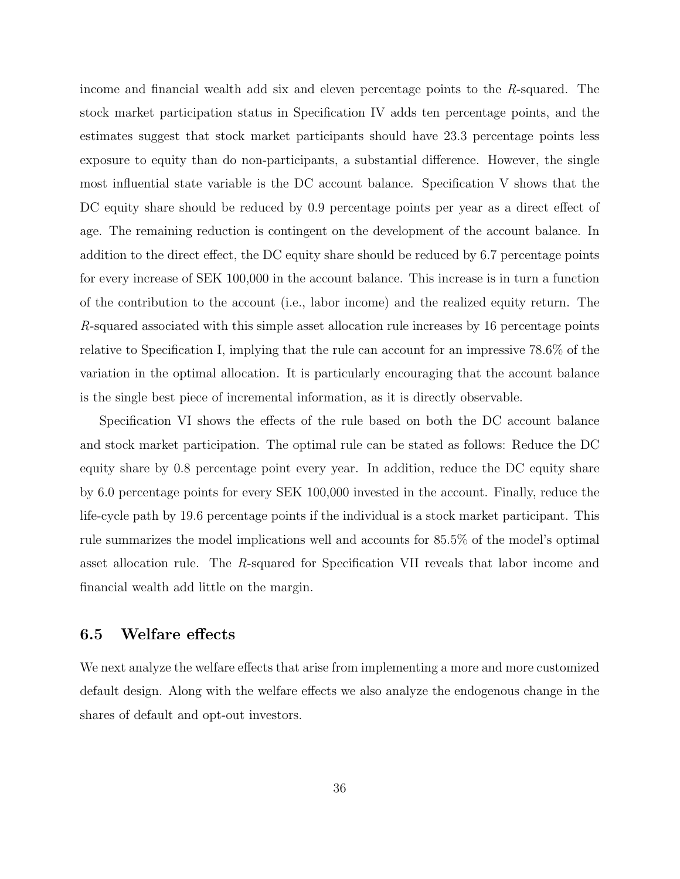income and financial wealth add six and eleven percentage points to the R-squared. The stock market participation status in Specification IV adds ten percentage points, and the estimates suggest that stock market participants should have 23.3 percentage points less exposure to equity than do non-participants, a substantial difference. However, the single most influential state variable is the DC account balance. Specification V shows that the DC equity share should be reduced by 0.9 percentage points per year as a direct effect of age. The remaining reduction is contingent on the development of the account balance. In addition to the direct effect, the DC equity share should be reduced by 6.7 percentage points for every increase of SEK 100,000 in the account balance. This increase is in turn a function of the contribution to the account (i.e., labor income) and the realized equity return. The R-squared associated with this simple asset allocation rule increases by 16 percentage points relative to Specification I, implying that the rule can account for an impressive 78.6% of the variation in the optimal allocation. It is particularly encouraging that the account balance is the single best piece of incremental information, as it is directly observable.

Specification VI shows the effects of the rule based on both the DC account balance and stock market participation. The optimal rule can be stated as follows: Reduce the DC equity share by 0.8 percentage point every year. In addition, reduce the DC equity share by 6.0 percentage points for every SEK 100,000 invested in the account. Finally, reduce the life-cycle path by 19.6 percentage points if the individual is a stock market participant. This rule summarizes the model implications well and accounts for 85.5% of the model's optimal asset allocation rule. The R-squared for Specification VII reveals that labor income and financial wealth add little on the margin.

## 6.5 Welfare effects

We next analyze the welfare effects that arise from implementing a more and more customized default design. Along with the welfare effects we also analyze the endogenous change in the shares of default and opt-out investors.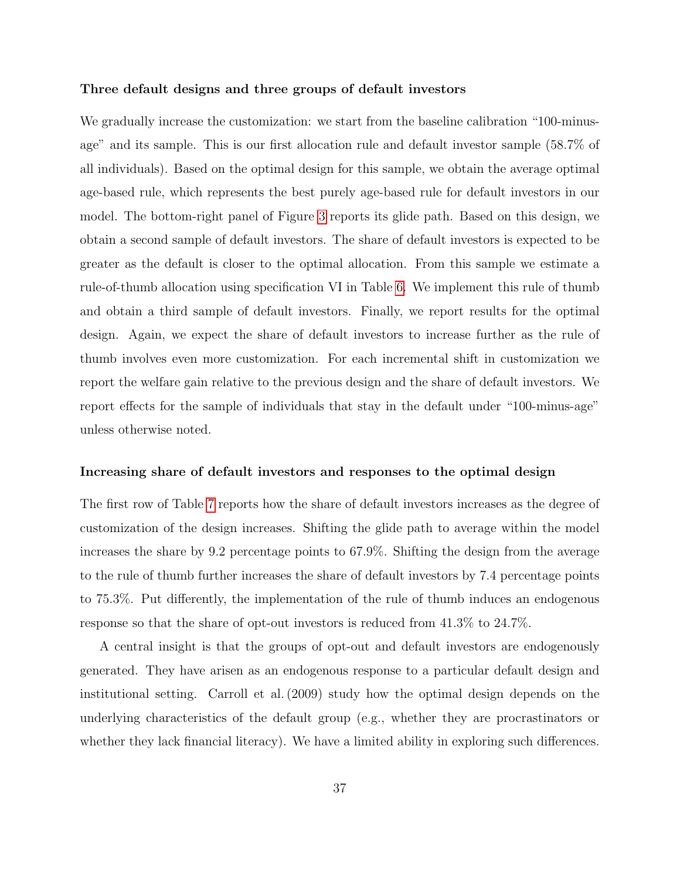#### Three default designs and three groups of default investors

We gradually increase the customization: we start from the baseline calibration "100-minusage" and its sample. This is our first allocation rule and default investor sample (58.7% of all individuals). Based on the optimal design for this sample, we obtain the average optimal age-based rule, which represents the best purely age-based rule for default investors in our model. The bottom-right panel of Figure [3](#page-58-0) reports its glide path. Based on this design, we obtain a second sample of default investors. The share of default investors is expected to be greater as the default is closer to the optimal allocation. From this sample we estimate a rule-of-thumb allocation using specification VI in Table [6.](#page-54-0) We implement this rule of thumb and obtain a third sample of default investors. Finally, we report results for the optimal design. Again, we expect the share of default investors to increase further as the rule of thumb involves even more customization. For each incremental shift in customization we report the welfare gain relative to the previous design and the share of default investors. We report effects for the sample of individuals that stay in the default under "100-minus-age" unless otherwise noted.

#### Increasing share of default investors and responses to the optimal design

The first row of Table [7](#page-55-0) reports how the share of default investors increases as the degree of customization of the design increases. Shifting the glide path to average within the model increases the share by 9.2 percentage points to 67.9%. Shifting the design from the average to the rule of thumb further increases the share of default investors by 7.4 percentage points to 75.3%. Put differently, the implementation of the rule of thumb induces an endogenous response so that the share of opt-out investors is reduced from 41.3% to 24.7%.

A central insight is that the groups of opt-out and default investors are endogenously generated. They have arisen as an endogenous response to a particular default design and institutional setting. Carroll et al. (2009) study how the optimal design depends on the underlying characteristics of the default group (e.g., whether they are procrastinators or whether they lack financial literacy). We have a limited ability in exploring such differences.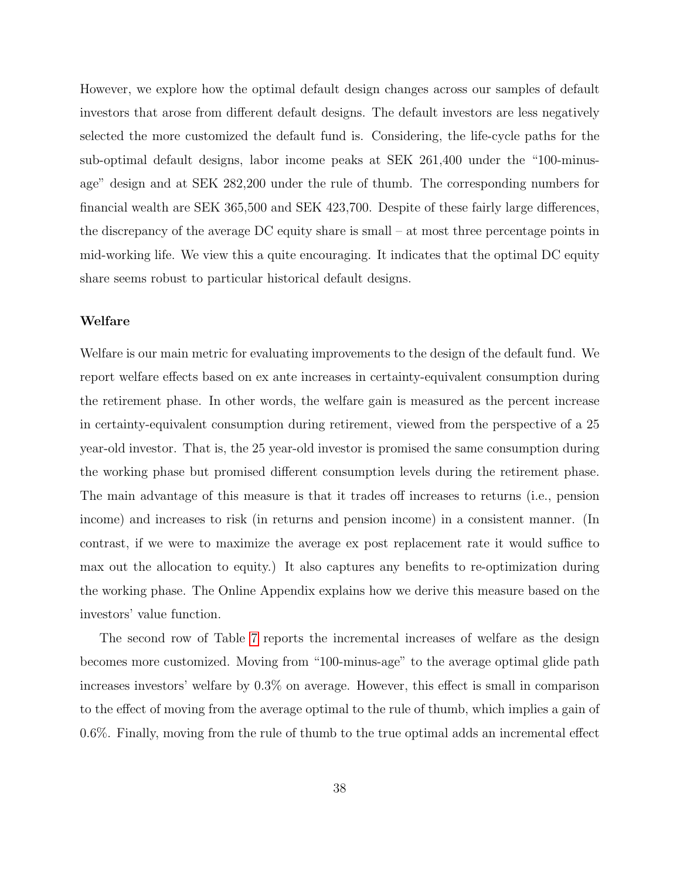However, we explore how the optimal default design changes across our samples of default investors that arose from different default designs. The default investors are less negatively selected the more customized the default fund is. Considering, the life-cycle paths for the sub-optimal default designs, labor income peaks at SEK 261,400 under the "100-minusage" design and at SEK 282,200 under the rule of thumb. The corresponding numbers for financial wealth are SEK 365,500 and SEK 423,700. Despite of these fairly large differences, the discrepancy of the average DC equity share is small – at most three percentage points in mid-working life. We view this a quite encouraging. It indicates that the optimal DC equity share seems robust to particular historical default designs.

#### Welfare

Welfare is our main metric for evaluating improvements to the design of the default fund. We report welfare effects based on ex ante increases in certainty-equivalent consumption during the retirement phase. In other words, the welfare gain is measured as the percent increase in certainty-equivalent consumption during retirement, viewed from the perspective of a 25 year-old investor. That is, the 25 year-old investor is promised the same consumption during the working phase but promised different consumption levels during the retirement phase. The main advantage of this measure is that it trades off increases to returns (i.e., pension income) and increases to risk (in returns and pension income) in a consistent manner. (In contrast, if we were to maximize the average ex post replacement rate it would suffice to max out the allocation to equity.) It also captures any benefits to re-optimization during the working phase. The Online Appendix explains how we derive this measure based on the investors' value function.

The second row of Table [7](#page-55-0) reports the incremental increases of welfare as the design becomes more customized. Moving from "100-minus-age" to the average optimal glide path increases investors' welfare by 0.3% on average. However, this effect is small in comparison to the effect of moving from the average optimal to the rule of thumb, which implies a gain of 0.6%. Finally, moving from the rule of thumb to the true optimal adds an incremental effect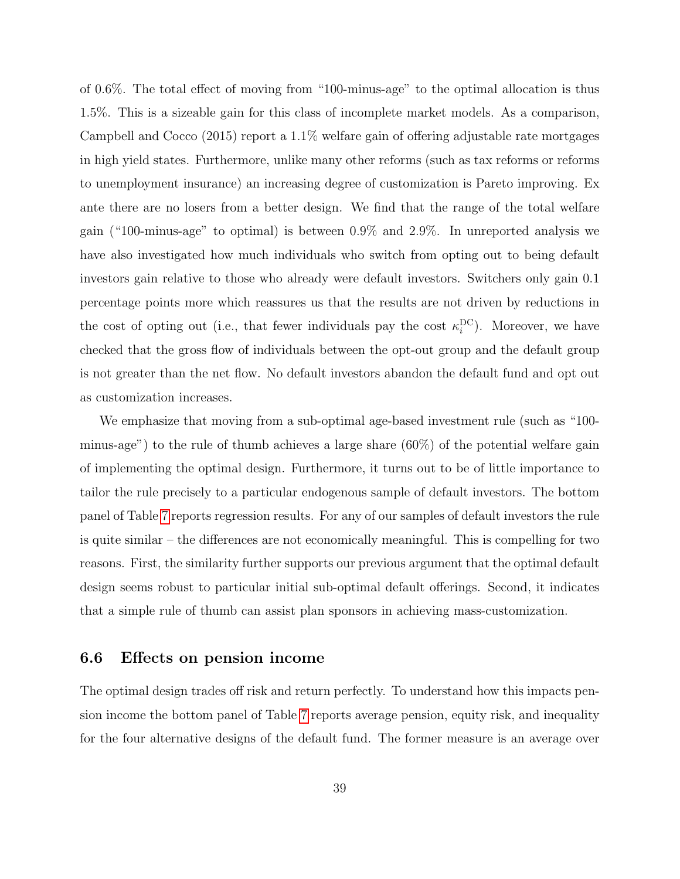of 0.6%. The total effect of moving from "100-minus-age" to the optimal allocation is thus 1.5%. This is a sizeable gain for this class of incomplete market models. As a comparison, Campbell and Cocco (2015) report a 1.1% welfare gain of offering adjustable rate mortgages in high yield states. Furthermore, unlike many other reforms (such as tax reforms or reforms to unemployment insurance) an increasing degree of customization is Pareto improving. Ex ante there are no losers from a better design. We find that the range of the total welfare gain ("100-minus-age" to optimal) is between 0.9% and 2.9%. In unreported analysis we have also investigated how much individuals who switch from opting out to being default investors gain relative to those who already were default investors. Switchers only gain 0.1 percentage points more which reassures us that the results are not driven by reductions in the cost of opting out (i.e., that fewer individuals pay the cost  $\kappa_i^{\rm DC}$ ). Moreover, we have checked that the gross flow of individuals between the opt-out group and the default group is not greater than the net flow. No default investors abandon the default fund and opt out as customization increases.

We emphasize that moving from a sub-optimal age-based investment rule (such as "100 minus-age") to the rule of thumb achieves a large share (60%) of the potential welfare gain of implementing the optimal design. Furthermore, it turns out to be of little importance to tailor the rule precisely to a particular endogenous sample of default investors. The bottom panel of Table [7](#page-55-0) reports regression results. For any of our samples of default investors the rule is quite similar – the differences are not economically meaningful. This is compelling for two reasons. First, the similarity further supports our previous argument that the optimal default design seems robust to particular initial sub-optimal default offerings. Second, it indicates that a simple rule of thumb can assist plan sponsors in achieving mass-customization.

## 6.6 Effects on pension income

The optimal design trades off risk and return perfectly. To understand how this impacts pension income the bottom panel of Table [7](#page-55-0) reports average pension, equity risk, and inequality for the four alternative designs of the default fund. The former measure is an average over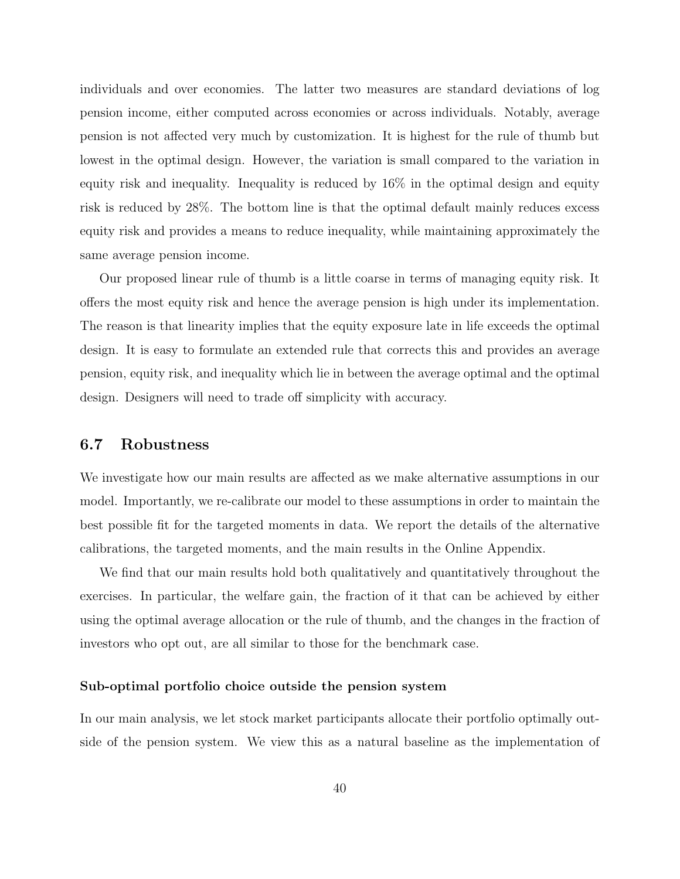individuals and over economies. The latter two measures are standard deviations of log pension income, either computed across economies or across individuals. Notably, average pension is not affected very much by customization. It is highest for the rule of thumb but lowest in the optimal design. However, the variation is small compared to the variation in equity risk and inequality. Inequality is reduced by 16% in the optimal design and equity risk is reduced by 28%. The bottom line is that the optimal default mainly reduces excess equity risk and provides a means to reduce inequality, while maintaining approximately the same average pension income.

Our proposed linear rule of thumb is a little coarse in terms of managing equity risk. It offers the most equity risk and hence the average pension is high under its implementation. The reason is that linearity implies that the equity exposure late in life exceeds the optimal design. It is easy to formulate an extended rule that corrects this and provides an average pension, equity risk, and inequality which lie in between the average optimal and the optimal design. Designers will need to trade off simplicity with accuracy.

## 6.7 Robustness

We investigate how our main results are affected as we make alternative assumptions in our model. Importantly, we re-calibrate our model to these assumptions in order to maintain the best possible fit for the targeted moments in data. We report the details of the alternative calibrations, the targeted moments, and the main results in the Online Appendix.

We find that our main results hold both qualitatively and quantitatively throughout the exercises. In particular, the welfare gain, the fraction of it that can be achieved by either using the optimal average allocation or the rule of thumb, and the changes in the fraction of investors who opt out, are all similar to those for the benchmark case.

#### Sub-optimal portfolio choice outside the pension system

In our main analysis, we let stock market participants allocate their portfolio optimally outside of the pension system. We view this as a natural baseline as the implementation of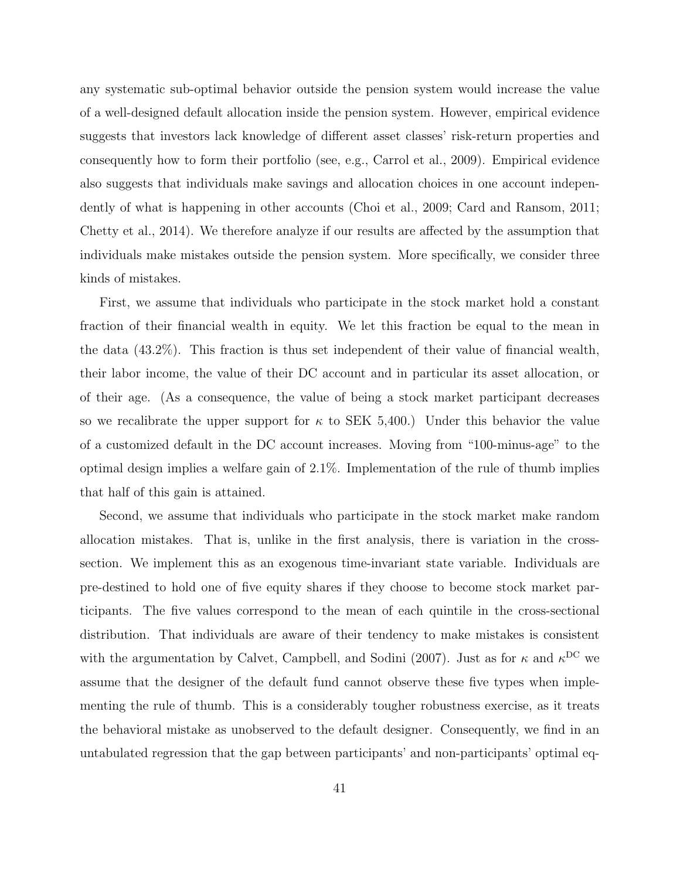any systematic sub-optimal behavior outside the pension system would increase the value of a well-designed default allocation inside the pension system. However, empirical evidence suggests that investors lack knowledge of different asset classes' risk-return properties and consequently how to form their portfolio (see, e.g., Carrol et al., 2009). Empirical evidence also suggests that individuals make savings and allocation choices in one account independently of what is happening in other accounts (Choi et al., 2009; Card and Ransom, 2011; Chetty et al., 2014). We therefore analyze if our results are affected by the assumption that individuals make mistakes outside the pension system. More specifically, we consider three kinds of mistakes.

First, we assume that individuals who participate in the stock market hold a constant fraction of their financial wealth in equity. We let this fraction be equal to the mean in the data (43.2%). This fraction is thus set independent of their value of financial wealth, their labor income, the value of their DC account and in particular its asset allocation, or of their age. (As a consequence, the value of being a stock market participant decreases so we recalibrate the upper support for  $\kappa$  to SEK 5,400.) Under this behavior the value of a customized default in the DC account increases. Moving from "100-minus-age" to the optimal design implies a welfare gain of 2.1%. Implementation of the rule of thumb implies that half of this gain is attained.

Second, we assume that individuals who participate in the stock market make random allocation mistakes. That is, unlike in the first analysis, there is variation in the crosssection. We implement this as an exogenous time-invariant state variable. Individuals are pre-destined to hold one of five equity shares if they choose to become stock market participants. The five values correspond to the mean of each quintile in the cross-sectional distribution. That individuals are aware of their tendency to make mistakes is consistent with the argumentation by Calvet, Campbell, and Sodini (2007). Just as for  $\kappa$  and  $\kappa$ <sup>DC</sup> we assume that the designer of the default fund cannot observe these five types when implementing the rule of thumb. This is a considerably tougher robustness exercise, as it treats the behavioral mistake as unobserved to the default designer. Consequently, we find in an untabulated regression that the gap between participants' and non-participants' optimal eq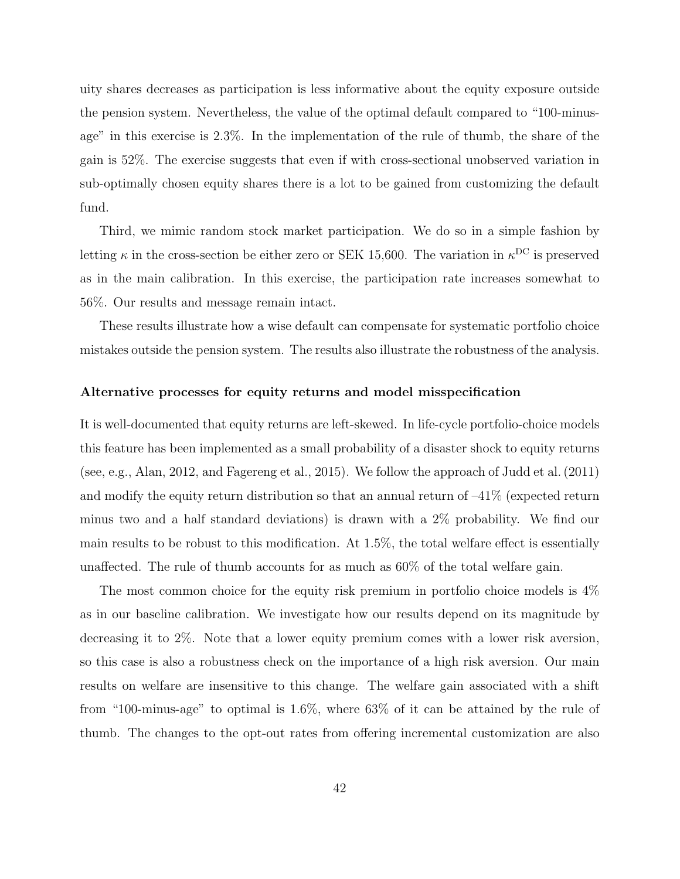uity shares decreases as participation is less informative about the equity exposure outside the pension system. Nevertheless, the value of the optimal default compared to "100-minusage" in this exercise is 2.3%. In the implementation of the rule of thumb, the share of the gain is 52%. The exercise suggests that even if with cross-sectional unobserved variation in sub-optimally chosen equity shares there is a lot to be gained from customizing the default fund.

Third, we mimic random stock market participation. We do so in a simple fashion by letting  $\kappa$  in the cross-section be either zero or SEK 15,600. The variation in  $\kappa^{\rm DC}$  is preserved as in the main calibration. In this exercise, the participation rate increases somewhat to 56%. Our results and message remain intact.

These results illustrate how a wise default can compensate for systematic portfolio choice mistakes outside the pension system. The results also illustrate the robustness of the analysis.

#### Alternative processes for equity returns and model misspecification

It is well-documented that equity returns are left-skewed. In life-cycle portfolio-choice models this feature has been implemented as a small probability of a disaster shock to equity returns (see, e.g., Alan, 2012, and Fagereng et al., 2015). We follow the approach of Judd et al. (2011) and modify the equity return distribution so that an annual return of  $-41\%$  (expected return minus two and a half standard deviations) is drawn with a 2% probability. We find our main results to be robust to this modification. At 1.5%, the total welfare effect is essentially unaffected. The rule of thumb accounts for as much as 60% of the total welfare gain.

The most common choice for the equity risk premium in portfolio choice models is 4% as in our baseline calibration. We investigate how our results depend on its magnitude by decreasing it to 2%. Note that a lower equity premium comes with a lower risk aversion, so this case is also a robustness check on the importance of a high risk aversion. Our main results on welfare are insensitive to this change. The welfare gain associated with a shift from "100-minus-age" to optimal is 1.6%, where 63% of it can be attained by the rule of thumb. The changes to the opt-out rates from offering incremental customization are also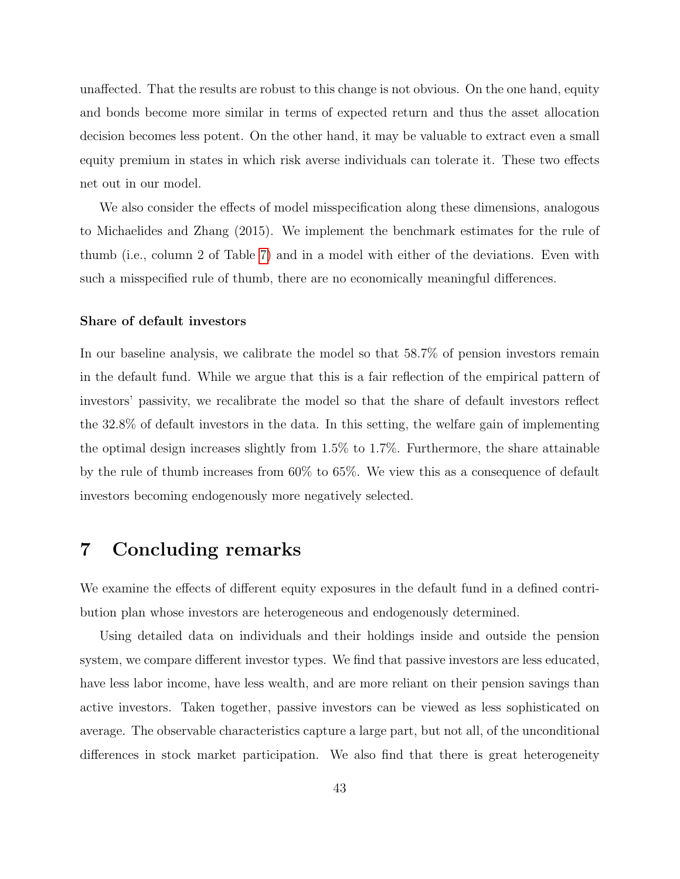unaffected. That the results are robust to this change is not obvious. On the one hand, equity and bonds become more similar in terms of expected return and thus the asset allocation decision becomes less potent. On the other hand, it may be valuable to extract even a small equity premium in states in which risk averse individuals can tolerate it. These two effects net out in our model.

We also consider the effects of model misspecification along these dimensions, analogous to Michaelides and Zhang (2015). We implement the benchmark estimates for the rule of thumb (i.e., column 2 of Table [7\)](#page-55-0) and in a model with either of the deviations. Even with such a misspecified rule of thumb, there are no economically meaningful differences.

#### Share of default investors

In our baseline analysis, we calibrate the model so that 58.7% of pension investors remain in the default fund. While we argue that this is a fair reflection of the empirical pattern of investors' passivity, we recalibrate the model so that the share of default investors reflect the 32.8% of default investors in the data. In this setting, the welfare gain of implementing the optimal design increases slightly from 1.5% to 1.7%. Furthermore, the share attainable by the rule of thumb increases from 60% to 65%. We view this as a consequence of default investors becoming endogenously more negatively selected.

# <span id="page-43-0"></span>7 Concluding remarks

We examine the effects of different equity exposures in the default fund in a defined contribution plan whose investors are heterogeneous and endogenously determined.

Using detailed data on individuals and their holdings inside and outside the pension system, we compare different investor types. We find that passive investors are less educated, have less labor income, have less wealth, and are more reliant on their pension savings than active investors. Taken together, passive investors can be viewed as less sophisticated on average. The observable characteristics capture a large part, but not all, of the unconditional differences in stock market participation. We also find that there is great heterogeneity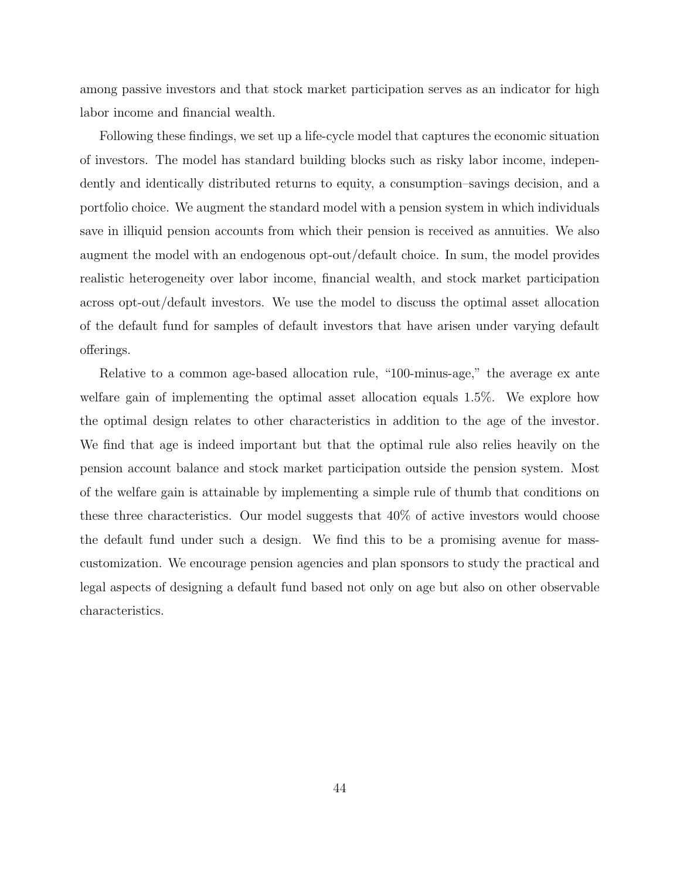among passive investors and that stock market participation serves as an indicator for high labor income and financial wealth.

Following these findings, we set up a life-cycle model that captures the economic situation of investors. The model has standard building blocks such as risky labor income, independently and identically distributed returns to equity, a consumption–savings decision, and a portfolio choice. We augment the standard model with a pension system in which individuals save in illiquid pension accounts from which their pension is received as annuities. We also augment the model with an endogenous opt-out/default choice. In sum, the model provides realistic heterogeneity over labor income, financial wealth, and stock market participation across opt-out/default investors. We use the model to discuss the optimal asset allocation of the default fund for samples of default investors that have arisen under varying default offerings.

Relative to a common age-based allocation rule, "100-minus-age," the average ex ante welfare gain of implementing the optimal asset allocation equals 1.5%. We explore how the optimal design relates to other characteristics in addition to the age of the investor. We find that age is indeed important but that the optimal rule also relies heavily on the pension account balance and stock market participation outside the pension system. Most of the welfare gain is attainable by implementing a simple rule of thumb that conditions on these three characteristics. Our model suggests that 40% of active investors would choose the default fund under such a design. We find this to be a promising avenue for masscustomization. We encourage pension agencies and plan sponsors to study the practical and legal aspects of designing a default fund based not only on age but also on other observable characteristics.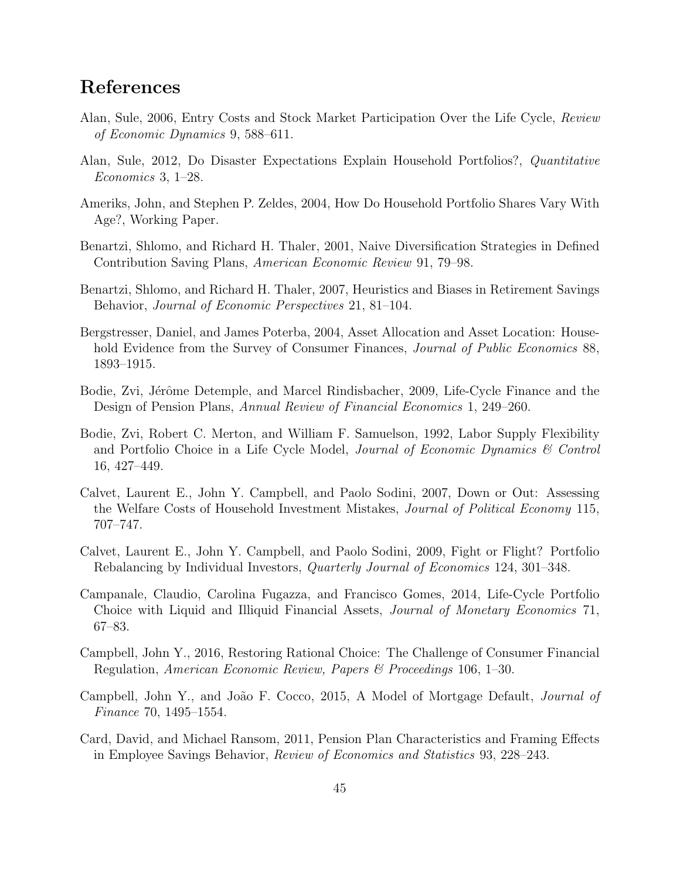# References

- Alan, Sule, 2006, Entry Costs and Stock Market Participation Over the Life Cycle, Review of Economic Dynamics 9, 588–611.
- Alan, Sule, 2012, Do Disaster Expectations Explain Household Portfolios?, Quantitative Economics 3, 1–28.
- Ameriks, John, and Stephen P. Zeldes, 2004, How Do Household Portfolio Shares Vary With Age?, Working Paper.
- Benartzi, Shlomo, and Richard H. Thaler, 2001, Naive Diversification Strategies in Defined Contribution Saving Plans, American Economic Review 91, 79–98.
- Benartzi, Shlomo, and Richard H. Thaler, 2007, Heuristics and Biases in Retirement Savings Behavior, Journal of Economic Perspectives 21, 81–104.
- Bergstresser, Daniel, and James Poterba, 2004, Asset Allocation and Asset Location: Household Evidence from the Survey of Consumer Finances, *Journal of Public Economics* 88, 1893–1915.
- Bodie, Zvi, Jérôme Detemple, and Marcel Rindisbacher, 2009, Life-Cycle Finance and the Design of Pension Plans, Annual Review of Financial Economics 1, 249–260.
- Bodie, Zvi, Robert C. Merton, and William F. Samuelson, 1992, Labor Supply Flexibility and Portfolio Choice in a Life Cycle Model, Journal of Economic Dynamics & Control 16, 427–449.
- Calvet, Laurent E., John Y. Campbell, and Paolo Sodini, 2007, Down or Out: Assessing the Welfare Costs of Household Investment Mistakes, Journal of Political Economy 115, 707–747.
- Calvet, Laurent E., John Y. Campbell, and Paolo Sodini, 2009, Fight or Flight? Portfolio Rebalancing by Individual Investors, Quarterly Journal of Economics 124, 301–348.
- Campanale, Claudio, Carolina Fugazza, and Francisco Gomes, 2014, Life-Cycle Portfolio Choice with Liquid and Illiquid Financial Assets, Journal of Monetary Economics 71, 67–83.
- Campbell, John Y., 2016, Restoring Rational Choice: The Challenge of Consumer Financial Regulation, American Economic Review, Papers & Proceedings 106, 1–30.
- Campbell, John Y., and João F. Cocco, 2015, A Model of Mortgage Default, *Journal of* Finance 70, 1495–1554.
- Card, David, and Michael Ransom, 2011, Pension Plan Characteristics and Framing Effects in Employee Savings Behavior, Review of Economics and Statistics 93, 228–243.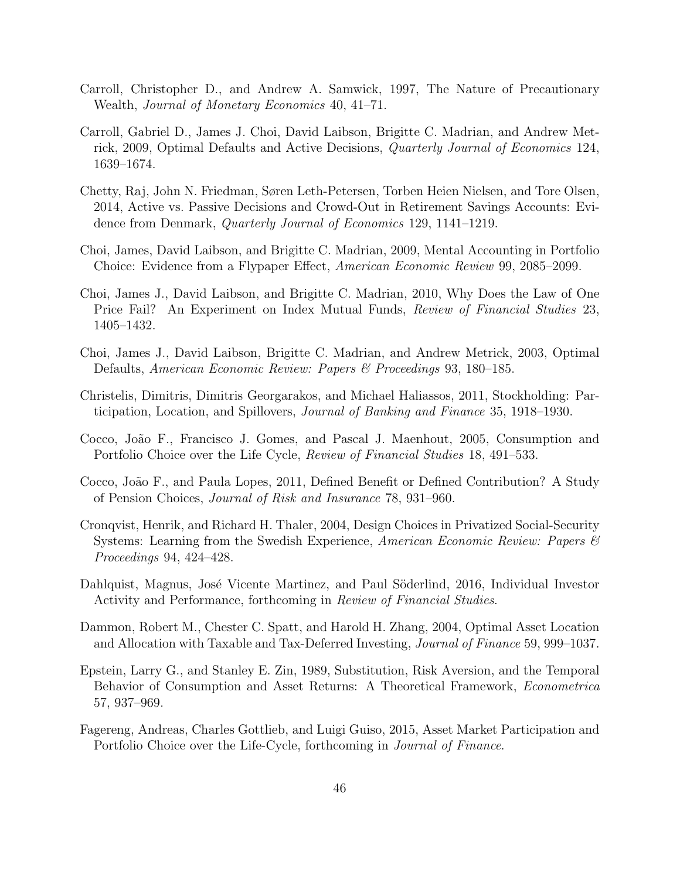- Carroll, Christopher D., and Andrew A. Samwick, 1997, The Nature of Precautionary Wealth, Journal of Monetary Economics 40, 41–71.
- Carroll, Gabriel D., James J. Choi, David Laibson, Brigitte C. Madrian, and Andrew Metrick, 2009, Optimal Defaults and Active Decisions, Quarterly Journal of Economics 124, 1639–1674.
- Chetty, Raj, John N. Friedman, Søren Leth-Petersen, Torben Heien Nielsen, and Tore Olsen, 2014, Active vs. Passive Decisions and Crowd-Out in Retirement Savings Accounts: Evidence from Denmark, Quarterly Journal of Economics 129, 1141–1219.
- Choi, James, David Laibson, and Brigitte C. Madrian, 2009, Mental Accounting in Portfolio Choice: Evidence from a Flypaper Effect, American Economic Review 99, 2085–2099.
- Choi, James J., David Laibson, and Brigitte C. Madrian, 2010, Why Does the Law of One Price Fail? An Experiment on Index Mutual Funds, Review of Financial Studies 23, 1405–1432.
- Choi, James J., David Laibson, Brigitte C. Madrian, and Andrew Metrick, 2003, Optimal Defaults, American Economic Review: Papers & Proceedings 93, 180–185.
- Christelis, Dimitris, Dimitris Georgarakos, and Michael Haliassos, 2011, Stockholding: Participation, Location, and Spillovers, Journal of Banking and Finance 35, 1918–1930.
- Cocco, João F., Francisco J. Gomes, and Pascal J. Maenhout, 2005, Consumption and Portfolio Choice over the Life Cycle, Review of Financial Studies 18, 491–533.
- Cocco, João F., and Paula Lopes, 2011, Defined Benefit or Defined Contribution? A Study of Pension Choices, Journal of Risk and Insurance 78, 931–960.
- Cronqvist, Henrik, and Richard H. Thaler, 2004, Design Choices in Privatized Social-Security Systems: Learning from the Swedish Experience, American Economic Review: Papers & Proceedings 94, 424–428.
- Dahlquist, Magnus, José Vicente Martinez, and Paul Söderlind, 2016, Individual Investor Activity and Performance, forthcoming in Review of Financial Studies.
- Dammon, Robert M., Chester C. Spatt, and Harold H. Zhang, 2004, Optimal Asset Location and Allocation with Taxable and Tax-Deferred Investing, Journal of Finance 59, 999–1037.
- Epstein, Larry G., and Stanley E. Zin, 1989, Substitution, Risk Aversion, and the Temporal Behavior of Consumption and Asset Returns: A Theoretical Framework, Econometrica 57, 937–969.
- Fagereng, Andreas, Charles Gottlieb, and Luigi Guiso, 2015, Asset Market Participation and Portfolio Choice over the Life-Cycle, forthcoming in Journal of Finance.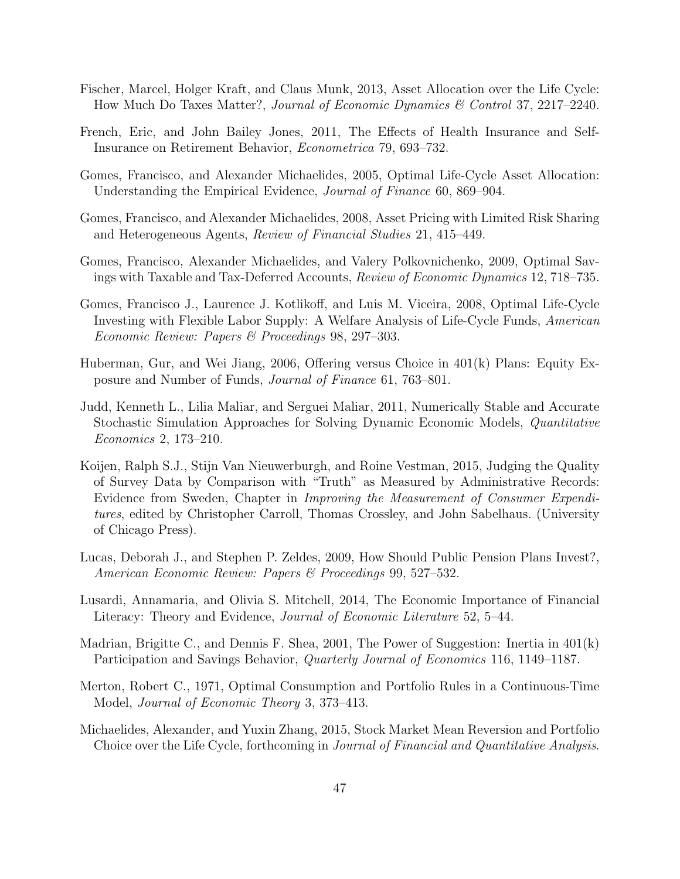- Fischer, Marcel, Holger Kraft, and Claus Munk, 2013, Asset Allocation over the Life Cycle: How Much Do Taxes Matter?, Journal of Economic Dynamics & Control 37, 2217–2240.
- French, Eric, and John Bailey Jones, 2011, The Effects of Health Insurance and Self-Insurance on Retirement Behavior, Econometrica 79, 693–732.
- Gomes, Francisco, and Alexander Michaelides, 2005, Optimal Life-Cycle Asset Allocation: Understanding the Empirical Evidence, Journal of Finance 60, 869–904.
- Gomes, Francisco, and Alexander Michaelides, 2008, Asset Pricing with Limited Risk Sharing and Heterogeneous Agents, Review of Financial Studies 21, 415–449.
- Gomes, Francisco, Alexander Michaelides, and Valery Polkovnichenko, 2009, Optimal Savings with Taxable and Tax-Deferred Accounts, Review of Economic Dynamics 12, 718–735.
- Gomes, Francisco J., Laurence J. Kotlikoff, and Luis M. Viceira, 2008, Optimal Life-Cycle Investing with Flexible Labor Supply: A Welfare Analysis of Life-Cycle Funds, American Economic Review: Papers & Proceedings 98, 297–303.
- Huberman, Gur, and Wei Jiang, 2006, Offering versus Choice in 401(k) Plans: Equity Exposure and Number of Funds, Journal of Finance 61, 763–801.
- Judd, Kenneth L., Lilia Maliar, and Serguei Maliar, 2011, Numerically Stable and Accurate Stochastic Simulation Approaches for Solving Dynamic Economic Models, Quantitative Economics 2, 173–210.
- Koijen, Ralph S.J., Stijn Van Nieuwerburgh, and Roine Vestman, 2015, Judging the Quality of Survey Data by Comparison with "Truth" as Measured by Administrative Records: Evidence from Sweden, Chapter in Improving the Measurement of Consumer Expenditures, edited by Christopher Carroll, Thomas Crossley, and John Sabelhaus. (University of Chicago Press).
- Lucas, Deborah J., and Stephen P. Zeldes, 2009, How Should Public Pension Plans Invest?, American Economic Review: Papers & Proceedings 99, 527–532.
- Lusardi, Annamaria, and Olivia S. Mitchell, 2014, The Economic Importance of Financial Literacy: Theory and Evidence, Journal of Economic Literature 52, 5–44.
- Madrian, Brigitte C., and Dennis F. Shea, 2001, The Power of Suggestion: Inertia in 401(k) Participation and Savings Behavior, Quarterly Journal of Economics 116, 1149–1187.
- Merton, Robert C., 1971, Optimal Consumption and Portfolio Rules in a Continuous-Time Model, Journal of Economic Theory 3, 373–413.
- Michaelides, Alexander, and Yuxin Zhang, 2015, Stock Market Mean Reversion and Portfolio Choice over the Life Cycle, forthcoming in Journal of Financial and Quantitative Analysis.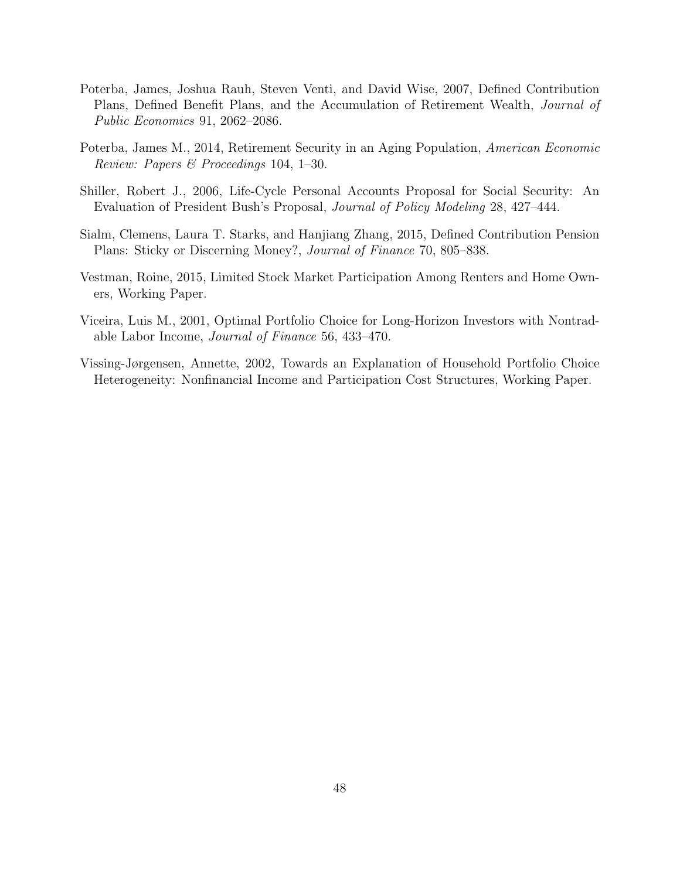- Poterba, James, Joshua Rauh, Steven Venti, and David Wise, 2007, Defined Contribution Plans, Defined Benefit Plans, and the Accumulation of Retirement Wealth, Journal of Public Economics 91, 2062–2086.
- Poterba, James M., 2014, Retirement Security in an Aging Population, American Economic Review: Papers & Proceedings 104, 1–30.
- Shiller, Robert J., 2006, Life-Cycle Personal Accounts Proposal for Social Security: An Evaluation of President Bush's Proposal, Journal of Policy Modeling 28, 427–444.
- Sialm, Clemens, Laura T. Starks, and Hanjiang Zhang, 2015, Defined Contribution Pension Plans: Sticky or Discerning Money?, Journal of Finance 70, 805–838.
- Vestman, Roine, 2015, Limited Stock Market Participation Among Renters and Home Owners, Working Paper.
- Viceira, Luis M., 2001, Optimal Portfolio Choice for Long-Horizon Investors with Nontradable Labor Income, Journal of Finance 56, 433–470.
- Vissing-Jørgensen, Annette, 2002, Towards an Explanation of Household Portfolio Choice Heterogeneity: Nonfinancial Income and Participation Cost Structures, Working Paper.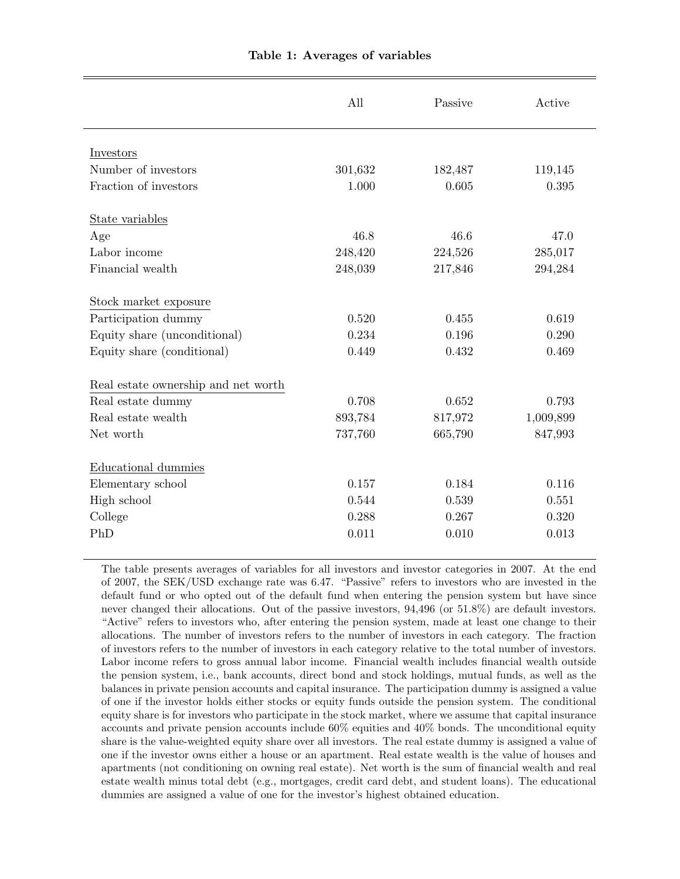<span id="page-49-0"></span>

|                                     | All     | Passive | Active    |
|-------------------------------------|---------|---------|-----------|
| Investors                           |         |         |           |
| Number of investors                 | 301,632 | 182,487 | 119,145   |
| Fraction of investors               | 1.000   | 0.605   | 0.395     |
| State variables                     |         |         |           |
| Age                                 | 46.8    | 46.6    | 47.0      |
| Labor income                        | 248,420 | 224,526 | 285,017   |
| Financial wealth                    | 248,039 | 217,846 | 294,284   |
| Stock market exposure               |         |         |           |
| Participation dummy                 | 0.520   | 0.455   | 0.619     |
| Equity share (unconditional)        | 0.234   | 0.196   | 0.290     |
| Equity share (conditional)          | 0.449   | 0.432   | 0.469     |
| Real estate ownership and net worth |         |         |           |
| Real estate dummy                   | 0.708   | 0.652   | 0.793     |
| Real estate wealth                  | 893,784 | 817,972 | 1,009,899 |
| Net worth                           | 737,760 | 665,790 | 847,993   |
| Educational dummies                 |         |         |           |
| Elementary school                   | 0.157   | 0.184   | 0.116     |
| High school                         | 0.544   | 0.539   | 0.551     |
| College                             | 0.288   | 0.267   | 0.320     |
| PhD                                 | 0.011   | 0.010   | 0.013     |
|                                     |         |         |           |

The table presents averages of variables for all investors and investor categories in 2007. At the end of 2007, the SEK/USD exchange rate was 6.47. "Passive" refers to investors who are invested in the default fund or who opted out of the default fund when entering the pension system but have since never changed their allocations. Out of the passive investors, 94,496 (or 51.8%) are default investors. "Active" refers to investors who, after entering the pension system, made at least one change to their allocations. The number of investors refers to the number of investors in each category. The fraction of investors refers to the number of investors in each category relative to the total number of investors. Labor income refers to gross annual labor income. Financial wealth includes financial wealth outside the pension system, i.e., bank accounts, direct bond and stock holdings, mutual funds, as well as the balances in private pension accounts and capital insurance. The participation dummy is assigned a value of one if the investor holds either stocks or equity funds outside the pension system. The conditional equity share is for investors who participate in the stock market, where we assume that capital insurance accounts and private pension accounts include 60% equities and 40% bonds. The unconditional equity share is the value-weighted equity share over all investors. The real estate dummy is assigned a value of one if the investor owns either a house or an apartment. Real estate wealth is the value of houses and apartments (not conditioning on owning real estate). Net worth is the sum of financial wealth and real estate wealth minus total debt (e.g., mortgages, credit card debt, and student loans). The educational dummies are assigned a value of one for the investor's highest obtained education.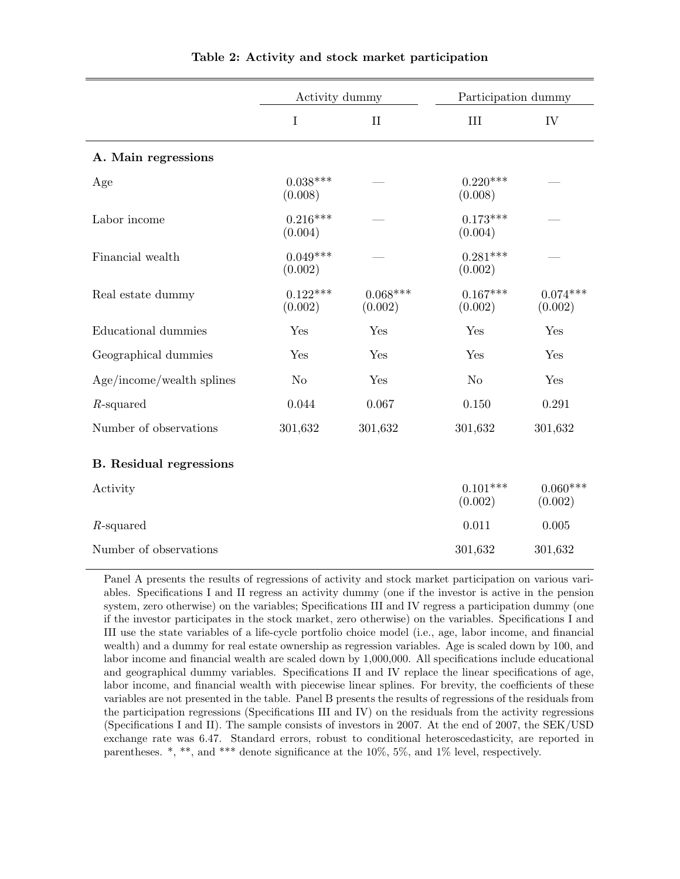|                                | Activity dummy        |                       | Participation dummy   |                       |
|--------------------------------|-----------------------|-----------------------|-----------------------|-----------------------|
|                                | $\mathbf I$           | $\mathbf{I}$          | $\rm III$             | IV                    |
| A. Main regressions            |                       |                       |                       |                       |
| Age                            | $0.038***$<br>(0.008) |                       | $0.220***$<br>(0.008) |                       |
| Labor income                   | $0.216***$<br>(0.004) |                       | $0.173***$<br>(0.004) |                       |
| Financial wealth               | $0.049***$<br>(0.002) |                       | $0.281***$<br>(0.002) |                       |
| Real estate dummy              | $0.122***$<br>(0.002) | $0.068***$<br>(0.002) | $0.167***$<br>(0.002) | $0.074***$<br>(0.002) |
| Educational dummies            | Yes                   | Yes                   | Yes                   | Yes                   |
| Geographical dummies           | Yes                   | Yes                   | Yes                   | Yes                   |
| Age/income/wealth splines      | N <sub>o</sub>        | Yes                   | N <sub>o</sub>        | Yes                   |
| $R$ -squared                   | 0.044                 | 0.067                 | 0.150                 | 0.291                 |
| Number of observations         | 301,632               | 301,632               | 301,632               | 301,632               |
| <b>B.</b> Residual regressions |                       |                       |                       |                       |
| Activity                       |                       |                       | $0.101***$<br>(0.002) | $0.060***$<br>(0.002) |
| $R$ -squared                   |                       |                       | 0.011                 | 0.005                 |
| Number of observations         |                       |                       | 301,632               | 301,632               |

<span id="page-50-0"></span>Table 2: Activity and stock market participation

Panel A presents the results of regressions of activity and stock market participation on various variables. Specifications I and II regress an activity dummy (one if the investor is active in the pension system, zero otherwise) on the variables; Specifications III and IV regress a participation dummy (one if the investor participates in the stock market, zero otherwise) on the variables. Specifications I and III use the state variables of a life-cycle portfolio choice model (i.e., age, labor income, and financial wealth) and a dummy for real estate ownership as regression variables. Age is scaled down by 100, and labor income and financial wealth are scaled down by 1,000,000. All specifications include educational and geographical dummy variables. Specifications II and IV replace the linear specifications of age, labor income, and financial wealth with piecewise linear splines. For brevity, the coefficients of these variables are not presented in the table. Panel B presents the results of regressions of the residuals from the participation regressions (Specifications III and IV) on the residuals from the activity regressions (Specifications I and II). The sample consists of investors in 2007. At the end of 2007, the SEK/USD exchange rate was 6.47. Standard errors, robust to conditional heteroscedasticity, are reported in parentheses. \*, \*\*, and \*\*\* denote significance at the 10%, 5%, and 1% level, respectively.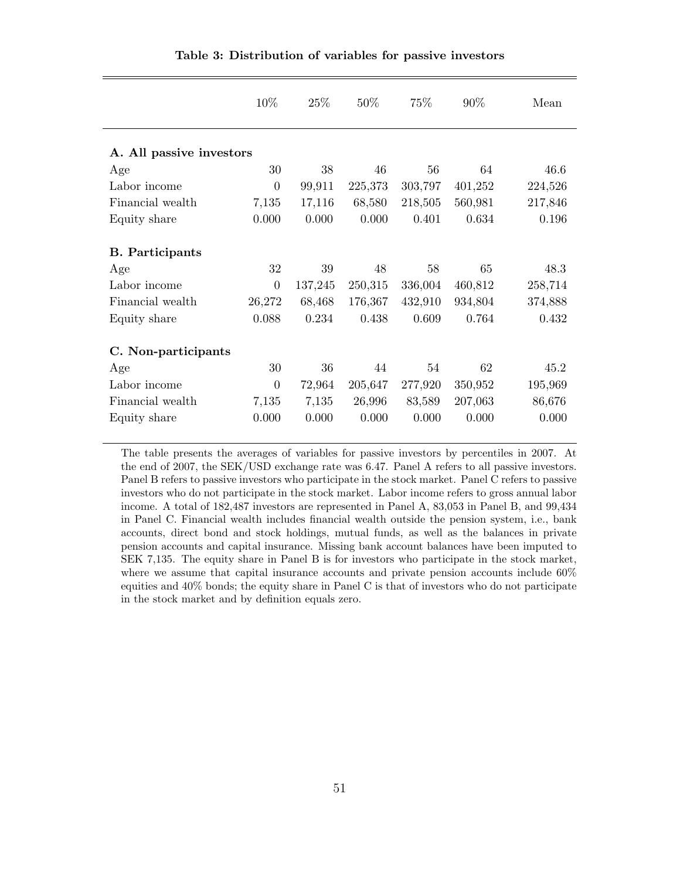|                          | 10%              | 25\%    | 50%     | 75%     | 90%     | Mean    |
|--------------------------|------------------|---------|---------|---------|---------|---------|
| A. All passive investors |                  |         |         |         |         |         |
| Age                      | 30               | 38      | 46      | 56      | 64      | 46.6    |
| Labor income             | $\overline{0}$   | 99,911  | 225,373 | 303,797 | 401,252 | 224,526 |
| Financial wealth         | 7,135            | 17,116  | 68,580  | 218,505 | 560,981 | 217,846 |
| Equity share             | 0.000            | 0.000   | 0.000   | 0.401   | 0.634   | 0.196   |
| <b>B.</b> Participants   |                  |         |         |         |         |         |
| Age                      | 32               | 39      | 48      | 58      | 65      | 48.3    |
| Labor income             | $\boldsymbol{0}$ | 137,245 | 250,315 | 336,004 | 460,812 | 258,714 |
| Financial wealth         | 26,272           | 68,468  | 176,367 | 432,910 | 934,804 | 374,888 |
| Equity share             | 0.088            | 0.234   | 0.438   | 0.609   | 0.764   | 0.432   |
| C. Non-participants      |                  |         |         |         |         |         |
| Age                      | 30               | 36      | 44      | 54      | 62      | 45.2    |
| Labor income             | $\overline{0}$   | 72,964  | 205,647 | 277,920 | 350,952 | 195,969 |
| Financial wealth         | 7,135            | 7,135   | 26,996  | 83,589  | 207,063 | 86,676  |
| Equity share             | 0.000            | 0.000   | 0.000   | 0.000   | 0.000   | 0.000   |

<span id="page-51-0"></span>Table 3: Distribution of variables for passive investors

The table presents the averages of variables for passive investors by percentiles in 2007. At the end of 2007, the SEK/USD exchange rate was 6.47. Panel A refers to all passive investors. Panel B refers to passive investors who participate in the stock market. Panel C refers to passive investors who do not participate in the stock market. Labor income refers to gross annual labor income. A total of 182,487 investors are represented in Panel A, 83,053 in Panel B, and 99,434 in Panel C. Financial wealth includes financial wealth outside the pension system, i.e., bank accounts, direct bond and stock holdings, mutual funds, as well as the balances in private pension accounts and capital insurance. Missing bank account balances have been imputed to SEK 7,135. The equity share in Panel B is for investors who participate in the stock market, where we assume that capital insurance accounts and private pension accounts include 60% equities and 40% bonds; the equity share in Panel C is that of investors who do not participate in the stock market and by definition equals zero.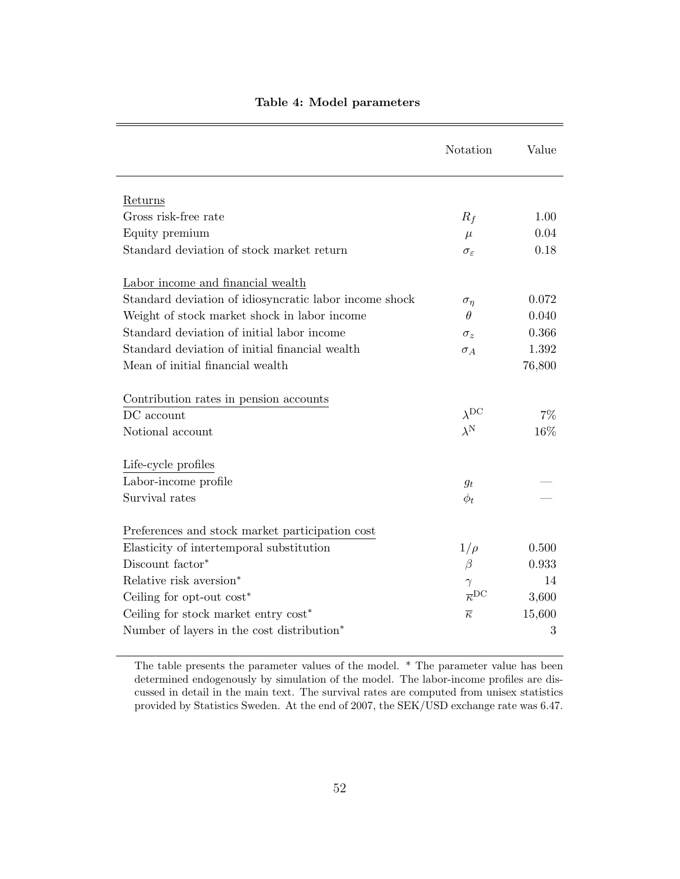|                                                        | Notation                        | Value  |
|--------------------------------------------------------|---------------------------------|--------|
| Returns                                                |                                 |        |
| Gross risk-free rate                                   | $R_f$                           | 1.00   |
| Equity premium                                         | $\mu$                           | 0.04   |
| Standard deviation of stock market return              | $\sigma_{\varepsilon}$          | 0.18   |
| Labor income and financial wealth                      |                                 |        |
| Standard deviation of idiosyncratic labor income shock | $\sigma_{\eta}$                 | 0.072  |
| Weight of stock market shock in labor income           | $\theta$                        | 0.040  |
| Standard deviation of initial labor income             | $\sigma_z$                      | 0.366  |
| Standard deviation of initial financial wealth         | $\sigma_A$                      | 1.392  |
| Mean of initial financial wealth                       |                                 | 76,800 |
| Contribution rates in pension accounts                 |                                 |        |
| $DC$ account                                           | $\lambda$ DC                    | $7\%$  |
| Notional account                                       | $\lambda^{\rm N}$               | 16%    |
| Life-cycle profiles                                    |                                 |        |
| Labor-income profile                                   | $g_t$                           |        |
| Survival rates                                         | $\phi_t$                        |        |
| Preferences and stock market participation cost        |                                 |        |
| Elasticity of intertemporal substitution               | $1/\rho$                        | 0.500  |
| Discount factor*                                       | $\beta$                         | 0.933  |
| Relative risk aversion*                                | $\gamma$                        | 14     |
| Ceiling for opt-out cost*                              | $\overline{\kappa}^{\text{DC}}$ | 3,600  |
| Ceiling for stock market entry cost*                   | $\overline{\kappa}$             | 15,600 |
| Number of layers in the cost distribution*             |                                 | 3      |

#### <span id="page-52-0"></span>Table 4: Model parameters

The table presents the parameter values of the model. \* The parameter value has been determined endogenously by simulation of the model. The labor-income profiles are discussed in detail in the main text. The survival rates are computed from unisex statistics provided by Statistics Sweden. At the end of 2007, the SEK/USD exchange rate was 6.47.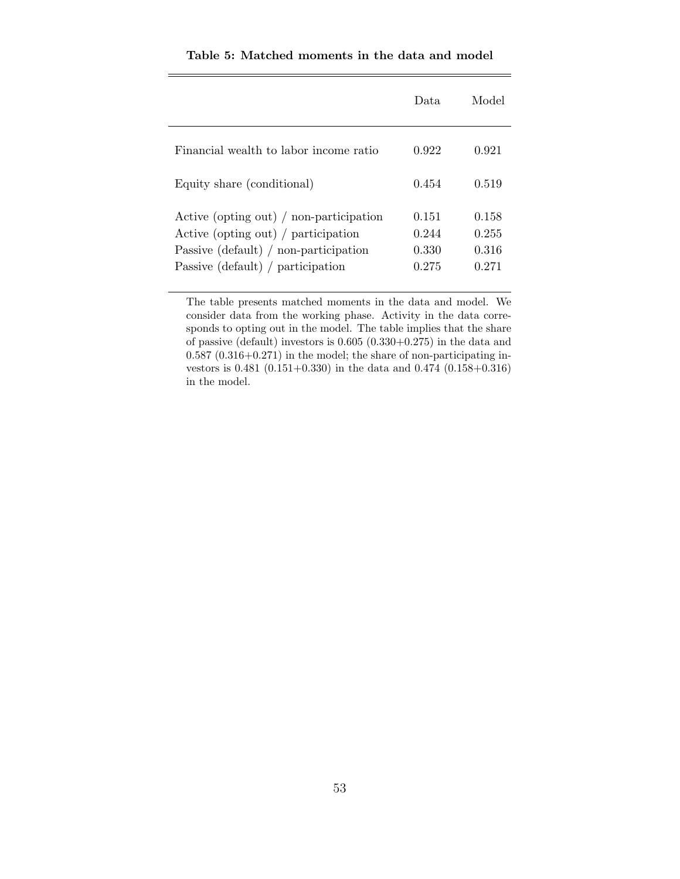|                                                                                                                                                                | Data.                            | Model                            |
|----------------------------------------------------------------------------------------------------------------------------------------------------------------|----------------------------------|----------------------------------|
| Financial wealth to labor income ratio                                                                                                                         | 0.922                            | 0.921                            |
| Equity share (conditional)                                                                                                                                     | 0.454                            | 0.519                            |
| Active (opting out) / non-participation<br>Active (opting out) / participation<br>Passive (default) $/$ non-participation<br>Passive (default) / participation | 0.151<br>0.244<br>0.330<br>0.275 | 0.158<br>0.255<br>0.316<br>0.271 |

<span id="page-53-0"></span>Table 5: Matched moments in the data and model

The table presents matched moments in the data and model. We consider data from the working phase. Activity in the data corresponds to opting out in the model. The table implies that the share of passive (default) investors is 0.605 (0.330+0.275) in the data and  $0.587$   $(0.316+0.271)$  in the model; the share of non-participating investors is 0.481 (0.151+0.330) in the data and 0.474 (0.158+0.316) in the model.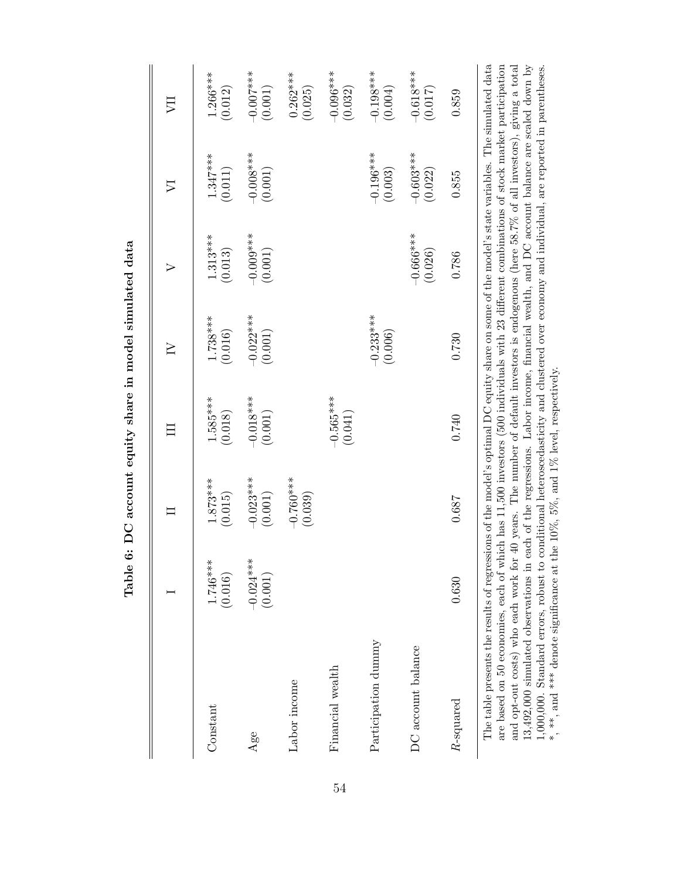<span id="page-54-0"></span>

|                                                                                                                                                                                                                                                                                                |                        |                        | 彐                      | $\geq$                 | $\triangleright$       | $\mathop{\triangleright}$ |                        |
|------------------------------------------------------------------------------------------------------------------------------------------------------------------------------------------------------------------------------------------------------------------------------------------------|------------------------|------------------------|------------------------|------------------------|------------------------|---------------------------|------------------------|
| Constant                                                                                                                                                                                                                                                                                       | $1.746***$<br>(0.016)  | $1.873***$<br>(0.015)  | $1.585***$<br>(0.018)  | $1.738***$<br>(0.016)  | $1.313***$<br>(0.013)  | $1.347***$<br>(0.011)     | 1.266***<br>(0.012)    |
| Age                                                                                                                                                                                                                                                                                            | $-0.024***$<br>(0.001) | $-0.023***$<br>(0.001) | $-0.018***$<br>(0.001) | $-0.022***$<br>(0.001) | $-0.009***$<br>(0.001) | $-0.008***$<br>(0.001)    | $-0.007***$<br>(0.001) |
| Labor income                                                                                                                                                                                                                                                                                   |                        | $-0.760***$<br>(0.039) |                        |                        |                        |                           | $0.262***$<br>(0.025)  |
| Financial wealth                                                                                                                                                                                                                                                                               |                        |                        | $-0.565***$<br>(0.041) |                        |                        |                           | $-0.096***$<br>(0.032) |
| Participation dummy                                                                                                                                                                                                                                                                            |                        |                        |                        | $-0.233***$<br>(0.006) |                        | $-0.196***$<br>(0.003)    | $-0.198***$<br>(0.004) |
| DC account balance                                                                                                                                                                                                                                                                             |                        |                        |                        |                        | $-0.666***$<br>(0.026) | $-0.603***$<br>(0.022)    | $-0.618***$<br>(0.017) |
| $R$ -squared                                                                                                                                                                                                                                                                                   | 0.630                  | 0.687                  | 0.740                  | 0.730                  | 0.786                  | 0.855                     | 0.859                  |
| The table presents the results of regressions of the model's optimal DC equity share on some of the model's state variables. The simulated data<br>are based on 50 economies, each of which has 11,500 investors (500 individuals with 23 different combinations of stock market participation |                        |                        |                        |                        |                        |                           |                        |

Table 6: DC account equity share in model simulated data Table 6: DC account equity share in model simulated data

and opt-out costs) who each work for 40 years. The number of default investors is endogenous (here 58.7% of all investors), giving a total 13,492,000 simulated observations in each of the regressions. Labor income, financ are based on 50 economies, each of which has 11,500 investors (500 individuals with 23 different combinations of stock market participation and opt-out costs) who each work for 40 years. The number of default investors is endogenous (here 58.7% of all investors), giving a total 13,492,000 simulated observations in each of the regressions. Labor income, financial wealth, and DC account balance are scaled down by 1,000,000. Standard errors, robust to conditional heteroscedasticity and clustered over economy and individual, are reported in parentheses. \*, \*\*, and \*\*\* denote significance at the 10%, 5%, and 1% level, respectively.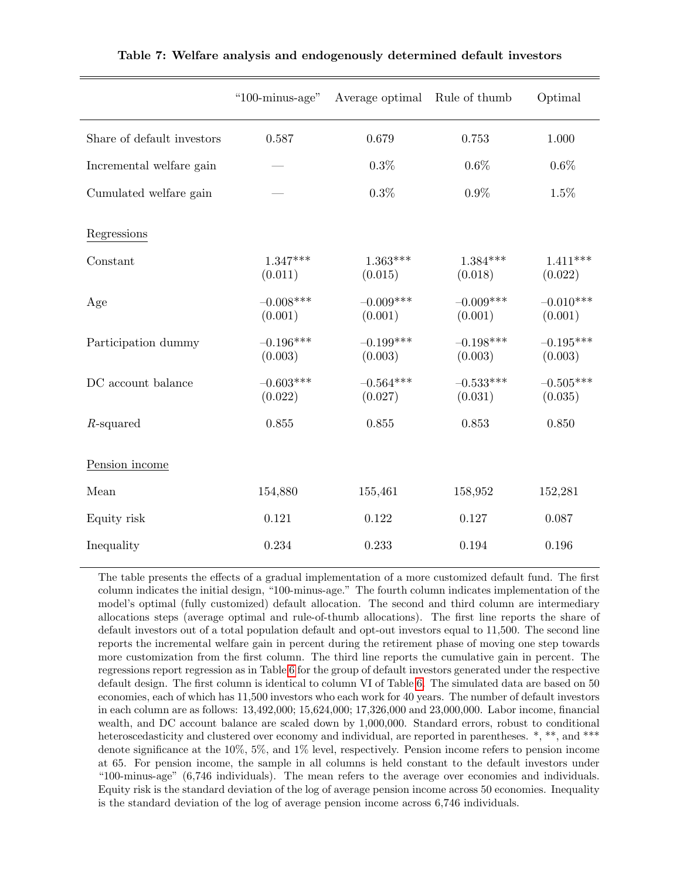|                            | "100-minus-age"        | Average optimal        | Rule of thumb          | Optimal                |
|----------------------------|------------------------|------------------------|------------------------|------------------------|
| Share of default investors | 0.587                  | 0.679                  | 0.753                  | 1.000                  |
| Incremental welfare gain   |                        | 0.3%                   | $0.6\%$                | 0.6%                   |
| Cumulated welfare gain     |                        | $0.3\%$                | $0.9\%$                | 1.5%                   |
| Regressions                |                        |                        |                        |                        |
| Constant                   | $1.347***$<br>(0.011)  | $1.363***$<br>(0.015)  | $1.384***$<br>(0.018)  | $1.411***$<br>(0.022)  |
| Age                        | $-0.008***$<br>(0.001) | $-0.009***$<br>(0.001) | $-0.009***$<br>(0.001) | $-0.010***$<br>(0.001) |
| Participation dummy        | $-0.196***$<br>(0.003) | $-0.199***$<br>(0.003) | $-0.198***$<br>(0.003) | $-0.195***$<br>(0.003) |
| $DC$ account balance       | $-0.603***$<br>(0.022) | $-0.564***$<br>(0.027) | $-0.533***$<br>(0.031) | $-0.505***$<br>(0.035) |
| $R$ -squared               | 0.855                  | $0.855\,$              | 0.853                  | 0.850                  |
| Pension income             |                        |                        |                        |                        |
| Mean                       | 154,880                | 155,461                | 158,952                | 152,281                |
| Equity risk                | 0.121                  | 0.122                  | 0.127                  | 0.087                  |
| Inequality                 | 0.234                  | 0.233                  | 0.194                  | 0.196                  |

<span id="page-55-0"></span>Table 7: Welfare analysis and endogenously determined default investors

The table presents the effects of a gradual implementation of a more customized default fund. The first column indicates the initial design, "100-minus-age." The fourth column indicates implementation of the model's optimal (fully customized) default allocation. The second and third column are intermediary allocations steps (average optimal and rule-of-thumb allocations). The first line reports the share of default investors out of a total population default and opt-out investors equal to 11,500. The second line reports the incremental welfare gain in percent during the retirement phase of moving one step towards more customization from the first column. The third line reports the cumulative gain in percent. The regressions report regression as in Table [6](#page-54-0) for the group of default investors generated under the respective default design. The first column is identical to column VI of Table [6.](#page-54-0) The simulated data are based on 50 economies, each of which has 11,500 investors who each work for 40 years. The number of default investors in each column are as follows: 13,492,000; 15,624,000; 17,326,000 and 23,000,000. Labor income, financial wealth, and DC account balance are scaled down by 1,000,000. Standard errors, robust to conditional heteroscedasticity and clustered over economy and individual, are reported in parentheses. \*, \*\*, and \*\*\* denote significance at the 10%, 5%, and 1% level, respectively. Pension income refers to pension income at 65. For pension income, the sample in all columns is held constant to the default investors under "100-minus-age" (6,746 individuals). The mean refers to the average over economies and individuals. Equity risk is the standard deviation of the log of average pension income across 50 economies. Inequality is the standard deviation of the log of average pension income across 6,746 individuals.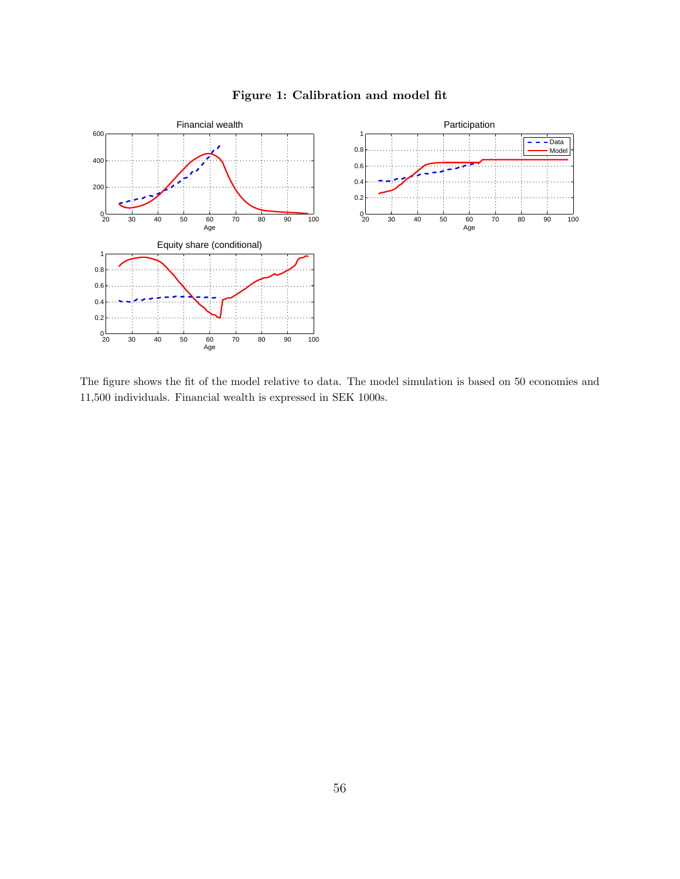

<span id="page-56-0"></span>Figure 1: Calibration and model fit

The figure shows the fit of the model relative to data. The model simulation is based on 50 economies and 11,500 individuals. Financial wealth is expressed in SEK 1000s.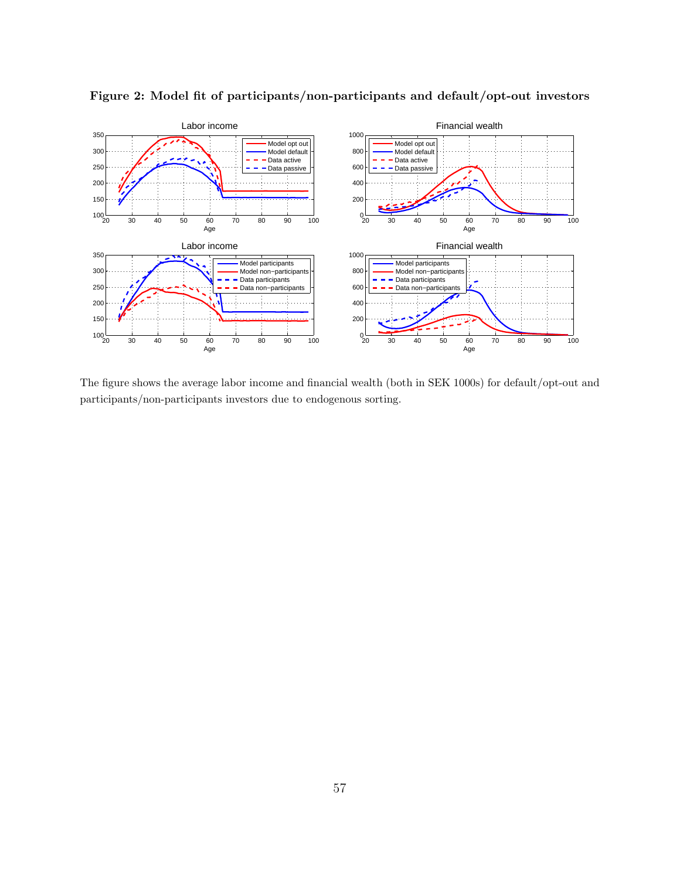

<span id="page-57-0"></span>Figure 2: Model fit of participants/non-participants and default/opt-out investors

The figure shows the average labor income and financial wealth (both in SEK 1000s) for default/opt-out and participants/non-participants investors due to endogenous sorting.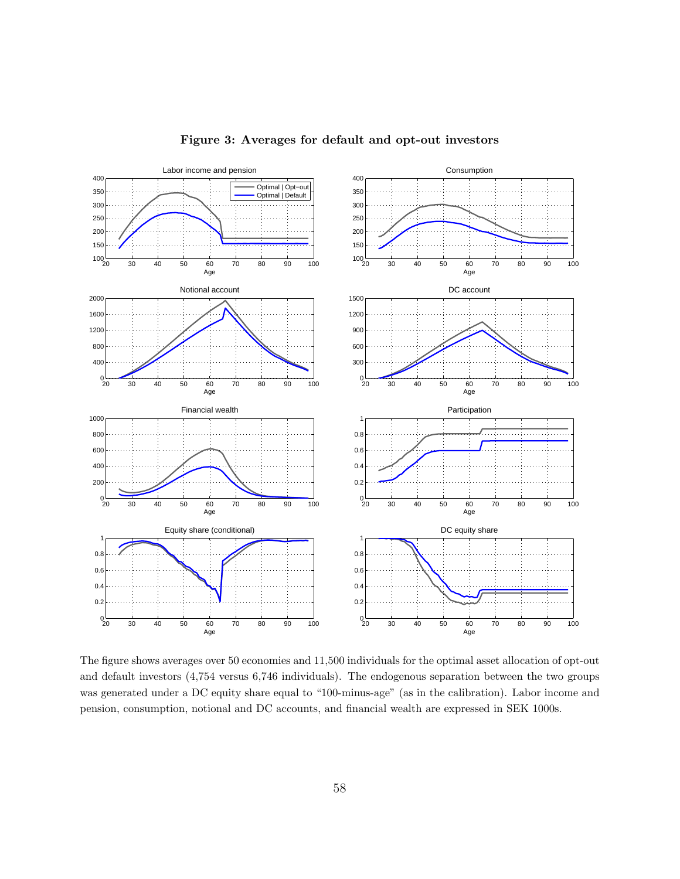

#### <span id="page-58-0"></span>Figure 3: Averages for default and opt-out investors

The figure shows averages over 50 economies and 11,500 individuals for the optimal asset allocation of opt-out and default investors (4,754 versus 6,746 individuals). The endogenous separation between the two groups was generated under a DC equity share equal to "100-minus-age" (as in the calibration). Labor income and pension, consumption, notional and DC accounts, and financial wealth are expressed in SEK 1000s.